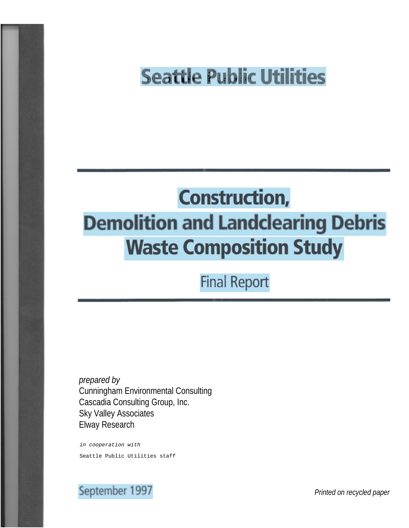## **Seattle Public Utilities**

# **Construction, Demolition and Landclearing Debris Waste Composition Study**

**Final Report** 

*prepared by* Cunningham Environmental Consulting Cascadia Consulting Group, Inc. Sky Valley Associates Elway Research

in cooperation with Seattle Public Utilities staff

## September 1997

*Printed on recycled paper*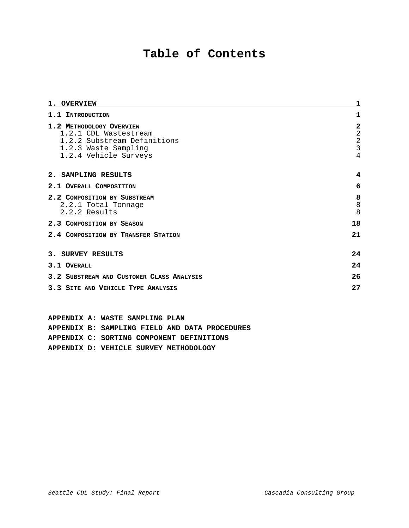### **Table of Contents**

| <b>1. OVERVIEW</b>                                                               | 1                                              |
|----------------------------------------------------------------------------------|------------------------------------------------|
| 1.1 INTRODUCTION                                                                 | 1                                              |
| 1.2 METHODOLOGY OVERVIEW<br>1.2.1 CDL Wastestream<br>1.2.2 Substream Definitions | $\mathbf 2$<br>$\overline{a}$<br>$\frac{2}{3}$ |
| 1.2.3 Waste Sampling<br>1.2.4 Vehicle Surveys                                    | $\overline{4}$                                 |
| 2. SAMPLING RESULTS                                                              | 4                                              |
| 2.1 OVERALL COMPOSITION                                                          | 6                                              |
| 2.2 COMPOSITION BY SUBSTREAM<br>2.2.1 Total Tonnage<br>2.2.2 Results             | 8<br>8<br>8                                    |
| 2.3 COMPOSITION BY SEASON                                                        | 18                                             |
| 2.4 COMPOSITION BY TRANSFER STATION                                              | 21                                             |
| 3. SURVEY RESULTS                                                                | 24                                             |
| 3.1 OVERALL                                                                      | 24                                             |
| 3.2 SUBSTREAM AND CUSTOMER CLASS ANALYSIS                                        | 26                                             |
| 3.3 SITE AND VEHICLE TYPE ANALYSIS                                               | 27                                             |

**APPENDIX A: WASTE SAMPLING PLAN APPENDIX B: SAMPLING FIELD AND DATA PROCEDURES APPENDIX C: SORTING COMPONENT DEFINITIONS APPENDIX D: VEHICLE SURVEY METHODOLOGY**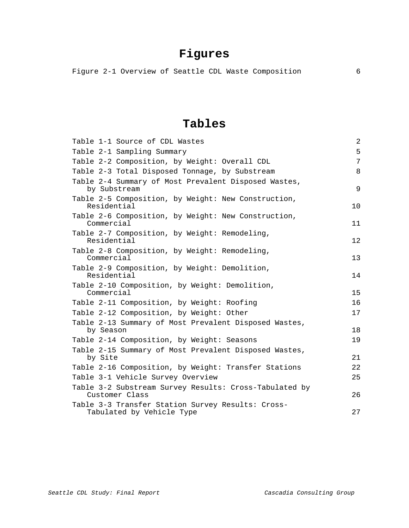## **Figures**

Figure 2-1 Overview of Seattle CDL Waste Composition 6

### **Tables**

| Table 1-1 Source of CDL Wastes                                                 | 2  |
|--------------------------------------------------------------------------------|----|
| Table 2-1 Sampling Summary                                                     | 5  |
| Table 2-2 Composition, by Weight: Overall CDL                                  | 7  |
| Table 2-3 Total Disposed Tonnage, by Substream                                 | 8  |
| Table 2-4 Summary of Most Prevalent Disposed Wastes,<br>by Substream           | 9  |
| Table 2-5 Composition, by Weight: New Construction,<br>Residential             | 10 |
| Table 2-6 Composition, by Weight: New Construction,<br>Commercial              | 11 |
| Table 2-7 Composition, by Weight: Remodeling,<br>Residential                   | 12 |
| Table 2-8 Composition, by Weight: Remodeling,<br>Commercial                    | 13 |
| Table 2-9 Composition, by Weight: Demolition,<br>Residential                   | 14 |
| Table 2-10 Composition, by Weight: Demolition,<br>Commercial                   | 15 |
| Table 2-11 Composition, by Weight: Roofing                                     | 16 |
| Table 2-12 Composition, by Weight: Other                                       | 17 |
| Table 2-13 Summary of Most Prevalent Disposed Wastes,<br>by Season             | 18 |
| Table 2-14 Composition, by Weight: Seasons                                     | 19 |
| Table 2-15 Summary of Most Prevalent Disposed Wastes,<br>by Site               | 21 |
| Table 2-16 Composition, by Weight: Transfer Stations                           | 22 |
| Table 3-1 Vehicle Survey Overview                                              | 25 |
| Table 3-2 Substream Survey Results: Cross-Tabulated by<br>Customer Class       | 26 |
| Table 3-3 Transfer Station Survey Results: Cross-<br>Tabulated by Vehicle Type | 27 |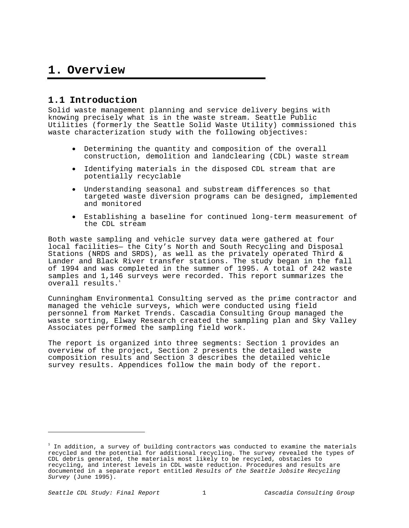### **1. Overview**

### **1.1 Introduction**

Solid waste management planning and service delivery begins with knowing precisely what is in the waste stream. Seattle Public Utilities (formerly the Seattle Solid Waste Utility) commissioned this waste characterization study with the following objectives:

- Determining the quantity and composition of the overall construction, demolition and landclearing (CDL) waste stream
- Identifying materials in the disposed CDL stream that are potentially recyclable
- Understanding seasonal and substream differences so that targeted waste diversion programs can be designed, implemented and monitored
- Establishing a baseline for continued long-term measurement of the CDL stream

Both waste sampling and vehicle survey data were gathered at four local facilities— the City's North and South Recycling and Disposal Stations (NRDS and SRDS), as well as the privately operated Third & Lander and Black River transfer stations. The study began in the fall of 1994 and was completed in the summer of 1995. A total of 242 waste samples and 1,146 surveys were recorded. This report summarizes the overall results.<sup>1</sup>

Cunningham Environmental Consulting served as the prime contractor and managed the vehicle surveys, which were conducted using field personnel from Market Trends. Cascadia Consulting Group managed the waste sorting, Elway Research created the sampling plan and Sky Valley Associates performed the sampling field work.

The report is organized into three segments: Section 1 provides an overview of the project, Section 2 presents the detailed waste composition results and Section 3 describes the detailed vehicle survey results. Appendices follow the main body of the report.

e<br>B

 $^{\rm ^1}$  In addition, a survey of building contractors was conducted to examine the materials recycled and the potential for additional recycling. The survey revealed the types of CDL debris generated, the materials most likely to be recycled, obstacles to recycling, and interest levels in CDL waste reduction. Procedures and results are documented in a separate report entitled Results of the Seattle Jobsite Recycling Survey (June 1995).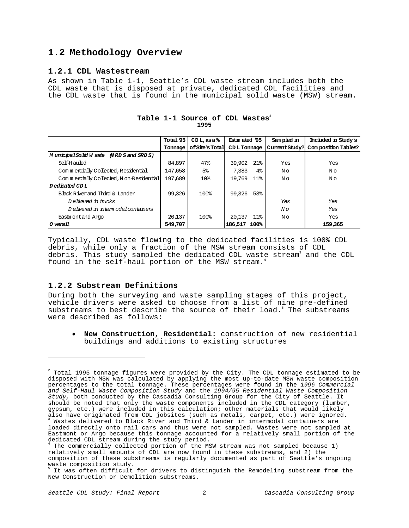### **1.2 Methodology Overview**

### **1.2.1 CDL Wastestream**

As shown in Table 1-1, Seattle's CDL waste stream includes both the CDL waste that is disposed at private, dedicated CDL facilities and the CDL waste that is found in the municipal solid waste (MSW) stream.

|                                         | Total '95 | $CDL$ , as a $%$ | Estin ated '95               | Sampled in     | Included in Study's |
|-----------------------------------------|-----------|------------------|------------------------------|----------------|---------------------|
|                                         | Tonnage   | of Site's Total  | CDL Tonnage                  | Current Study? | Composition Tables? |
| MunicipalSolid W aste (NRD S and SRD S) |           |                  |                              |                |                     |
| Self-H auled                            | 84.897    | 47%              | $21\%$<br>39,902             | Yes            | Yes                 |
| Commercially Collected, Residential     | 147.658   | 5 <sup>°</sup>   | 7.383<br>$4\%$               | N o            | N o                 |
| Commercially Collected. Non-Residential | 197.689   | 10 <sup>8</sup>  | 11 <sup>8</sup><br>19.769    | N o            | N o                 |
| Dedicated CDL                           |           |                  |                              |                |                     |
| Black River and Third & Lander          | 99.326    | 100%             | 53%<br>99.326                |                |                     |
| Delivered in trucks                     |           |                  |                              | Yes            | Yes                 |
| Delivered in intermodal containers      |           |                  |                              | $N \circ$      | Yes                 |
| Eastm ontand Argo                       | 20 137    | 100 <sub>8</sub> | 20,137<br>$11$ $\frac{6}{2}$ | N o            | Yes                 |
| <i>O</i> verall                         | 549,707   |                  | 186,517<br>100%              |                | 159.365             |

### Table 1-1 Source of CDL Wastes<sup>2</sup> **1995**

Typically, CDL waste flowing to the dedicated facilities is 100% CDL debris, while only a fraction of the MSW stream consists of CDL debris. This study sampled the dedicated CDL waste stream<sup>3</sup> and the CDL found in the self-haul portion of the MSW stream.<sup>4</sup>

### **1.2.2 Substream Definitions**

÷,

During both the surveying and waste sampling stages of this project, vehicle drivers were asked to choose from a list of nine pre-defined substreams to best describe the source of their load.<sup>5</sup> The substreams were described as follows:

• **New Construction, Residential:** construction of new residential buildings and additions to existing structures

 $^{\text{2}}$  Total 1995 tonnage figures were provided by the City. The CDL tonnage estimated to be disposed with MSW was calculated by applying the most up-to-date MSW waste composition percentages to the total tonnage. These percentages were found in the 1996 Commercial and Self-Haul Waste Composition Study and the 1994/95 Residential Waste Composition Study, both conducted by the Cascadia Consulting Group for the City of Seattle. It should be noted that only the waste components included in the CDL category (lumber, gypsum, etc.) were included in this calculation; other materials that would likely also have originated from CDL jobsites (such as metals, carpet, etc.) were ignored.<br><sup>3</sup> Wastes delivered to Black River and Third & Lander in intermodal containers are loaded directly onto rail cars and thus were not sampled. Wastes were not sampled at Eastmont or Argo because this tonnage accounted for a relatively small portion of the

dedicated CDL stream during the study period. The commercially collected portion of the MSW stream was not sampled because 1) relatively small amounts of CDL are now found in these substreams, and 2) the composition of these substreams is regularly documented as part of Seattle's ongoing waste composition study.

<sup>&</sup>lt;sup>5</sup> It was often difficult for drivers to distinguish the Remodeling substream from the New Construction or Demolition substreams.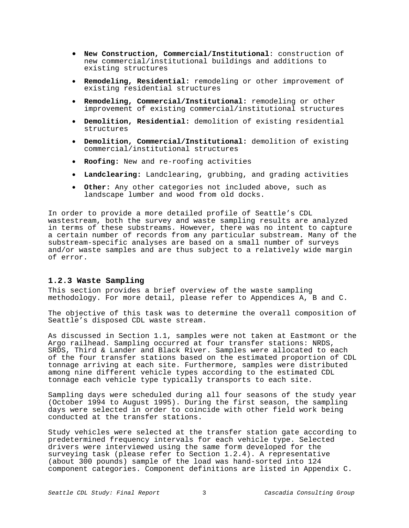- **New Construction, Commercial/Institutional**: construction of new commercial/institutional buildings and additions to existing structures
- **Remodeling, Residential:** remodeling or other improvement of existing residential structures
- **Remodeling, Commercial/Institutional:** remodeling or other improvement of existing commercial/institutional structures
- **Demolition, Residential:** demolition of existing residential structures
- **Demolition, Commercial/Institutional:** demolition of existing commercial/institutional structures
- **Roofing:** New and re-roofing activities
- **Landclearing:** Landclearing, grubbing, and grading activities
- **Other:** Any other categories not included above, such as landscape lumber and wood from old docks.

In order to provide a more detailed profile of Seattle's CDL wastestream, both the survey and waste sampling results are analyzed in terms of these substreams. However, there was no intent to capture a certain number of records from any particular substream. Many of the substream-specific analyses are based on a small number of surveys and/or waste samples and are thus subject to a relatively wide margin of error.

#### **1.2.3 Waste Sampling**

This section provides a brief overview of the waste sampling methodology. For more detail, please refer to Appendices A, B and C.

The objective of this task was to determine the overall composition of Seattle's disposed CDL waste stream.

As discussed in Section 1.1, samples were not taken at Eastmont or the Argo railhead. Sampling occurred at four transfer stations: NRDS, SRDS, Third & Lander and Black River. Samples were allocated to each of the four transfer stations based on the estimated proportion of CDL tonnage arriving at each site. Furthermore, samples were distributed among nine different vehicle types according to the estimated CDL tonnage each vehicle type typically transports to each site.

Sampling days were scheduled during all four seasons of the study year (October 1994 to August 1995). During the first season, the sampling days were selected in order to coincide with other field work being conducted at the transfer stations.

Study vehicles were selected at the transfer station gate according to predetermined frequency intervals for each vehicle type. Selected drivers were interviewed using the same form developed for the surveying task (please refer to Section 1.2.4). A representative (about 300 pounds) sample of the load was hand-sorted into 124 component categories. Component definitions are listed in Appendix C.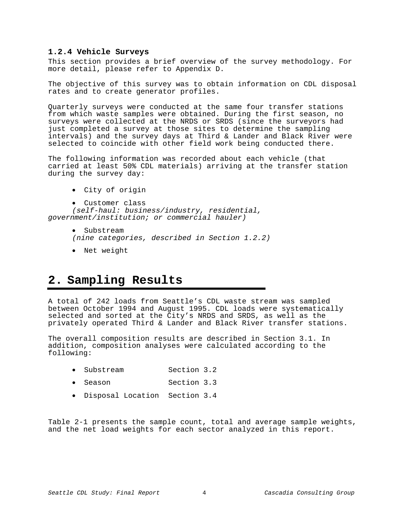### **1.2.4 Vehicle Surveys**

This section provides a brief overview of the survey methodology. For more detail, please refer to Appendix D.

The objective of this survey was to obtain information on CDL disposal rates and to create generator profiles.

Quarterly surveys were conducted at the same four transfer stations from which waste samples were obtained. During the first season, no surveys were collected at the NRDS or SRDS (since the surveyors had just completed a survey at those sites to determine the sampling intervals) and the survey days at Third & Lander and Black River were selected to coincide with other field work being conducted there.

The following information was recorded about each vehicle (that carried at least 50% CDL materials) arriving at the transfer station during the survey day:

- City of origin
- Customer class

(self-haul: business/industry, residential, government/institution; or commercial hauler)

- Substream (nine categories, described in Section 1.2.2)
- Net weight

### **2. Sampling Results**

A total of 242 loads from Seattle's CDL waste stream was sampled between October 1994 and August 1995. CDL loads were systematically selected and sorted at the City's NRDS and SRDS, as well as the privately operated Third & Lander and Black River transfer stations.

The overall composition results are described in Section 3.1. In addition, composition analyses were calculated according to the following:

- Substream Section 3.2
- Season Section 3.3
- Disposal Location Section 3.4

Table 2-1 presents the sample count, total and average sample weights, and the net load weights for each sector analyzed in this report.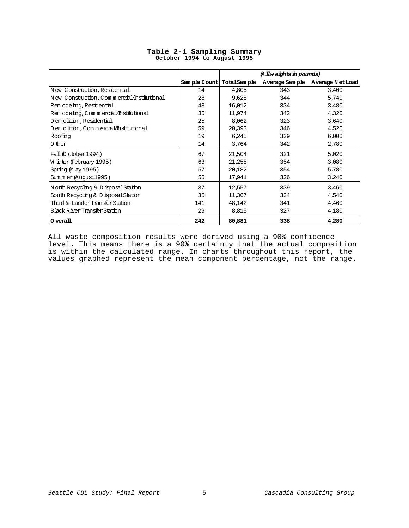|                                            |     |         | (A llw eights in pounds) |                                                         |
|--------------------------------------------|-----|---------|--------------------------|---------------------------------------------------------|
|                                            |     |         |                          | Sample Count TotalSample Average Sample Average NetLoad |
| New Construction, Residential              | 14  | 4.805   | 343                      | 3,400                                                   |
| New Construction, Commercial/Institutional | 28  | 9,628   | 344                      | 5,740                                                   |
| Rem odeling, Residential                   | 48  | 16.012  | 334                      | 3,480                                                   |
| Rem odeling, Commercial/Institutional      | 35  | 11,974  | 342                      | 4,320                                                   |
| D em olition, Residential                  | 25  | 8,062   | 323                      | 3,640                                                   |
| D em olition, C om m ercial/Institutional  | 59  | 20,393  | 346                      | 4,520                                                   |
| Roofing                                    | 19  | 6,245   | 329                      | 6,000                                                   |
| 0 ther                                     | 14  | 3.764   | 342                      | 2,780                                                   |
| Fall (O ctober 1994)                       | 67  | 21,504  | 321                      | 5,020                                                   |
| W inter (February 1995)                    | 63  | 21, 255 | 354                      | 3,080                                                   |
| Spring M ay 1995)                          | 57  | 20,182  | 354                      | 5,780                                                   |
| Sum m er (August 1995)                     | 55  | 17.941  | 326                      | 3,240                                                   |
| North Recycling & D isposal Station        | 37  | 12,557  | 339                      | 3,460                                                   |
| South Recycling & D isposal Station        | 35  | 11,367  | 334                      | 4,540                                                   |
| Third & Lander Transfer Station            | 141 | 48,142  | 341                      | 4,460                                                   |
| Black River Transfer Station               | 29  | 8,815   | 327                      | 4,180                                                   |
| $0 \,\mathrm{yearall}$                     | 242 | 80,881  | 338                      | 4,280                                                   |

### **Table 2-1 Sampling Summary October 1994 to August 1995**

All waste composition results were derived using a 90% confidence level. This means there is a 90% certainty that the actual composition is within the calculated range. In charts throughout this report, the values graphed represent the mean component percentage, not the range.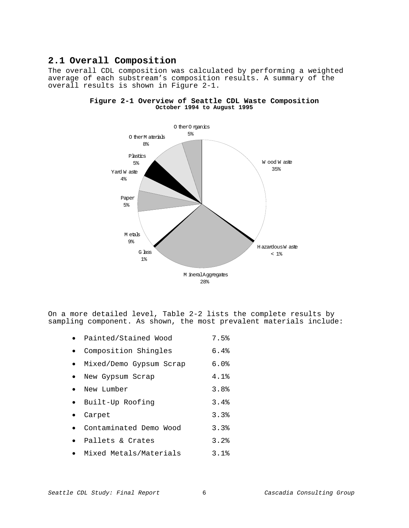### **2.1 Overall Composition**

The overall CDL composition was calculated by performing a weighted average of each substream's composition results. A summary of the overall results is shown in Figure 2-1.



### **Figure 2-1 Overview of Seattle CDL Waste Composition October 1994 to August 1995**

On a more detailed level, Table 2-2 lists the complete results by sampling component. As shown, the most prevalent materials include:

- Painted/Stained Wood 7.5%
- Composition Shingles 6.4%
- Mixed/Demo Gypsum Scrap 6.0%
- New Gypsum Scrap 4.1%
- New Lumber 3.8%
- Built-Up Roofing 3.4%
- Carpet 3.3%
- Contaminated Demo Wood 3.3%
- Pallets & Crates 3.2%
- Mixed Metals/Materials 3.1%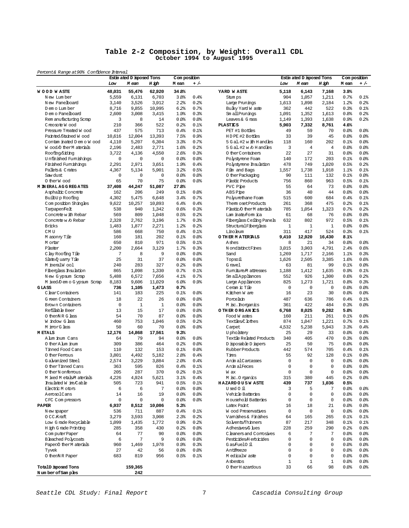#### **Table 2-2 Composition, by Weight: Overall CDL October 1994 to August 1995**

Percent& Range at 90% Confidence Interval

|                             |             | Estin ated D isposed Tons |              | Com position |         |                             |              | Estin ated D isposed Tons |                | Com position |         |
|-----------------------------|-------------|---------------------------|--------------|--------------|---------|-----------------------------|--------------|---------------------------|----------------|--------------|---------|
|                             | Low         | M ean                     | H igh        | M ean        | $+/-$   |                             | Low          | M ean                     | H igh          | M ean        | $+/-$   |
| <b>WOOD WASTE</b>           | 48,031      | 55A76                     | 62,920       | 34.8%        |         | YARD WASTE                  | 5,118        | 6,143                     | 7,168          | 3.9%         |         |
| New Lumber                  | 5,559       | 6,131                     | 6,703        | 3.8%         | 0.4%    | Stum ps                     | 904          | 1,057                     | 1,211          | 0.7%         | 0.1%    |
| New Panelboard              | 3,140       | 3,526                     | 3,912        | 2.2%         | 0.2%    | Large Prunings              | 1,613        | 1,898                     | 2,184          | 1.2%         | 0.2%    |
| D em o Lum ber              | 8,716       | 9,855                     | 10,995       | 6.2%         | 0.7%    | Bulky Yard W aste           | 362          | 442                       | 522            | 0.3%         | 0.1%    |
| D em o Panelboard           | 2,600       | 3,008                     | 3,415        | 1.9%         | 0.3%    | Sm all Prunings             | 1,091        | 1,352                     | 1,613          | 0.8%         | 0.2%    |
| Rem anufacturing Scrap      | 3           | 8                         | 14           | 0.0          | 0.0     | Leaves & G rass             | 1,149        | 1,393                     | 1,638          | 0.9%         | 0.2%    |
| Creosote Wood               | 210         | 366                       | 522          | 0.2%         | 0.1%    | <b>PLASTICS</b>             | 5,903        | 7,332                     | 8,761          | 4.6%         |         |
| Pressure Treated W ood      | 437         | 575                       | 713          | 0.4%         | 0.1%    | PET #1 Bottles              | 49           | 59                        | 70             | 0.0%         | 80.08   |
| Painted Stained Wood        | 10,616      | 12,004                    | 13,393       | 7.5%         | 0.9%    | HDPE #2 Bottles             | 33           | 39                        | 45             | 0.0%         | 80.08   |
| Contam inated D em o W ood  | 4,110       | 5,207                     | 6,304        | 3.3%         | 0.7%    | 5 G al. #2 w ith H and les  | 118          | 160                       | 202            | 0.1%         | 80.08   |
| Wood O ther M aterials      | 2,196       | 2,483                     | 2,771        | 1.6%         | 0.2%    | 5 Gal.#2 w 6 H and les      | 3            | $\overline{4}$            | $\overline{4}$ | 0.0%         | 80.08   |
| Roofing/Siding              | 3,722       | 4,136                     | 4,550        | 2.6%         | 0.3%    | 0 therContainers            | 22           | 27                        | 31             | 0.0%         | 80.08   |
| Unfinished Fumishings       | $\mathbf 0$ | $\mathbf 0$               | $\mathbf 0$  | 0.0          | 0.0     | Polystyrene Foam            | 140          | 172                       | 203            | 0.1%         | 80.08   |
| Finished Fumishings         | 2,291       | 2,971                     | 3,651        | 1.9%         | 0.4%    | Polystyrene Insulation      | 478          | 749                       | 1,020          | 0.5%         | 0.2%    |
| Pallets & Crates            | 4,367       | 5,134                     | 5,901        | 3.2%         | 0.5%    | Film and Bags               | 1,557        | 1,738                     | 1,918          | 1.1%         | 0.1%    |
| Saw dust                    | 0           | $\mathbf 0$               | 0            | 0.0          | $0.0$ % | 0 ther Packaging            | 90           | 111                       | 132            | 0.1%         | 80.08   |
| O therW ood                 | 65          | 70                        | 75           | 0.0%         | 0.0%    | Plastic Products            | 756          | 860                       | 963            | 0.5%         | 0.1%    |
| <b>M IN ERAL AGGREGATES</b> | 37,408      | 44,247                    | 51,087       | 27.8%        |         | PVC Pipe                    | 55           | 64                        | 73             | 0.0%         | 80.08   |
| Asphaltic Concrete          | 162         | 206                       | 249          | 0.1%         | 0.0     | ABS Pipe                    | 36           | 40                        | 44             | $0.0$ %      | 80.08   |
| Built-Up Roofing            | 4,302       | 5,475                     | 6,648        | 3.4%         | 0.7%    | Polyurethane Foam           | 515          | 600                       | 684            | 0.4%         | 0.1%    |
| Composition Shingles        | 9,622       | 10,257                    | 10,893       | 6.4%         | 0.4%    | Them oset Products          | 261          | 368                       | 475            | 0.2%         | 0.1%    |
| Tamaper/Felt                | 538         | 940                       | 1,342        | 0.6%         | 0.3%    | Plastic/O therM aterials    | 785          | 1,054                     | 1,323          | 0.7%         | 0.2%    |
| Concrete w ith Rebar        | 569         | 809                       | 1,048        | 0.5%         | 0.2%    | Lam inate/Form ica          | 61           | 68                        | 76             | 0.0%         | 80.08   |
| Concrete w 6 Rebar          | 2,328       | 2,762                     | 3,196        | 1.7%         | 0.3%    | Fiberglass Ceiling Panels   | 632          | 802                       | 972            | 0.5%         | 0.1%    |
| <b>Bricks</b>               | 1,483       | 1,877                     | 2,271        | 1.2%         | 0.2%    | StructuralFiberglass        | $\mathbf{1}$ | $\mathbf{1}$              | $\mathbf{1}$   | $0.0$ %      | \$0.0\$ |
| CM U                        | 586         | 668                       | 750          | 0.4%         | 0.1%    | Linoleum                    | 311          | 417                       | 524            | 0.3%         | 0.1%    |
| M asonry Tile               | 160         | 181                       | 202          | 0.1%         | 0.0%    | O THER MATERIALS            | 9 A10        | 12,920                    | 16 430         | 8.1%         |         |
| M ortar                     | 650         | 810                       | 971          | 0.5%         | 0.1%    | Ashes                       | 8            | 21                        | 34             | 0.0%         | 80.08   |
| Plaster                     | 2,200       | 2,664                     | 3,129        | 1.7%         | 0.3%    | N ondistinct Fines          | 3,015        | 3,903                     | 4,791          | 2.4%         | 0.6%    |
| C lay Roofing Tile          | 7           | 8                         | 9            | 0.0          | 0.0%    | Sand                        | 1,269        | 1,717                     | 2,166          | 1.1%         | 0.3%    |
| Slate/Q uarry Tile          | 25          | 31                        | 37           | 0.0          | 0.0     | Topsoil                     | 1,626        | 2,505                     | 3,385          | 1.6%         | 0.6%    |
| M ineralW ool               | 240         | 283                       | 327          | 0.2%         | 0.0%    | G ravel                     | 63           | 81                        | 99             | 0.1%         | 80.08   |
| Fiberglass Insulation       | 865         | 1,098                     | 1,330        | 0.7%         | 0.1%    | Fumiture M attresses        | 1,188        | 1,412                     | 1,635          | 0.9%         | $0.1$ % |
| New Gypsum Scrap            | 5,488       | 6,572                     | 7,656        | 4.1%         | 0.7%    | Sm all Appliances           | 552          | 926                       | 1,300          | 0.6%         | 0.2%    |
| M ixed D em o G ypsum Scrap | 8,183       | 9,606                     | 11,029       | 6.0%         | 0.9%    | Large Appliances            | 825          | 1,273                     | 1,721          | 0.8%         | 0.3%    |
| GLASS                       | 736         | 1,105                     | 1A73         | 0.7%         |         | Ceram ic Tile               | 0            | $\mathbf 0$               | $\mathbf 0$    | 0.0%         | 80.08   |
| C lear C ontainers          | 141         | 183                       | 225          | 0.1%         | $0.0$ % | Kitchen W are               | 16           | 23                        | 30             | $0.0$ %      | 80.08   |
| G reen Containers           | 18          | 22                        | 26           | 0.0%         | 0.0%    | Porcelain                   | 487          | 636                       | 786            | 0.4%         | 0.1%    |
| Brown Containers            | $\mathbf 0$ | $\mathbf{1}$              | $\mathbf{1}$ | 0.0%         | $0.0$ % | M isc. Inorganics           | 361          | 422                       | 484            | 0.3%         | 80.08   |
| Refillable Beer             | 13          | 15                        | 17           | 0.0%         | 0.0%    | O THER ORGANICS             | 6,768        | 8,025                     | 9,282          | 5.0%         |         |
| O then NR G lass            | 54          | 70                        | 87           | 0.0          | $0.0$ % | Food W astes                | 160          | 211                       | 261            | 0.1%         | 80.08   |
| W indow G lass              | 460         | 753                       | 1,046        | 0.5%         | 0.2%    | Textiles/C lothes           | 874          | 1,047                     | 1,221          | 0.7%         | 0.1%    |
| M inorG lass                | 50          | 60                        | 70           | 0.0%         | 0.0%    | Carpet                      | 4,532        | 5,238                     | 5,943          | 3.3%         | 0.4%    |
| <b>METALS</b>               | 12,176      | 14,868                    | 17,561       | 9.3%         |         | U pholstery                 | 25           | 29                        | 33             | 0.0%         | 80.08   |
| A lum inum Cans             | 64          | 79                        | 94           | 0.0%         | 0.0%    | Textile Related Products    | 340          | 405                       | 470            | 0.3%         | 80.08   |
| O ther A lum inum           | 309         | 386                       | 464          | 0.2%         | $0.0$ % | D isposable D iapers        | 25           | 50                        | 75             | 0.0          | \$0.0\$ |
| Tinned Food Cans            | 110         | 132                       | 153          | 0.1%         | 0.0     | Rubber Products             | 442          | 574                       | 705            | 0.4%         | 0.1%    |
| 0 ther Femous               | 3,801       | 4,492                     | 5,182        | 2.8%         | 0.4%    | Tires                       | 55           | 92                        | 128            | 0.1%         | 80.08   |
| G a van ized Steel          | 2,574       | 3,229                     | 3,884        | 2.0%         | 0.4%    | Anim alCarcasses            | $\Omega$     | $\Omega$                  | $\Omega$       | 0.0%         | 80.08   |
| O ther Tinned Cans          | 363         | 595                       | 826          | 0.4%         | 0.1%    | AnimalFeces                 | $\mathbf 0$  | 0                         | $\mathbf 0$    | 0.0%         | 80.08   |
| 0 therN onferrous           | 205         | 287                       | 370          | 0.2%         | 0.1%    | W ax                        | $\Omega$     | $\Omega$                  | $\Omega$       | $0.0$ %      | \$0.0\$ |
| M ixed M etals/M aterials   | 4,226       | 4,924                     | 5,621        | 3.1%         | 0.4%    | M isc. O rganics            | 315          | 380                       | 445            | 0.2%         | 80.08   |
| Insulated W ire/Cable       | 505         | 723                       | 941          | 0.5%         | 0.1%    | <b>HAZARDOUSWASTE</b>       | 439          | 737                       | 1,036          | 0.5%         |         |
| Electric Motors             | 6           | 6                         | 7            | 0.0%         | 0.0%    | U sed 0 il                  | 3            | 5                         | 7              | 80.08        | 80.08   |
| AerosolCans                 | 14          | 16                        | 19           | 0.0%         | $0.0$ % | Vehicle Batteries           | $\mathbf 0$  | $\mathbf 0$               | $\mathbf 0$    | 0.0          | 80.08   |
| CFC Compressors             | $\mathsf 0$ | 0                         | 0            | 0.0%         | 0.0%    | <b>H</b> ousehold Batteries | 0            | $\mathsf 0$               | $\mathsf 0$    | 80.08        | 80.08   |
| <b>PAPER</b>                | 937, 6      | 8,512                     | 10,086       | 5.3%         |         | Latex Paint                 | 16           | 18                        | 21             | 0.0          | 80.08   |
| N ew spaper                 | 536         | 711                       | 887          | 0.4%         | 0.1%    | Wood Preservatives          | $\mathsf 0$  | $\mathsf 0$               | $\mathbf 0$    | 0.0          | 80.08   |
| 0 CC Kraft                  | 3,279       | 3,593                     | 3,908        | 2.3%         | 0.2%    | Vamishes & Finishes         | 64           | 165                       | 265            | 0.1%         | 0.1%    |
| Low Grade Recyclable        | 1,099       | 1,435                     | 1,772        | 0.9%         | 0.2%    | So lyents/Thinners          | 87           | 217                       | 348            | 0.1%         | 0.1%    |
| H igh G rade Printing       | 285         | 358                       | 430          | 0.2%         | 0.0%    | Adhesives/G lues            | 228          | 259                       | 290            | 0.2%         | 80.08   |
| ComputerPaper               | 64          | 77                        | 90           | 0.0%         | 0.0     | C leaners and Comosives     | 6            | 7                         | 7              | 0.0          | 80.08   |
| <b>Bleached Polycoats</b>   | 6           | 7                         | 9            | 0.0%         | 0.0%    | Pesticides/Herbicides       | $\mathsf 0$  | $\mathbf 0$               | $\mathbf 0$    | 0.0          | 80.08   |
| Paper/O therM aterials      | 960         | 1,469                     | 1,978        | 0.9%         | 0.3%    | Gas/FuelO il                | $\mathbf 0$  | $\Omega$                  | $\mathbf 0$    | 0.0          | 80.08   |
| Tyvek                       | 27          | 42                        | 56           | 0.0%         | $0.0$ % | Antifreeze                  | $\mathbf 0$  | 0                         | $\mathbf 0$    | 0.0          | 80.08   |
| 0 thenNR Paper              | 683         | 819                       | 956          | 0.5%         | 0.1%    | M edicalW aste              | $\mathsf 0$  | $\mathsf 0$               | $\mathsf 0$    | 0.0          | 80.08   |
|                             |             |                           |              |              |         | Asbestos                    | $\mathbf 1$  | $\mathbf{1}$              | $\mathbf{1}$   | 0.0          | 80.08   |
| TotalD isposed Tons         |             | 159,365                   |              |              |         | 0 ther H azardous           | 33           | 66                        | 98             | 0.0          | 80.08   |
| Number of Samples           |             | 242                       |              |              |         |                             |              |                           |                |              |         |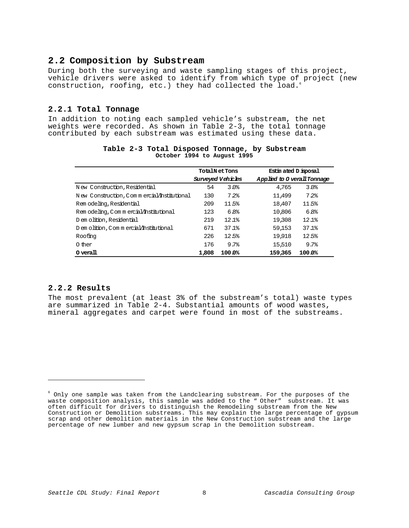### **2.2 Composition by Substream**

During both the surveying and waste sampling stages of this project, vehicle drivers were asked to identify from which type of project (new construction, roofing, etc.) they had collected the load.6

### **2.2.1 Total Tonnage**

In addition to noting each sampled vehicle's substream, the net weights were recorded. As shown in Table 2-3, the total tonnage contributed by each substream was estimated using these data.

|                                             | <b>TotalNet Tons</b>     |        | Estin ated D isposal       |  |
|---------------------------------------------|--------------------------|--------|----------------------------|--|
|                                             | <b>Surveyed Vehicles</b> |        | Applied to 0 verallTonnage |  |
| New Construction, Residential               | 54                       | 3.0%   | 3.0%<br>4.765              |  |
| N ew Construction, Commercial/Institutional | 130                      | 7.2    | 11,499<br>7.2              |  |
| Rem odeling, Residential                    | 209                      | 11.5%  | 18,407<br>11.5%            |  |
| Rem odeling, Commercial/Institutional       | 123                      | 6.8%   | 10,806<br>6.8%             |  |
| D em olition, Residential                   | 219                      | 12.1%  | 19,308<br>12.1%            |  |
| D em olition, C om m ercial/institutional   | 671                      | 37.1%  | 59,153<br>37.1%            |  |
| Roofing                                     | 226                      | 12.5%  | 19,918<br>12.5%            |  |
| 0 ther                                      | 176                      | 9.7%   | 9.7%<br>15,510             |  |
| 0 verall                                    | 1,808                    | 100.0% | 159.365<br>100.0%          |  |

### **Table 2-3 Total Disposed Tonnage, by Substream October 1994 to August 1995**

### **2.2.2 Results**

e<br>B

The most prevalent (at least 3% of the substream's total) waste types are summarized in Table 2-4. Substantial amounts of wood wastes, mineral aggregates and carpet were found in most of the substreams.

 $\degree$  Only one sample was taken from the Landclearing substream. For the purposes of the waste composition analysis, this sample was added to the " Other" substream. It was often difficult for drivers to distinguish the Remodeling substream from the New Construction or Demolition substreams. This may explain the large percentage of gypsum scrap and other demolition materials in the New Construction substream and the large percentage of new lumber and new gypsum scrap in the Demolition substream.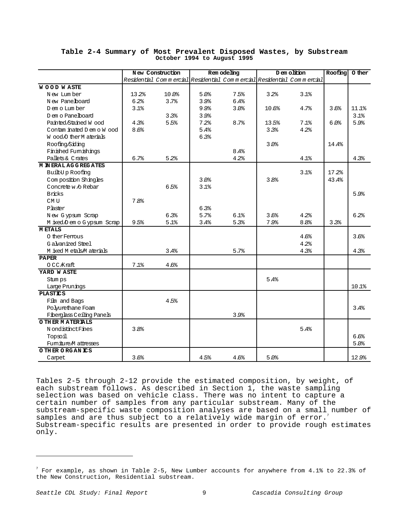|                             |                  | New Construction |      | Rem odeling                                                          |       | D em olition     | Roofing | 0 ther |
|-----------------------------|------------------|------------------|------|----------------------------------------------------------------------|-------|------------------|---------|--------|
|                             |                  |                  |      | Residential Commercial Residential Commercial Residential Commercial |       |                  |         |        |
| <b>WOOD WASTE</b>           |                  |                  |      |                                                                      |       |                  |         |        |
| New Lumber                  | 13.2%            | 10.0%            | 5.0% | 7.5%                                                                 | 3.2%  | 3.1%             |         |        |
| New Panelboard              | 6.2%             | 3.7%             | 3.9% | 6.4%                                                                 |       |                  |         |        |
| D em o Lum ber              | 3.1%             |                  | 9.9% | 3.0%                                                                 | 10.6% | 4.7%             | 3.6%    | 11.1%  |
| Dem o Pane board            |                  | 3.3%             | 3.9% |                                                                      |       |                  |         | 3.1%   |
| Painted Stained Wood        | 4.3%             | 5.5%             | 7.2  | 8.7%                                                                 | 13.5% | 7.1%             | 6.0%    | 5.9%   |
| Contam inated D em o W ood  | 8.6%             |                  | 5.4% |                                                                      | 3.3%  | 4.2%             |         |        |
| Wood O ther M aterials      |                  |                  | 6.3% |                                                                      |       |                  |         |        |
| Roofing/Siding              |                  |                  |      |                                                                      | 3.0%  |                  | 14.4%   |        |
| Finished Fumishings         |                  |                  |      | 8.4%                                                                 |       |                  |         |        |
| Pallets & Crates            | 6.7%             | 5.2%             |      | 4.2%                                                                 |       | 4.1%             |         | 4.3%   |
| <b>M IN ERAL AGGREGATES</b> |                  |                  |      |                                                                      |       |                  |         |        |
| Built-Up Roofing            |                  |                  |      |                                                                      |       | 3.1%             | 17.2%   |        |
| Com position Shingles       |                  |                  | 3.0% |                                                                      | 3.8%  |                  | 43.4%   |        |
| Concrete w /o Rebar         |                  | 6.5%             | 3.1% |                                                                      |       |                  |         |        |
| <b>Bricks</b>               |                  |                  |      |                                                                      |       |                  |         | 5.9%   |
| CM <sub>U</sub>             | 7.8 <sup>°</sup> |                  |      |                                                                      |       |                  |         |        |
| Plaster                     |                  |                  | 6.3% |                                                                      |       |                  |         |        |
| New Gypsum Scrap            |                  | 6.3%             | 5.7% | 6.1%                                                                 | 3.6%  | 4.2%             |         | 6.2%   |
| M ixed D em o G ypsum Scrap | 9.5%             | 5.1%             | 3.4% | 5.3%                                                                 | 7.9%  | 8.8 <sup>°</sup> | 3.3%    |        |
| <b>METALS</b>               |                  |                  |      |                                                                      |       |                  |         |        |
| O ther Ferrous              |                  |                  |      |                                                                      |       | 4.6%             |         | 3.6%   |
| G alvanized Steel           |                  |                  |      |                                                                      |       | 4.2%             |         |        |
| M ixed M etals M aterials   |                  | 3.4%             |      | 5.7%                                                                 |       | 4.3%             |         | 4.3%   |
| <b>PAPER</b>                |                  |                  |      |                                                                      |       |                  |         |        |
| OCC Kraft                   | 7.1%             | 4.6%             |      |                                                                      |       |                  |         |        |
| YARD WASTE                  |                  |                  |      |                                                                      |       |                  |         |        |
| Stum ps                     |                  |                  |      |                                                                      | 5.4%  |                  |         |        |
| Large Prunings              |                  |                  |      |                                                                      |       |                  |         | 10.1%  |
| <b>PLASTICS</b>             |                  |                  |      |                                                                      |       |                  |         |        |
| Film and Bags               |                  | 4.5%             |      |                                                                      |       |                  |         |        |
| Polyurethane Foam           |                  |                  |      |                                                                      |       |                  |         | 3.4%   |
| Fiberglass Ceiling Panels   |                  |                  |      | 3.9%                                                                 |       |                  |         |        |
| O THER MATERIALS            |                  |                  |      |                                                                      |       |                  |         |        |
| N ondistinct Fines          | 3.8%             |                  |      |                                                                      |       | 5.4%             |         |        |
| Topsoil                     |                  |                  |      |                                                                      |       |                  |         | 6.6%   |
| Fumiture M attresses        |                  |                  |      |                                                                      |       |                  |         | 5.0%   |
| O THER ORGANICS             |                  |                  |      |                                                                      |       |                  |         |        |
| Carpet                      | 3.6%             |                  | 4.5% | 4.6%                                                                 | 5.0%  |                  |         | 12.9%  |

### **Table 2-4 Summary of Most Prevalent Disposed Wastes, by Substream October 1994 to August 1995**

Tables 2-5 through 2-12 provide the estimated composition, by weight, of each substream follows. As described in Section 1, the waste sampling selection was based on vehicle class. There was no intent to capture a certain number of samples from any particular substream. Many of the substream-specific waste composition analyses are based on a small number of samples and are thus subject to a relatively wide margin of error.<sup>7</sup> Substream-specific results are presented in order to provide rough estimates only.

e<br>B

 $^{7}$  For example, as shown in Table 2-5, New Lumber accounts for anywhere from 4.1% to 22.3% of the New Construction, Residential substream.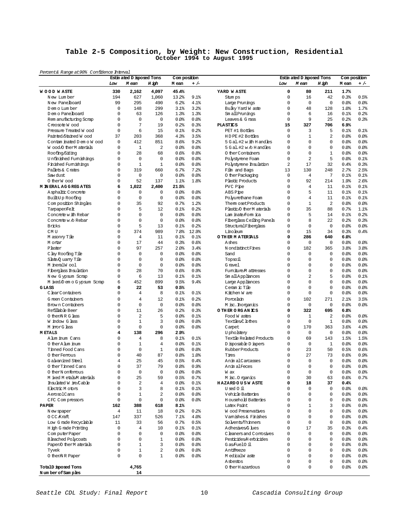#### **Table 2-5 Composition, by Weight: New Construction, Residential October 1994 to August 1995**

| Percent& Range at 90% Confidence Interval   |                |                                    |                            |                       |                 |                                                 |                |                                    |                 |              |                       |
|---------------------------------------------|----------------|------------------------------------|----------------------------|-----------------------|-----------------|-------------------------------------------------|----------------|------------------------------------|-----------------|--------------|-----------------------|
|                                             | Low            | Estin ated D isposed Tons<br>M ean | H igh                      | Com position<br>M ean | $+/-$           |                                                 | Low            | Estin ated D isposed Tons<br>M ean | H igh           | M ean        | Com position<br>$+/-$ |
| <b>WOOD WASTE</b>                           | 330            | 2,162                              | 4,097                      | 45.4%                 |                 | YARD WASTE                                      | $\mathbf 0$    | 80                                 | 211             | 1.7%         |                       |
| N ew Lum ber                                | 194            | 627                                | 1,060                      | 13.2%                 | 9.1%            | Stum ps                                         | $\Omega$       | 16                                 | 42              | 0.3%         | 0.5%                  |
| New Panelboard                              | 99             | 295                                | 490                        | 6.2%                  | 4.1%            | Large Prunings                                  | $\Omega$       | $\mathbf 0$                        | $\mathbf 0$     | 0.0%         | 0.0                   |
| D em o Lum ber                              | $\mathbf 0$    | 148                                | 299                        | 3.1%                  | 3.2%            | Bulky Yard W aste                               | 0              | 48                                 | 128             | 1.0%         | 1.7%                  |
| D em o Panelboard                           | 0              | 63                                 | 126                        | 1.3%                  | 1.3%            | Sm all Prunings                                 | $\mathbf 0$    | 6                                  | 16              | 0.1%         | 0.2%                  |
| Rem anufacturing Scrap                      | 0              | $\mathsf 0$                        | 0                          | 0.0%                  | 0.0%            | Leaves & G rass                                 | $\mathbf 0$    | 9                                  | 25              | 0.2%         | 0.3%                  |
| Creosote Wood                               | 0              | $\overline{7}$                     | 19                         | 0.2%                  | 0.3%            | <b>PLASTICS</b>                                 | 15             | 327                                | 706             | 6.9%         |                       |
| Pressure Treated W ood                      | $\mathbf 0$    | 6                                  | 15                         | 0.1%                  | 0.2%            | PET #1 Bottles                                  | $\Omega$       | 3                                  | 5               | 0.1%         | 0.1%                  |
| Painted/Stained Wood                        | 37             | 203                                | 368                        | 4.3%                  | 3.5%            | HDPE #2 Bottles                                 | $\Omega$       | $\mathbf{1}$                       | $\overline{a}$  | 0.0%         | 0.0%                  |
| Contam inated D em o W ood                  | $\mathbf 0$    | 412                                | 851                        | 8.6%                  | 9.2%            | 5 G al. #2 w ith H and les                      | 0              | $\mathbf 0$                        | $\mathbf 0$     | 0.0          | 0.0                   |
| Wood O ther Materials                       | 0              | $\mathbf{1}$                       | 2                          | 0.0%                  | $0.0$ %         | 5 Gal.#2 w /o H and les                         | $\Omega$       | $\mathbf 0$                        | $\mathbf 0$     | 0.0          | 80.0                  |
| Roofing/Siding                              | 0              | 28                                 | 68                         | 0.6%                  | 0.8%            | 0 ther Containers                               | $\Omega$       | $\mathbf 0$                        | $\mathbf{1}$    | 0.0          | 0.0%                  |
| Unfinished Fumishings                       | 0              | $\mathbf 0$                        | $\mathbf 0$                | 0.0%                  | $0.0$ %         | Polystyrene Foam                                | $\Omega$       | $\overline{a}$                     | 5               | 0.0%         | 0.1%                  |
| Finished Fumishings                         | 0              | $\mathbf{1}$                       | $\mathbf{1}$               | 0.0%                  | 0.0%            | Polystyrene Insulation                          | $\overline{a}$ | 17                                 | 32              | 0.4%         | 0.3%                  |
| Pallets & Crates                            | 0              | 319                                | 660                        | 6.7%                  | 7.2%            | Film and Bags                                   | 13             | 130                                | 248             | 2.7%         | 2.5%                  |
| Saw dust                                    | 0              | $\mathsf 0$                        | 0                          | 0.0%                  | 0.0             | 0 ther Packaging                                | 0              | $\overline{4}$                     | $7\phantom{.0}$ | 0.1%         | 0.1%                  |
| O therW ood                                 | 0              | 52                                 | 137                        | 1.1%                  | 1.8%            | Plastic Products                                | 0              | 92                                 | 214             | 1.9%         | 2.6%                  |
| <b>M IN ERAL AG G REG ATES</b>              | 6              | 1,022                              | 2,400                      | 21.5%                 |                 | PVC Pipe                                        | 0              | $\overline{4}$                     | 11              | 0.1%         | 0.1%                  |
| Asphaltic Concrete                          | 0              | 0                                  | $\mathbf 0$                | 0.0%                  | 0.0%            | ABS Pipe                                        | $\Omega$       | 5                                  | 11              | 0.1%         | 0.1%                  |
| Built-Up Roofing                            | 0              | $\mathbf 0$                        | $\mathbf 0$                | 0.0%                  | 0.0%            | Polyurethane Foam                               | 0              | $\overline{4}$                     | 11              | 0.1%         | 0.1%                  |
| Com position Shingles                       | 0              | 35                                 | 92                         | 0.7%                  | 1.2%            | Them osetProducts                               | 0              | $\mathbf{1}$                       | $\overline{2}$  | 0.0%         | 0.0                   |
| Tarpaper/Felt                               | 0<br>0         | 5<br>$\mathbf 0$                   | 12                         | 0.1%                  | 0.2%            | Plastic O ther M aterials                       | 0<br>$\Omega$  | 35                                 | 88              | 0.7%         | 1.1%                  |
| Concrete w ith Rebar<br>Concrete w /o Rebar | 0              | $\mathbf 0$                        | $\mathbf 0$<br>$\mathbf 0$ | 0.0<br>0.0%           | $0.0$ %<br>0.0% | Lam inate/Form ica<br>Fiberglass Ceiling Panels | 0              | 5<br>8                             | 14<br>22        | 0.1%<br>0.2% | 0.2%<br>0.3%          |
|                                             | 0              | 5                                  | 13                         | 0.1%                  | 0.2%            | StructuralFiberglass                            | 0              | $\mathbf 0$                        | $\mathbf 0$     | 0.0          | 0.0%                  |
| <b>Bricks</b><br>CM <sub>U</sub>            | 0              | 374                                | 989                        | 7.8%                  | 12.9%           | Linoleum                                        | $\Omega$       | 15                                 | 34              | 0.3%         | 0.4%                  |
|                                             | 0              | $\overline{4}$                     |                            | 0.1%                  | 0.1%            | O THER MATERIALS                                | 0              | 286                                | 640             | 6.0%         |                       |
| M asonry Tile                               | 0              | 17                                 | 11<br>44                   | 0.3%                  | 0.6%            | Ashes                                           | 0              | $\mathbf 0$                        | $\mathbf 0$     | 0.0%         | 0.0                   |
| M ortar<br>Plaster                          | $\Omega$       | 97                                 | 257                        | 2.0%                  | 3.4%            | N ondistinct Fines                              | 0              | 182                                | 365             | 3.8%         | 3.8%                  |
| C lay Roofing Tile                          | 0              | $\mathbf 0$                        | 0                          | 0.0%                  | 0.0%            | Sand                                            | 0              | $\mathbf 0$                        | $\mathbf 0$     | 0.0          | 0.0%                  |
| Slate Q uarry Tile                          | 0              | $\mathbf 0$                        | 0                          | 0.0%                  | $0.0$ %         | Topsoil                                         | $\Omega$       | $\mathbf 0$                        | $\mathbf 0$     | 0.0          | 80.0                  |
| M ineralW ool                               | 0              | $\mathbf 0$                        | $\mathbf 0$                | 0.0%                  | 0.0%            | G ravel                                         | $\Omega$       | $\mathbf 0$                        | $\mathbf 0$     | 0.0          | 0.0%                  |
| Fiberglass Insulation                       | 0              | 28                                 | 70                         | 0.6%                  | 0.9%            | Fumiture M attresses                            | $\Omega$       | $\mathbf 0$                        | $\mathbf 0$     | 0.0%         | 0.0                   |
| New Gypsum Scrap                            | 0              | 6                                  | 13                         | 0.1%                  | 0.1%            | Sm all Appliances                               | $\Omega$       | $\overline{a}$                     | 5               | 0.0%         | 0.1%                  |
| M ixed/D em o G ypsum Scrap                 | 6              | 452                                | 899                        | 9.5%                  | 9.4%            | Large Appliances                                | 0              | $\mathbf 0$                        | $\mathbf 0$     | 0.0          | 0.0%                  |
| GLASS                                       | 0              | 22                                 | 53                         | 0.5%                  |                 | Ceram ic Tile                                   | $\Omega$       | $\mathbf 0$                        | $\mathbf 0$     | 0.0          | 80.0                  |
| ClearContainers                             | 0              | $\overline{4}$                     | 8                          | 0.1%                  | 0.1%            | Kitchen W are                                   | 0              | $\mathbf 0$                        | $\mathbf 0$     | 0.0          | 0.0                   |
| G reen Containers                           | 0              | $\overline{4}$                     | 12                         | 0.1%                  | 0.2%            | Porcelain                                       | 0              | 102                                | 271             | 2.1%         | 3.5%                  |
| Brown Containers                            | 0              | $\mathbf 0$                        | $\mathbf 0$                | 0.0%                  | 0.0             | M isc. horganics                                | 0              | $\mathbf 0$                        | $\mathbf 0$     | 0.0          | 0.0                   |
| Refillable Beer                             | $\Omega$       | 11                                 | 26                         | 0.2%                  | 0.3%            | O THER ORGANICS                                 | $\Omega$       | 322                                | 695             | 6.8%         |                       |
| O therNRG lass                              | 0              | $\overline{a}$                     | 5                          | 0.0%                  | 0.1%            | Food W astes                                    | 0              | $\mathbf{1}$                       | $\overline{a}$  | 0.0          | 0.0                   |
| W indow G lass                              | 0              | $\mathbf{1}$                       | 3                          | 0.0%                  | 0.0%            | Textiles,C lothes                               | 0              | $\mathbf 0$                        | $\mathbf{1}$    | 0.0          | 80.0                  |
| M inorG lass                                | 0              | 0                                  | $\mathbf 0$                | 0.0                   | 0.0%            | Carpet                                          | 0              | 170                                | 363             | 3.6%         | 4.0%                  |
| <b>METALS</b>                               | 4              | 138                                | 296                        | 2.9%                  |                 | U pholstery                                     | 0              | $\mathbf 0$                        | $\mathbf 0$     | 0.0          | 0.0                   |
| A lum inum Cans                             | 0              | $\overline{4}$                     | 8                          | 0.1%                  | 0.1%            | Textile Related Products                        | $\Omega$       | 69                                 | 143             | 1.5%         | 1.5%                  |
| O ther A lum inum                           | 0              | $\mathbf{1}$                       | $\overline{4}$             | 0.0%                  | 0.1%            | D isposable D iapers                            | 0              | $\mathbf 0$                        | $\mathbf{1}$    | 0.0%         | 0.0                   |
| Tinned Food Cans                            | 0              | $\mathbf 0$                        | $\mathbf{1}$               | 0.0%                  | 0.0             | <b>RubberProducts</b>                           | 0              | 23                                 | 50              | 0.5%         | 0.6%                  |
| O ther Femous                               | 0              | 40                                 | 87                         | 0.8%                  | 1.0%            | Tires                                           | $\Omega$       | 27                                 | 73              | 0.6%         | 0.9%                  |
| G alvanized Steel                           | 4              | 25                                 | 45                         | 0.5%                  | 0.4%            | Anim alCarcasses                                | $\Omega$       | $\Omega$                           | $\mathbf 0$     | 0.0          | 80.0                  |
| 0 ther Tinned Cans                          | 0              | 37                                 | 79                         | 0.8%                  | 0.9%            | AnimalFeces                                     | $\Omega$       | $\Omega$                           | $\Omega$        | 0.0          | 0.0%                  |
| 0 therN onferrous                           | $\mathsf 0$    | $\mathbb O$                        | $\mathsf 0$                | 0.0                   | 0.0             | W ax                                            | $\mathsf 0$    | $\mathsf 0$                        | $\mathbb O$     | 0.0          | 80.0                  |
| M ixed M etals/M aterials                   | 0              | 25                                 | 59                         | 0.5%                  | 0.7%            | M isc. O rganics                                | 0              | 30                                 | 63              | 0.6%         | 0.7%                  |
| Insulated W ire Cable                       | 0              | $\overline{a}$                     | $\overline{4}$             | 0.0%                  | $0.1$ %         | <b>HAZARDOUSWASTE</b>                           | 0              | 18                                 | 37              | 0.4%         |                       |
| Electric M otors                            | 0              | 3                                  | 8                          | 0.1%                  | 0.1%            | Used 0 il                                       | $\Omega$       | $\mathbf 0$                        | $\mathbf 0$     | 0.0          | 80.08                 |
| AerosolCans                                 | $\Omega$       | $\mathbf{1}$                       | 2                          | 0.0                   | 0.0             | Vehicle Batteries                               | $\Omega$       | $\mathbf 0$                        | $\Omega$        | 0.0          | 80.08                 |
| CFC Compressors                             | 0              | $\mathbf 0$                        | 0                          | 0.0                   | 0.0             | <b>H</b> ousehold Batteries                     | 0              | $\mathbf 0$                        | $\mathbf 0$     | 0.0          | 80.0                  |
| <b>PAPER</b>                                | 162            | 388                                | 618                        | 8.1%                  |                 | Latex Paint                                     | $\Omega$       | $\mathbf{1}$                       | 3               | 0.0          | 80.08                 |
| N ew spaper                                 | $\overline{4}$ | 11                                 | 18                         | 0.2%                  | 0.2%            | <b>W</b> ood Preservatives                      | $\Omega$       | $\mathbf 0$                        | $\mathbf 0$     | 0.0          | 80.08                 |
| OCC Kraft                                   | 147            | 337                                | 526                        | 7.1%                  | 4.0%            | Vamishes & Finishes                             | $\Omega$       | $\mathbf 0$                        | $\Omega$        | 0.0          | 80.08                 |
| Low Grade Recyclable                        | 11             | 33                                 | 56                         | 0.7%                  | 0.5%            | So vents/Th inners                              | $\Omega$       | $\mathbf 0$                        | $\Omega$        | 0.0          | 80.08                 |
| H igh G rade Printing                       | 0              | $\overline{4}$                     | 10                         | 0.1%                  | 0.1%            | AdhesivesG lues                                 | 0              | 17                                 | 35              | 0.3%         | 0.4%                  |
| ComputerPaper                               | 0              | $\mathbf 0$                        | $\mathbf 0$                | 0.0                   | 0.0             | C leaners and Comosives                         | 0              | $\mathbf 0$                        | $\Omega$        | 0.0          | 80.08                 |
| <b>Bleached Polycoats</b>                   | 0              | $\mathbf 0$                        | $\mathbf{1}$               | 0.0                   | 0.0             | Pesticides/Herbicides                           | 0              | $\mathbf 0$                        | 0               | 0.0          | 80.08                 |
| Paper/O therM aterials                      | 0              | $\mathbf{1}$                       | 3                          | 0.0                   | 0.0             | Gas/FuelO il                                    | $\Omega$       | $\mathbf 0$                        | $\Omega$        | 0.0          | 80.08                 |
| Tyvek                                       | 0              | $\mathbf{1}$                       | $\overline{a}$             | 0.0                   | 0.0             | Antifreeze                                      | $\Omega$       | $\mathbf 0$                        | $\Omega$        | 0.0          | 80.08                 |
| 0 then NR Paper                             | 0              | $\mathbf 0$                        | $\mathbf{1}$               | 0.0                   | 0.0             | M edicalW aste                                  | 0              | $\mathbf 0$                        | 0               | 0.0          | 80.08                 |
|                                             |                |                                    |                            |                       |                 | <b>A</b> sbestos                                | 0              | $\mathbf 0$                        | 0               | 0.0          | 80.08                 |
| TotalD isposed Tons                         |                | 4,765                              |                            |                       |                 | 0 ther H azardous                               | 0              | $\mathbf 0$                        | $\mathbf 0$     | 0.0          | 80.08                 |
| Number of Samples                           |                | 14                                 |                            |                       |                 |                                                 |                |                                    |                 |              |                       |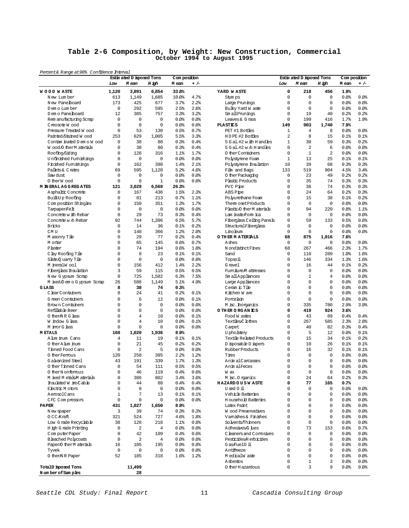### **Table 2-6 Composition, by Weight: New Construction, Commercial October 1994 to August 1995**

| Percent& Range at 90% Confidence Interval |               |                                    |                    |                       |                 |                                  |                |                                    |                    |                       |              |
|-------------------------------------------|---------------|------------------------------------|--------------------|-----------------------|-----------------|----------------------------------|----------------|------------------------------------|--------------------|-----------------------|--------------|
|                                           | Low           | Estin ated D isposed Tons<br>M ean | H igh              | Com position<br>M ean | $+/-$           |                                  | Low            | Estin ated D isposed Tons<br>M ean | H igh              | Com position<br>M ean | $+/-$        |
| <b>WOOD WASTE</b>                         | 1,120         | 3,891                              | 6,854              | 33.8%                 |                 | YARD WASTE                       | 0              | 218                                | 456                | 1.9%                  |              |
| New Lumber                                | 613           | 1,149                              | 1,685              | 10.0%                 | 4.7%            | Stum ps                          | $\Omega$       | $\mathbf 0$                        | $\mathbf 0$        | 0.0%                  | 0.0%         |
| New Panelboard                            | 173           | 425                                | 677                | 3.7%                  | 2.2%            | Large Prunings                   | $\Omega$       | $\circ$                            | $\mathbf 0$        | 0.0%                  | 0.0%         |
| D em o Lum ber                            | $\mathbf 0$   | 292                                | 595                | 2.5%                  | 2.6%            | Bulky Yard W aste                | $\Omega$       | $\mathbf 0$                        | $\mathbf 0$        | 0.0%                  | 0.0%         |
| D em o Panelboard                         | 12            | 385                                | 757                | 3.3%                  | 3.2%            | Sm all Prunings                  | 0              | 19                                 | 40                 | 0.2%                  | 0.2%         |
| Rem anufacturing Scrap                    | 0             | 0                                  | $\mathbf 0$        | 0.0                   | 0.0%            | Leaves & G rass                  | 0              | 199                                | 416                | 1.7%                  | 1.9%         |
| Creosote Wood                             | $\mathbf 0$   | $\mathbf 0$                        | 0                  | 0.0                   | 0.0%            | <b>PLASTICS</b>                  | 149            | 903                                | 1,740              | 7.9%                  |              |
| Pressure Treated W ood                    | $\mathbf 0$   | 53                                 | 130                | 0.5%                  | 0.7%            | PET #1 Bottles                   | $\mathbf{1}$   | $\overline{4}$                     | 8                  | 0.0%                  | 0.0%         |
| Painted Stained Wood                      | 253           | 629                                | 1,005              | 5.5%                  | 3.3%            | HDPE #2 Bottles                  | $\overline{a}$ | 8                                  | 15                 | 0.1%                  | 0.1%         |
| Contam inated D em o W ood                | $\mathbf 0$   | 38                                 | 88                 | 0.3%                  | 0.4%            | 5 G al. #2 w ith H and les       | $\mathbf{1}$   | 30                                 | 59                 | 0.3%                  | 0.2%         |
| Wood O ther M aterials                    | 0             | 38                                 | 80                 | 0.3%                  | 0.4%            | $5$ G al. #2 w $\land$ H and les | $\Omega$       | $\overline{a}$                     | 6                  | 0.0%                  | 80.0         |
| Roofing/Siding                            | 0             | 126                                | 316                | 1.1%                  | 1.7%            | 0 ther Containers                | $\Omega$       | $\mathbf{1}$                       | $\overline{a}$     | 0.0%                  | 0.0%         |
| Unfinished Fumishings                     | 0             | 0                                  | 0                  | 0.0                   | $0.0$ %         | Polystyrene Foam                 | $\mathbf{1}$   | 13                                 | 25                 | 0.1%                  | 0.1%         |
| Finished Fumishings                       | $\mathbf 0$   | 162                                | 398                | 1.4%                  | 2.1%            | Polystyrene Insulation           | 10             | 39                                 | 68                 | 0.3%                  | 0.3%         |
| Pallets & Crates                          | 69            | 595                                | 1,120              | 5.2%                  | 4.6%            | Film and Bags                    | 133            | 519                                | 904                | 4.5%                  | 3.4%         |
| Saw dust                                  | 0             | 0                                  | 0                  | 0.0                   | $0.0$ %         | 0 ther Packaging                 | 0              | 23                                 | 49                 | 0.2%                  | 0.2%         |
| O therW ood                               | $\mathbf 0$   | $\mathbf 0$                        | $\mathbf{1}$       | 0.0                   | 0.0%            | Plastic Products                 | 0              | 35                                 | 74                 | 0.3%                  | 0.3%         |
| <b>M IN ERAL AG G REG ATES</b>            | 121           | 3,029                              | 6,569              | 26.3%                 |                 | PVC Pipe                         | 0              | 36                                 | 74                 | 0.3%                  | 0.3%         |
| Asphaltic Concrete                        | 0             | 167                                | 436                | 1.5%                  | 2.3%            | ABS Pipe                         | $\Omega$       | 24                                 | 64                 | 0.2%                  | 0.3%         |
| Built-Up Roofing                          | 0             | 81                                 | 213                | 0.7%                  | 1.1%            | Polyurethane Foam                | 0              | 15                                 | 38                 | 0.1%                  | 0.2%         |
| Composition Shingles                      | 0             | 150                                | 351                | 1.3%                  | 1.7%            | Them osetProducts                | $\Omega$       | $\circ$                            | $\mathbf 0$        | 0.0%                  | 0.0          |
| Tampaper/Felt                             | 0             | 0                                  | $\mathbf 0$        | 0.0                   | 0.0%            | Plastic O ther M aterials        | 0              | 94                                 | 220                | 0.8%                  | 1.1%         |
| Concrete with Rebar                       | $\mathbf 0$   | 29                                 | 73                 | 0.3%                  | 0.4%            | Lam inate Form ica               | $\Omega$       | $\circ$                            | $\mathbf 0$        | 0.0%                  | 0.0%         |
| Concrete w /o Rebar                       | 92            | 744                                | 1,396              | 6.5%                  | 5.7%            | Fiberglass Ceiling Panels        | 0              | 59                                 | 133                | 0.5%                  | 0.6%         |
| <b>Bricks</b>                             | $\mathbf 0$   | 14                                 | 36                 | 0.1%                  | 0.2%            | StructuralFiberglass             | 0              | $\mathbf 0$                        | $\mathbf 0$        | 0.0%                  | 0.0%         |
| CM <sub>U</sub>                           | 0             | 140                                | 366                | 1.2%                  | 2.0%            | Linoleum                         | 0              | $\mathbf 0$                        | $\mathbf 0$        | 0.0                   | 0.0          |
| M asonry Tile                             | 0             | 29                                 | 77                 | 0.2%                  | 0.4%            | O THER MATERIALS                 | 68             | 875                                | 1,916              | 7.6%                  |              |
| M ortar<br>Plaster                        | 0<br>$\Omega$ | 65<br>74                           | 145<br>194         | 0.6%<br>0.6%          | 0.7%<br>1.0%    | Ashes<br>N ondistinct Fines      | $\circ$<br>68  | $\circ$<br>267                     | $\mathbf 0$<br>466 | 0.0%<br>2.3%          | 0.0<br>1.7%  |
|                                           | 0             | 8                                  |                    |                       |                 |                                  | $\mathbf 0$    |                                    |                    |                       |              |
| C lay Roofing Tile<br>Slate O uarry Tile  | 0             |                                    | 23                 | 0.1%<br>0.0           | 0.1%            | Sand                             | $\Omega$       | 110                                | 289<br>334         | 1.0%<br>1.3%          | 1.6%         |
|                                           | 0             | 0<br>156                           | $\mathbf 0$<br>412 | 1.4%                  | $0.0$ %<br>2.2% | Topsoil<br>G ravel               | $\Omega$       | 146<br>16                          | 44                 | 0.1%                  | 1.6%<br>0.2% |
| M ineralW ool<br>Fiberglass Insulation    | 3             | 59                                 | 115                | 0.5%                  | 0.5%            | Fumiture M attresses             | $\Omega$       | $\circ$                            | $\mathbf 0$        | 0.0%                  | 0.0%         |
| New Gypsum Scrap                          | $\mathbf 0$   | 725                                | 1,582              | 6.3%                  | 7.5%            | Sm all Appliances                | 0              | $\mathbf 1$                        | $\overline{4}$     | 0.0%                  | 0.0%         |
| M ixed/D em o G ypsum Scrap               | 26            | 588                                | 1,149              | 5.1%                  | 4.9%            | Large Appliances                 | 0              | $\mathbf 0$                        | 0                  | 0.0                   | 0.0%         |
| GLASS                                     | 8             | 38                                 | 74                 | 0.3%                  |                 | Ceram ic Tile                    | $\Omega$       | $\circ$                            | 0                  | 0.0%                  | 80.0         |
| ClearContainers                           | 8             | 24                                 | 41                 | 0.2%                  | 0.1%            | Kitchen W are                    | 0              | $\mathbf 0$                        | $\mathbf 0$        | 0.0                   | 0.0          |
| G reen Containers                         | 0             | 6                                  | 12                 | 0.0                   | 0.1%            | Porcelain                        | 0              | $\mathbf 0$                        | $\mathbf 0$        | 0.0%                  | 0.0%         |
| Brown Containers                          | 0             | 0                                  | $\mathbf 0$        | 0.0                   | 0.0             | M isc. horganics                 | 0              | 335                                | 780                | 2.9%                  | 3.9%         |
| Refillable Beer                           | $\Omega$      | $\mathbf 0$                        | 0                  | $0.0$ $%$             | 0.0%            | O THER ORGANICS                  | 0              | 419                                | 924                | 3.6%                  |              |
| O then NR G lass                          | 0             | 4                                  | 10                 | 0.0                   | 0.1%            | Food W astes                     | 0              | 43                                 | 89                 | 0.4%                  | 0.4%         |
| W indow G lass                            | 0             | 4                                  | 10                 | 0.0                   | 0.1%            | Textiles,C lothes                | 0              | 267                                | 585                | 2.3%                  | 2.8%         |
| M imorG lass                              | $\mathbf 0$   | 0                                  | $\mathbf 0$        | 0.0                   | 0.0%            | Carpet                           | 0              | 40                                 | 82                 | 0.3%                  | 0.4%         |
| <b>METALS</b>                             | 168           | 1,020                              | 1,936              | 8.9%                  |                 | U pholstery                      | $\Omega$       | 5                                  | 12.                | 0.0                   | 0.1%         |
| Alum inum Cans                            | 4             | 11                                 | 19                 | 0.1%                  | 0.1%            | Textile Related Products         | $\Omega$       | 15                                 | 34                 | 0.1%                  | 0.2%         |
| O ther A lum inum                         | 0             | 21                                 | 45                 | 0.2%                  | 0.2%            | D isposable D iapers             | 0              | 10                                 | 26                 | 0.1%                  | 0.1%         |
| Tinned Food Cans                          | 0             | 2                                  | 5                  | 0.0                   | 0.0             | Rubber Products                  | $\Omega$       | 16                                 | 32                 | 0.1%                  | 0.1%         |
| O ther Fermus                             | 120           | 258                                | 395                | 2.2%                  | 1.2%            | Tires                            | $\Omega$       | $\circ$                            | $\mathbf 0$        | 0.0%                  | 0.0%         |
| G alvanized Steel                         | 43            | 191                                | 339                | 1.7%                  | 1.3%            | Anim alCarcasses                 | 0              | $\Omega$                           | $\Omega$           | 0.0                   | 80.0         |
| O ther Tinned Cans                        | $\Omega$      | 54                                 | 111                | 0.5%                  | 0.5%            | AnimalFeces                      | $\Omega$       | $\Omega$                           | $\Omega$           | 0.0                   | 0.0%         |
| 0 therN onferrous                         | 0             | 46                                 | 119                | 0.4%                  | 0.6%            | W ax                             | $\mathsf 0$    | $\mathsf 0$                        | $\mathbb O$        | 0.0%                  | 80.0         |
| M ixed M etals M aterials                 | 0             | 386                                | 802                | 3.4%                  | 3.6%            | M isc. O rganics                 | 0              | 24                                 | 64                 | 0.2%                  | 0.3%         |
| Insulated W ire Cable                     | 0             | 44                                 | 88                 | 0.4%                  | 0.4%            | <b>HAZARDOUSWASTE</b>            | 0              | 77                                 | 165                | 0.7%                  |              |
| Electric M otors                          | $\Omega$      | 0                                  | $\mathbf 0$        | 0.0                   | 0.0             | Used 0 il                        | $\Omega$       | $\circ$                            | $\mathbf 0$        | 0.0                   | 80.08        |
| AerosolCans                               | $\mathbf{1}$  | 7                                  | 13                 | 0.1%                  | 0.1%            | Vehicle Batteries                | $\Omega$       | $\circ$                            | $\Omega$           | 0.0                   | 80.08        |
| CFC Compressors                           | 0             | 0                                  | $\mathbf 0$        | 0.0                   | 0.0             | <b>Household Batteries</b>       | 0              | $\mathbf 0$                        | 0                  | 0.0                   | 80.08        |
| <b>PAPER</b>                              | 431           | 1,027                              | 1,650              | 8.9%                  |                 | <b>Tatex Paint.</b>              | 0              | $\circ$                            | 0                  | 0.0                   | 80.08        |
| N ew spaper                               | 3             | 39                                 | 74                 | 0.3%                  | 0.3%            | <b>Wood Preservatives</b>        | $\Omega$       | $\mathbf 0$                        | $\mathbf 0$        | 0.0                   | 80.08        |
| OCC Kraft                                 | 321           | 524                                | 727                | 4.6%                  | 1.8%            | Vamishes & Finishes              | $\Omega$       | $\circ$                            | $\Omega$           | 0.0                   | 80.08        |
| Low Grade Recyclable                      | 38            | 128                                | 218                | 1.1%                  | 0.8%            | So lvents/Thinners               | $\Omega$       | $\mathbf 0$                        | $\mathbf 0$        | 0.0                   | 80.08        |
| H igh G rade Printing                     | 0             | 2                                  | 4                  | 0.0%                  | 0.0             | AdhesivesG lues                  | 0              | 73                                 | 153                | 0.6%                  | 0.7%         |
| ComputerPaper                             | 0             | 42                                 | 109                | 0.4%                  | 0.6%            | C leaners and Compsives          | $\Omega$       | $\circ$                            | $\mathbf 0$        | 0.0                   | 80.08        |
| <b>Bleached Polycoats</b>                 | $\mathbf 0$   | 2                                  | $\overline{4}$     | 0.0                   | 0.0             | Pesticides/H erbicides           | 0              | $\mathbf 0$                        | 0                  | 0.0                   | 80.08        |
| Paper/O therM aterials                    | 16            | 105                                | 195                | 0.9%                  | 0.8%            | Gas/Fuel0 il                     | $\Omega$       | $\circ$                            | $\Omega$           | 0.0                   | 80.08        |
| Tyvek                                     | $\mathbf 0$   | 0                                  | $\mathbf 0$        | 0.0%                  | 0.0             | Antifreeze                       | $\Omega$       | $\Omega$                           | $\Omega$           | 0.0                   | 80.08        |
| 0 then NR Paper                           | 52            | 185                                | 318                | 1.6%                  | 1.2%            | M edicalW aste                   | 0              | $\mathbf 0$                        | 0                  | 0.0                   | 80.08        |
|                                           |               |                                    |                    |                       |                 | <b>A</b> sbestos                 | 0              | $\mathbf{1}$                       | 3                  | 0.0                   | 80.08        |
| TotalD isposed Tons                       |               | 11,499                             |                    |                       |                 | 0 ther H azardous                | 0              | $\overline{3}$                     | 9                  | 0.0                   | 80.08        |
| Number of Samples                         |               | 28                                 |                    |                       |                 |                                  |                |                                    |                    |                       |              |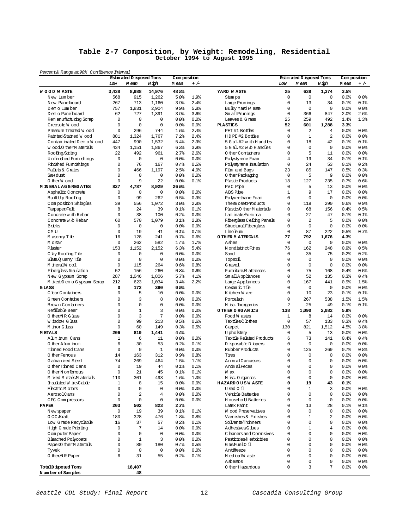### **Table 2-7 Composition, by Weight: Remodeling, Residential October 1994 to August 1995**

| Percent& Range at 90% Confidence Interval |                            |                                    |                   |                       |                  |                                  |                |                                    |                   |                       |       |
|-------------------------------------------|----------------------------|------------------------------------|-------------------|-----------------------|------------------|----------------------------------|----------------|------------------------------------|-------------------|-----------------------|-------|
|                                           | Low                        | Estin ated D isposed Tons<br>M ean | H igh             | Com position<br>M ean | $+/-$            |                                  | Low            | Estin ated D isposed Tons<br>M ean | H igh             | Com position<br>M ean | $+/-$ |
| <b>WOOD WASTE</b>                         | 3A38                       | 8,988                              | 14,976            | 48.8%                 |                  | YARD WASTE                       | 25             | 638                                | 1,374             | 3.5%                  |       |
| New Lumber                                | 568                        | 915                                | 1,262             | 5.0%                  | 1.9%             | Stum ps                          | $\mathbf 0$    | $\mathbf 0$                        | $\mathbf 0$       | 0.0                   | 0.0   |
| New Panelboard                            | 267                        | 713                                | 1,160             | 3.9%                  | 2.4%             | Large Prunings                   | $\Omega$       | 13                                 | 34                | 0.1%                  | 0.1%  |
| D em o Lum ber                            | 757                        | 1,831                              | 2,904             | 9.9%                  | 5.8%             | Bulky Yard W aste                | 0              | 0                                  | $\mathbf 0$       | 0.0%                  | 0.0   |
| D em o Panelboard                         | 62                         | 727                                | 1,391             | 3.9%                  | 3.6%             | Sm all Prunings                  | 0              | 366                                | 847               | 2.0%                  | 2.6%  |
| Rem anufacturing Scrap                    | $\mathbf 0$                | $\mathbf 0$                        | 0                 | 0.0%                  | 0.0%             | Leaves & G rass                  | 25             | 259                                | 492               | 1.4%                  | 1.3%  |
| Creosote Wood                             | $\mathbf 0$                | $\mathbf 0$                        | $\mathbf 0$       | 0.0%                  | 0.0%             | <b>PLASTICS</b>                  | 52             | 601                                | 1,288             | 3.3%                  |       |
| Pressure Treated W ood                    | $\mathbf 0$                | 296                                | 744               | 1.6%                  | 2.4%             | PET #1 Bottles                   | $\Omega$       | 2                                  | 4                 | 0.0%                  | 0.0   |
| Painted/Stained Wood                      | 881                        | 1,324                              | 1,767             | 7.2%                  | 2.4%             | HDPE #2 Bottles                  | 0              | $1\,$                              | $\overline{a}$    | 0.0%                  | 80.0  |
| Contam inated D em o W ood                | 447                        | 990                                | 1,532             | 5.4%                  | 2.9%             | 5 G al. #2 w ith H and les       | 0              | 18                                 | 42                | 0.1%                  | 0.1%  |
| Wood O ther Materials                     | 434                        | 1,151                              | 1,867             | 6.3%                  | 3.9%             | $5$ G al. #2 w $\land$ H and les | 0              | $\mathbf 0$                        | $\mathbf 0$       | 0.0                   | 0.0   |
| Roofing/Siding                            | 22                         | 492                                | 961               | 2.7%                  | 2.6%             | 0 ther Containers                | $\Omega$       | 5                                  | 11                | 0.0                   | 0.0%  |
| Unfinished Fumishings                     | $\Omega$                   | $\mathbf 0$                        | $\mathbf 0$       | 0.0%                  | 0.0              | Polystyrene Foam                 | $\overline{4}$ | 19                                 | 34                | 0.1%                  | 0.1%  |
| Finished Fumishings                       | 0                          | 76                                 | 167               | 0.4%                  | 0.5%             | Polystyrene Insulation           | $\mathbf 0$    | 24                                 | 53                | 0.1%                  | 0.2%  |
| Pallets & Crates                          | 0                          | 466                                | 1,197             | 2.5%                  | 4.0%             | Film and Bags                    | 23             | 85                                 | 147               | 0.5%                  | 0.3%  |
| Saw dust                                  | 0                          | $\mathbf 0$                        | $\mathbf 0$       | 0.0%                  | 0.0              | 0 ther Packaging                 | $\mathbf 0$    | 5                                  | 9                 | 0.0                   | 0.0%  |
| O therW ood                               | $\mathbf 0$                | 9                                  | 22                | 0.0%                  | 0.1%             | Plastic Products                 | 18             | 127                                | 235               | 0.7%                  | 0.6%  |
| <b>M IN ERAL AG G REG ATES</b>            | 827                        | 4,787                              | 8,929             | 26.0%                 |                  | PVC Pipe                         | $\Omega$       | 5                                  | 13                | 0.0%                  | 0.0   |
| Asphaltic Concrete                        | $\mathbf 0$                | 0                                  | $\mathbf 0$       | 0.0%                  | 0.0              | ABS Pipe                         | $\mathbf{1}$   | 9                                  | 17                | 0.0%                  | 0.0   |
| Built-Up Roofing                          | $\mathsf 0$                | 99                                 | 262               | 0.5%                  | 0.9%             | Polyurethane Foam                | 0              | $\mathbf 0$                        | $\mathbf 0$       | 0.0                   | 0.0   |
| Com position Shingles                     | 39                         | 556                                | 1,072             | 3.0%                  | 2.8 <sup>8</sup> | Them oset Products               | 0              | 119                                | 290               | 0.6%                  | 0.9%  |
| Tarpaper/Felt                             | 8                          | 24                                 | 39                | 0.1%                  | 0.1%             | Plastic O ther M aterials        | 0              | 68                                 | 156               | 0.4%                  | 0.5%  |
| Concrete w ith Rebar                      | $\mathbf 0$                | 38<br>570                          | 100               | 0.2%                  | 0.3%             | Lam inate/Form ica               | 6              | 27<br>$\overline{a}$               | 47                | 0.1%                  | 0.1%  |
| Concrete w /o Rebar                       | 60                         |                                    | 1,079             | 3.1%                  | 2.8%             | Fiberglass Ceiling Panels        | 0              |                                    | 5                 | 0.0%                  | 80.0  |
| <b>Bricks</b>                             | $\mathbf 0$<br>$\mathbf 0$ | 0<br>19                            | $\mathbf 0$<br>41 | 0.0%                  | $0.0$ %          | StructuralFiberglass             | 0<br>0         | 0<br>87                            | $\mathbf 0$       | 0.0<br>0.5%           | 80.0  |
| CM U                                      |                            |                                    |                   | 0.1%                  | $0.1$ %          | Linoleum                         | 77             |                                    | 222               |                       | 0.7%  |
| M asonry Tile                             | 16<br>$\mathbf 0$          | 128                                | 241<br>582        | 0.7%<br>1.4%          | 0.6%<br>1.7%     | O THER MATERIALS                 | $\Omega$       | 792<br>$\mathbf 0$                 | 1,676<br>$\Omega$ | 4.3%<br>0.0%          | 0.0%  |
| M ortar                                   | 153                        | 262<br>1,152                       | 2,152             | 6.3%                  | 5.4%             | Ashes<br>N ondistinct Fines      | 76             | 162                                | 248               | 0.9%                  | 0.5%  |
| Plaster                                   | $\mathsf 0$                | $\mathsf 0$                        | $\mathbf 0$       | 0.0%                  | $0.0$ %          | Sand                             | 0              | 35                                 | 75                | 0.2%                  | 0.2%  |
| C lay Roofing Tile<br>Slate O uarry Tile  | $\mathbf 0$                | $\mathbf 0$                        | $\mathbf 0$       | 0.0%                  | $0.0$ %          |                                  | $\Omega$       | $\mathbf 0$                        | $\mathbf 0$       | 0.0%                  | 0.0%  |
| M ineralW ool                             | $\mathbf 0$                | 115                                | 264               | 0.6%                  | 0.8%             | Topsoil<br>G ravel               | 0              | $\mathbf 0$                        | $\mathbf 0$       | 0.0                   | 0.0   |
| Fiberglass Insulation                     | 52                         | 156                                | 260               | 0.8%                  | 0.6%             | Fumiture M attresses             | $\Omega$       | 75                                 | 168               | 0.4%                  | 0.5%  |
| New Gypsum Scrap                          | 287                        | 1,046                              | 1,806             | 5.7%                  | 4.1%             | Sm all Appliances                | 0              | 52                                 | 135               | 0.3%                  | 0.4%  |
| M ixed/D em o G ypsum Scrap               | 212                        | 623                                | 1,034             | 3.4%                  | 2.2%             | Large Appliances                 | 0              | 167                                | 441               | 0.9%                  | 1.5%  |
| GLASS                                     | 0                          | 172                                | 390               | 0.9%                  |                  | Ceram ic Tile                    | 0              | 0                                  | $\mathbf 0$       | 0.0                   | 0.0   |
| ClearContainers                           | $\mathbf 0$                | 5                                  | 10                | 0.0%                  | $0.0$ %          | Kitchen W are                    | $\Omega$       | 10                                 | 23                | 0.1%                  | 0.1%  |
| G reen Containers                         | 0                          | 3                                  | 8                 | 0.0%                  | $0.0$ %          | Porcelain                        | 0              | 267                                | 538               | 1.5%                  | 1.5%  |
| Brown Containers                          | 0                          | $\mathbf 0$                        | $\Omega$          | 0.0%                  | 0.0              | M isc. horganics                 | 2              | 25                                 | 49                | 0.1%                  | 0.1%  |
| Refillable Beer                           | 0                          | $\mathbf{1}$                       | 3                 | 0.0                   | 0.0%             | O THER ORGANICS                  | 138            | 1,090                              | 2,082             | 5.9%                  |       |
| 0 then NR G lass                          | 0                          | 3                                  | $\overline{7}$    | 0.0%                  | 0.0              | Food W astes                     | 1              | 8                                  | 14                | 0.0%                  | 80.0  |
| W indow G lass                            | 0                          | 99                                 | 213               | 0.5%                  | 0.6%             | Textiles,C lothes                | $\mathbf 0$    | 57                                 | 133               | 0.3%                  | 0.4%  |
| M inorG lass                              | $\mathbf 0$                | 60                                 | 149               | 0.3%                  | 0.5%             | Camet                            | 130            | 821                                | 1,512             | 4.5%                  | 3.8%  |
| <b>METALS</b>                             | 206                        | 819                                | 1A41              | 4.4%                  |                  | U pholstery                      | $\Omega$       | 5                                  | 13                | 0.0                   | 0.0   |
| Alum inum Cans                            | $\mathbf{1}$               | 6                                  | 11                | 0.0%                  | 0.0              | Textile Related Products         | 6              | 73                                 | 141               | 0.4%                  | 0.4%  |
| O ther A lum inum                         | 6                          | 30                                 | 53                | 0.2%                  | 0.1%             | D isposable D iapers             | 0              | 0                                  | $\mathbb O$       | 0.0                   | 0.0   |
| Tinned Food Cans                          | $\mathbf 0$                | $\mathbf 0$                        | 1                 | 0.0                   | 0.0              | Rubber Products                  | 0              | 125                                | 269               | 0.7%                  | 0.8%  |
| 0 ther Femous                             | 14                         | 163                                | 312               | 0.9%                  | 0.8%             | Tires                            | 0              | $\mathbf 0$                        | $\mathbf 0$       | 0.0%                  | 80.0  |
| Galvanized Steel                          | 74                         | 269                                | 464               | 1.5%                  | 1.1%             | Anim alCarcasses                 | $\Omega$       | $\Omega$                           | 0                 | 0.0                   | 0.0%  |
| 0 therTinned Cans                         | $\mathbb O$                | 19                                 | 44                | 0.1%                  | 0.1%             | AnimalFeces                      | 0              | $\mathsf 0$                        | 0                 | 0.0%                  | 0.0%  |
| 0 therN onferrous                         | 0                          | 21                                 | 45                | 0.1%                  | $0.1$ %          | W ax                             | 0              | 0                                  | 0                 | 0.0                   | 0.0   |
| M ixed M etals/M aterials                 | 110                        | 301                                | 493               | 1.6%                  | 1.0%             | M isc. O rganics                 | 0              | 0                                  | 0                 | 0.0                   | 80.08 |
| Insulated W ire/Cable                     | 1                          | 8                                  | 15                | 0.0                   | 0.0              | <b>HAZARDOUSWASTE</b>            | 0              | 19                                 | 43                | 0.1%                  |       |
| Electric Motors                           | 0                          | 0                                  | 0                 | 0.0                   | 80.08            | Used Oil                         | 0              | 1                                  | 3                 | 0.0                   | 80.08 |
| AerosolCans                               | 0                          | $\sqrt{2}$                         | 4                 | 0.0                   | 0.0              | Vehicle Batteries                | 0              | $\mathbf 0$                        | 0                 | 0.0                   | 80.08 |
| CFC Compressors                           | 0                          | $\mathsf 0$                        | 0                 | 0.0                   | 0.0              | <b>H</b> ousehold Batteries      | 0              | 0                                  | 0                 | 0.0                   | 80.08 |
| <b>PAPER</b>                              | 203                        | 502                                | 823               | 2.7%                  |                  | Latex Paint                      | 0              | 13                                 | 28                | 0.1%                  | 0.1%  |
| N ew spaper                               | $\mathsf 0$                | 19                                 | 39                | 0.1%                  | 0.1%             | Wood Preservatives               | 0              | 0                                  | 0                 | 0.0                   | 0.0   |
| 0 CC Kraft                                | 180                        | 328                                | 476               | 1.8%                  | 0.8%             | Vamishes & Finishes              | 0              | 1                                  | 2                 | 0.0                   | 80.08 |
| Low Grade Recyclable                      | 16                         | 37                                 | 57                | 0.2                   | $0.1$ %          | Solvents/Thinners                | 0              | $\mathsf 0$                        | 0                 | 0.0                   | 0.0   |
| H igh G rade Printing                     | 0                          | 7                                  | 14                | 0.0                   | 0.0              | Adhesives/G lues                 | 0              | 1                                  | 4                 | 0.0                   | 80.08 |
| ComputerPaper                             | 0                          | 0                                  | 0                 | 0.0                   | 0.0              | C leaners and Compsives          | 0              | $\mathsf 0$                        | 0                 | 0.0                   | 80.08 |
| <b>Bleached Polycoats</b>                 | 0                          | $\mathbf{1}$                       | 3                 | 0.0                   | 0.0              | Pesticides/Herbicides            | 0              | 0                                  | 0                 | 0.0                   | 0.0   |
| Paper/O therM aterials                    | 0                          | 80                                 | 180               | 0.4%                  | 0.5%             | Gas/FuelO il                     | $\Omega$       | $\mathbf 0$                        | 0                 | 0.0                   | 80.08 |
| Tyvek                                     | 0                          | $\mathsf 0$                        | $\mathsf 0$       | 0.0                   | 0.0              | Antifreeze                       | 0              | $\mathbf 0$                        | 0                 | 0.0                   | 80.08 |
| 0 then NR Paper                           | 6                          | 31                                 | 55                | 0.2%                  | $0.1$ %          | M edicalW aste                   | 0              | 0                                  | 0                 | 0.0                   | 80.08 |
|                                           |                            |                                    |                   |                       |                  | A sbestos                        | 0              | 0                                  | 0                 | 0.0                   | 80.08 |
| TotalD isposed Tons                       |                            | 18,407                             |                   |                       |                  | 0 ther H azardous                | 0              | 3                                  | 7                 | 0.0                   | 80.08 |
| Number of Samples                         |                            | 48                                 |                   |                       |                  |                                  |                |                                    |                   |                       |       |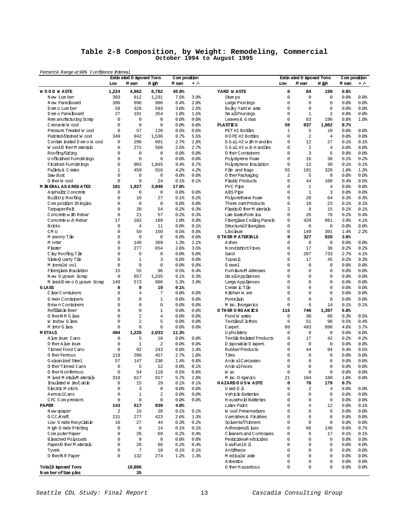#### **Table 2-8 Composition, by Weight: Remodeling, Commercial October 1994 to August 1995**

| Percent& Range at 90% Confidence Interval |                         |                                    |                      |                       |                  |                                         |                  |                                    |                   |                       |              |
|-------------------------------------------|-------------------------|------------------------------------|----------------------|-----------------------|------------------|-----------------------------------------|------------------|------------------------------------|-------------------|-----------------------|--------------|
|                                           | Low                     | Estin ated D isposed Tons<br>M ean | H igh                | Com position<br>M ean | $+/-$            |                                         | Low              | Estin ated D isposed Tons<br>M ean | H igh             | Com position<br>M ean | $+/-$        |
| <b>WOOD WASTE</b>                         | 1,224                   | 4,962                              | 8,782                | 45.9%                 |                  | YARD WASTE                              | 0                | 84                                 | 199               | 0.8%                  |              |
| New Lumber                                | 393                     | 812                                | 1,231                | 7.5%                  | 3.9%             | Stum ps                                 | $\mathbf 0$      | 0                                  | $\mathbf 0$       | 0.0%                  | 80.08        |
| New Panelboard                            | 396                     | 696                                | 996                  | 6.4%                  | 2.8 <sup>°</sup> | Large Prunings                          | $\mathbf 0$      | $\Omega$                           | $\mathbf 0$       | 0.0                   | 0.0%         |
| D em o Lum ber                            | 58                      | 326                                | 593                  | 3.0%                  | 2.5%             | Bulky Yard W aste                       | $\mathbf 0$      | $\Omega$                           | $\mathbf 0$       | 0.0%                  | 80.08        |
| D em o Panelboard                         | 27                      | 191                                | 354                  | 1.8%                  | 1.5%             | Sm all Prunings                         | $\mathbf 0$      | $\mathbf{1}$                       | $\overline{a}$    | 0.0                   | 80.08        |
| Rem anufacturing Scrap                    | 0                       | 0                                  | $\mathbf 0$          | 0.0                   | 0.0%             | Leaves & G rass                         | $\mathbf 0$      | 83                                 | 196               | 0.8%                  | 1.0%         |
| Creosote Wood                             | $\mathbf 0$             | $\mathbf 0$                        | $\mathbf 0$          | 0.0                   | 0.0%             | <b>PLASTICS</b>                         | 59               | 937                                | 1.982             | 8.7%                  |              |
| Pressure Treated W ood                    | $\mathbf 0$             | 57                                 | 120                  | 0.5%                  | 0.6%             | PET #1 Bottles                          | $\mathbf{1}$     | 5                                  | 10                | 0.0                   | 0.0%         |
| Painted/Stained Wood                      | 349                     | 942                                | 1,536                | 8.7%                  | 5.5%             | HDPE #2 Bottles                         | $\mathbf 0$      | $\overline{a}$                     | $\overline{4}$    | 0.0%                  | 80.08        |
| Contam inated D em o W ood                | 0                       | 296                                | 601                  | 2.7%                  | 2.8 <sup>°</sup> | 5 G al. #2 w ith H and les              | $\mathbf 0$      | 12                                 | 27                | 0.1%                  | 0.1%         |
| Wood O ther M aterials                    | 0                       | 271                                | 566                  | 2.5%                  | 2.7%             | 5 Gal.#2 w /o H and les                 | 0                | 2                                  | $\overline{4}$    | 0.0%                  | 0.0%         |
| Roofing/Siding                            | $\Omega$                | 0                                  | $\mathbf 0$          | 0.0                   | 0.0%             | 0 ther Containers                       | $\mathbf 0$      | 3                                  | 6                 | 0.0%                  | 0.0          |
| Unfinished Fumishings                     | 0                       | 0                                  | $\Omega$             | 0.0                   | 0.0%             | Polystyrene Foam                        | $\mathbf 0$      | 16                                 | 36                | 0.1%                  | 0.2%         |
| Finished Fumishings                       | $\mathbf 0$             | 903                                | 1,845                | 8.4%                  | 8.7%             | Polystyrene Insulation                  | $\mathbf 0$      | 13                                 | 30                | 0.1%                  | 0.1%         |
| Pallets & Crates                          | $\mathbf{1}$<br>0       | 459<br>0                           | 916<br>$\mathbf 0$   | 4.2%<br>0.0           | 4.2%<br>0.0%     | Film and Bags                           | 55<br>2          | 191<br>5                           | 328<br>8          | 1.8%<br>0.0%          | 1.3%<br>0.0% |
| Saw dust<br>O therW ood                   | $\mathbf 0$             | 9                                  | 24                   | 0.1%                  | 0.1%             | 0 ther Packaging<br>Plastic Products    | $\mathbf 0$      | 44                                 | 100               | 0.4%                  | 0.5%         |
| <b>M IN ERAL AG G REG ATES</b>            | 181                     | 1,927                              | 3,940                | 17.8%                 |                  | PVC Pipe                                | $\mathbf 0$      | $\mathbf{1}$                       | $\overline{4}$    | 0.0%                  | 0.0%         |
| Asphaltic Concrete                        | 0                       | 0                                  | $\mathbf 0$          | 0.0%                  | 0.0%             | ABS Pipe                                | $\mathbf 0$      | $\mathbf{1}$                       | 3                 | 0.0%                  | 0.0%         |
| Built-Up Roofing                          | $\mathbf 0$             | 10                                 | 27                   | 0.1%                  | 0.2%             | Polyurethane Foam                       | $\mathbf 0$      | 28                                 | 64                | 0.3%                  | 0.3%         |
| Composition Shingles                      | 0                       | 0                                  | $\mathbf 0$          | 0.0%                  | 0.0              | Them osetProducts                       | 0                | 10                                 | 23                | 0.1%                  | 0.1%         |
| Tampaper/Felt                             | $\mathbf 0$             | 20                                 | 54                   | 0.2%                  | 0.3%             | Plastic O ther M aterials               | $\overline{a}$   | 8                                  | 15                | 0.1%                  | 0.1%         |
| Concrete w ith Rebar                      | 0                       | 21                                 | 57                   | 0.2%                  | 0.3%             | Lam inate/Form ica                      | 0                | 26                                 | 70                | 0.2%                  | 0.4%         |
| Concrete w /o Rebar                       | 17                      | 103                                | 189                  | 1.0%                  | 0.8%             | Fiberglass Ceiling Panels               | $\mathbf 0$      | 420                                | 861               | 3.9%                  | 4.1%         |
| <b>Bricks</b>                             | $\mathbf 0$             | $\overline{4}$                     | 11                   | 0.0%                  | 0.1%             | StructuralFiberglass                    | $\mathbf 0$      | 0                                  | $\mathbf 0$       | 0.0%                  | 80.08        |
| CM <sub>U</sub>                           | 0                       | 59                                 | 150                  | 0.5%                  | 0.8%             | Linoleum                                | 0                | 149                                | 391               | 1.4%                  | 2.2%         |
| M asonry Tile                             | $\mathbf 0$             | $\mathbf 0$                        | $\mathbf 0$          | 0.0                   | 0.0%             | O THER MATERIALS                        | $\mathbf 0$      | 327                                | 828               | 3.0%                  |              |
| M ortar                                   | 0                       | 146                                | 369                  | 1.3%                  | 2.1%             | Ashes                                   | $\Omega$         | $\circ$                            | $\Omega$          | 0.0%                  | 0.0%         |
| Plaster                                   | $\mathbf 0$             | 277                                | 654                  | 2.6%                  | 3.5%             | N ondistinct Fines                      | $\mathbf 0$      | 17                                 | 36                | 0.2%                  | 0.2%         |
| C lay Roofing Tile                        | $\mathbf 0$             | 0                                  | $\mathbf 0$          | 0.0%                  | 0.0              | Sand                                    | $\mathbf 0$      | 287                                | 733               | 2.7%                  | 4.1%         |
| Slate Q uarry Tile                        | 0                       | $\mathbf{1}$                       | 3                    | 0.0%                  | 0.0              | Topsoil                                 | 0                | 17                                 | 45                | 0.2%                  | 0.3%         |
| M ineralW ool                             | $\mathbf 0$             | $\mathbf 0$                        | $\Omega$             | 0.0                   | 0.0%             | G ravel                                 | $\mathbf 0$      | $\Omega$                           | $\mathbf 0$       | 0.0%                  | 0.0%         |
| Fiberglass Insulation                     | 15                      | 55                                 | 96                   | 0.5%                  | 0.4%             | Fumiture M attresses                    | $\mathbf 0$      | $\Omega$                           | $\mathbf 0$       | 0.0                   | 0.0%         |
| New Gypsum Scrap                          | 0                       | 657                                | 1,335                | 6.1%                  | 6.3%             | Sm all Appliances                       | $\mathbf 0$      | $\Omega$                           | $\mathbf 0$       | 0.0%                  | 0.0%         |
| M ixed/D em o G ypsum Scrap               | 149                     | 573                                | 996                  | 5.3%                  | 3.9%             | Large Appliances                        | $\mathbf 0$      | 0                                  | $\mathbf 0$       | 0.0                   | 80.08        |
| GLASS                                     | 0                       | 9                                  | 19                   | 0.1%                  |                  | Ceram ic Tile                           | $\Omega$         | $\Omega$                           | $\mathbf 0$       | 0.0%                  | 0.0%         |
| C lear Containers                         | $\mathbf 0$             | $\overline{4}$                     | 7                    | 0.0                   | 0.0              | Kitchen Ware                            | $\mathbf 0$      | $\Omega$                           | $\Omega$          | 0.0                   | 0.0%         |
| G reen Containers                         | $\mathbf 0$             | $\mathbf 0$                        | $\mathbf{1}$         | 0.0                   | 0.0%             | Porcelain                               | $\mathbf 0$      | $\Omega$                           | $\mathbf 0$       | 0.0%                  | 0.0          |
| Brown Containers                          | 0                       | 0                                  | $\Omega$             | 0.0%                  | 0.0%             | M isc. horganics                        | 0                | 6                                  | 14                | 0.1%                  | 0.1%         |
| Refillable Beer                           | $\Omega$                | $\Omega$                           | $\mathbf{1}$         | 0.0%                  | 0.0%             | O THER ORGANICS                         | 115              | 740                                | 1,397             | 6.8%                  |              |
| O therNRG lass                            | $\mathbf 0$             | $\overline{a}$                     | $\overline{4}$       | 0.0%                  | 0.0              | Food W astes                            | 0                | 30                                 | 80                | 0.3%                  | 0.5%         |
| W indow G lass                            | 0                       | 2                                  | 5                    | 0.0                   | 0.0              | Textiles,C lothes                       | 6                | 51                                 | 96                | 0.5%                  | 0.4%         |
| M inorG lass                              | $\mathbf 0$             | $\mathbf 0$                        | $\mathbf 0$          | 0.0                   | 0.0%             | Carpet                                  | 89               | 493                                | 898               | 4.6%                  | 3.7%         |
| <b>METALS</b>                             | 494                     | 1,226                              | 2,033                | 11.3%                 |                  | U pholstery                             | 0                | $\Omega$                           | $\Omega$          | 80.08                 | 0.0%         |
| A lum inum Cans                           | $\Omega$<br>$\mathbf 0$ | 5<br>$\mathbf{1}$                  | 10<br>$\overline{a}$ | 0.0<br>0.0%           | 0.0%             | Textile Related Products                | 0<br>$\mathbf 0$ | 17<br>$\mathbf 0$                  | 42<br>$\mathbf 0$ | 0.2%                  | 0.2%<br>0.0% |
| O ther A lum inum<br>Tinned Food Cans     | 0                       | 92                                 | 243                  | 0.8%                  | 0.0<br>1.4%      | D isposable D iapers<br>Rubber Products | 0                | 44                                 | 94                | 0.0<br>0.4%           | 0.5%         |
| O ther Femous                             | 119                     | 288                                | 457                  | 2.7%                  | 1.6%             | Tires                                   | $\mathbf 0$      | $\Omega$                           | $\mathbf 0$       | 0.0%                  | 0.0%         |
| G alvanized Steel                         | 57                      | 147                                | 236                  | 1.4%                  | 0.8%             | AnimalCarcasses                         | $\Omega$         | $\Omega$                           | $\Omega$          | 0.0                   | 0.0%         |
| 0 ther Tinned Cans                        | $\Omega$                | 5                                  | 12                   | 0.0%                  | 0.1%             | AnimalFeces                             | $\Omega$         | $\Omega$                           | $\Omega$          | 0.0%                  | 0.0%         |
| 0 therN onferrous                         | $\mathsf 0$             | 54                                 | 118                  | 0.5%                  | 0.6%             | W ax                                    | $\mathbf 0$      | 0                                  | $\mathsf 0$       | 0.0                   | 80.0         |
| M ixed M etals M aterials                 | 318                     | 617                                | 917                  | 5.7%                  | 2.8%             | M isc. O rganics                        | 21               | 104                                | 188               | 1.0%                  | 88.0         |
| Insulated W ire Cable                     | 0                       | 15                                 | 29                   | 0.1%                  | 0.1%             | <b>HAZARDOUSWASTE</b>                   | 0                | 78                                 | 179               | 0.7%                  |              |
| Electric M otors                          | $\Omega$                | 3                                  | 8                    | 80.08                 | 0.0              | Used 0 il                               | $\Omega$         | 2                                  | $\overline{4}$    | 80.08                 | 80.0         |
| AerosolCans                               | $\Omega$                | $\mathbf 1$                        | $\overline{a}$       | 0.0                   | 0.0              | Vehicle Batteries                       | $\Omega$         | $\Omega$                           | $\Omega$          | 0.0                   | 80.0         |
| CFC Compressors                           | $\mathbf 0$             | $\mathbf 0$                        | 0                    | 80.0                  | 0.0              | <b>Household Batteries</b>              | $\mathbf 0$      | $\Omega$                           | $\mathbf 0$       | 0.0                   | 80.0         |
| <b>PAPER</b>                              | 143                     | 517                                | 939                  | 4.8%                  |                  | Latex Paint                             | $\Omega$         | $\overline{4}$                     | 12                | 80.08                 | $0.1$ %      |
| N ew spaper                               | 2                       | 15                                 | 28                   | 0.1%                  | $0.1$ %          | Wood Preservatives                      | $\overline{0}$   | $\Omega$                           | $\mathbf 0$       | 0.0                   | 0.0          |
| OCC Kraft                                 | 131                     | 277                                | 423                  | 2.6%                  | 1.3%             | Vamishes & Finishes                     | $\Omega$         | $\Omega$                           | $\Omega$          | 80.08                 | 80.08        |
| Low Grade Recyclable                      | 10                      | 27                                 | 44                   | 0.3%                  | 0.2%             | Solvents/Thinners                       | $\Omega$         | $\Omega$                           | $\mathbf 0$       | 0.0                   | 80.08        |
| H igh G rade Printing                     | $\mathbf 0$             | 6                                  | 14                   | 0.1%                  | 0.1%             | Adhesives/G lues                        | $\mathbf 0$      | 66                                 | 146               | 0.6%                  | 0.7%         |
| ComputerPaper                             | 0                       | 26                                 | 69                   | 0.2%                  | 0.4%             | C leaners and Comosives                 | $\mathbf 0$      | 6                                  | 17                | $0.1$ %               | $0.1$ $8$    |
| <b>Bleached Polycoats</b>                 | $\mathbf 0$             | 0                                  | $\mathbf 0$          | 0.0                   | 0.0              | Pesticides/Herbicides                   | $\overline{0}$   | $\Omega$                           | $\mathbf 0$       | 0.0                   | 0.0          |
| Paper/O therM aterials                    | 0                       | 26                                 | 68                   | 0.2%                  | 0.4%             | Gas/Fuel0 il                            | $\Omega$         | $\Omega$                           | $\Omega$          | 80.08                 | 80.08        |
| Tyvek                                     | $\mathbf 0$             | 7                                  | 18                   | $0.1$ %               | 0.1%             | Antifreeze                              | $\Omega$         | $\Omega$                           | $\Omega$          | 0.0                   | 80.08        |
| 0 then NR Paper                           | $\mathbf 0$             | 132                                | 274                  | 1.2%                  | 1.3%             | MedicalWaste                            | $\overline{0}$   | $\Omega$                           | $\mathbf 0$       | 0.0                   | 80.0         |
|                                           |                         |                                    |                      |                       |                  | Asbestos                                | 0                | 0                                  | $\Omega$          | 0.0                   | 80.0         |
| TotalD isposed Tons                       |                         | 10,806                             |                      |                       |                  | 0 ther H azardous                       | 0                | 0                                  | $\mathbf 0$       | 0.0                   | 80.0         |
| Number of Samples                         |                         | 35                                 |                      |                       |                  |                                         |                  |                                    |                   |                       |              |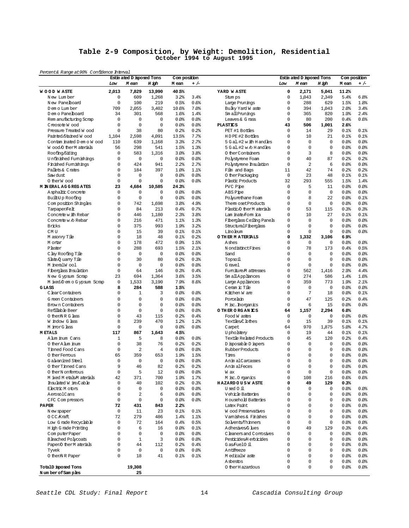### **Table 2-9 Composition, by Weight: Demolition, Residential October 1994 to August 1995**

| Percent& Range at 90% Confidence Interval<br>Estin ated D isposed Tons<br>Com position<br>Com position<br>Estin ated D isposed Tons<br>Low<br>M ean<br>H igh<br>M ean<br>$+/-$<br>M ean<br>H igh<br>M ean<br>Low<br>$\mathbf 0$<br>2,013<br>7,829<br>13,990<br>40.5%<br>YARD WASTE<br>2,171<br>5,041<br>11.2%<br><b>WOOD WASTE</b><br>$\mathbf 0$<br>$\mathbf 0$<br>609<br>1,268<br>3.2%<br>1,043<br>2,349<br>5.4%<br>N ew Lum ber<br>3.4%<br>Stum ps<br>$\mathbf 0$<br>100<br>219<br>0.5%<br>0.6%<br>0<br>288<br>629<br>New Panelboard<br>Large Prunings<br>1.5%<br>709<br>2,055<br>3,402<br>7.0%<br>0<br>394<br>1,043<br>2.0%<br>D em o Lum ber<br>10.6%<br>Bulky Yard W aste<br>D em o Pane board<br>34<br>301<br>568<br>1.6%<br>1.4%<br>Sm all Prunings<br>0<br>365<br>820<br>1.9%<br>$\mathbf 0$<br>$\mathbf 0$<br>$\mathbf 0$<br>0.0%<br>0.0%<br>80<br>200<br>0.4%<br>Rem anufacturing Scrap<br>0<br>Leaves & G rass<br>0<br>$\mathbf 0$<br>$\mathbf 0$<br>43<br>0.0%<br>$0.0$ %<br><b>PLASTICS</b><br>506<br>1,001<br>2.6%<br>Creosote Wood<br>Pressure Treated W ood<br>0<br>38<br>80<br>0.2%<br>0.2%<br>PET #1 Bottles<br>0<br>14<br>0.1%<br>29<br>1,104<br>2,598<br>4,091<br>7.7%<br>HDPE #2 Bottles<br>0<br>10<br>0.1%<br>Painted/Stained Wood<br>13.5%<br>21<br>Contam inated D em o W ood<br>110<br>639<br>1,168<br>3.3%<br>2.7%<br>5 G al. #2 w ith H and les<br>$\Omega$<br>$\mathbf 0$<br>$\mathbf 0$<br>0.0<br>0<br>Wood O ther Materials<br>56<br>298<br>541<br>1.3%<br>$\mathbf 0$<br>$\mathbf 0$<br>1.5%<br>$5$ G al. #2 w $\ell$ H and les<br>0.0<br>3<br>Roofing/Siding<br>0<br>583<br>1,316<br>3.0%<br>3.8%<br>0 ther Containers<br>0<br>8<br>0.0%<br>Unfinished Fumishings<br>0<br>$\mathbf 0$<br>$\mathbf 0$<br>0.0%<br>0.0<br>0<br>40<br>87<br>0.2%<br>Polystyrene Foam<br>$\overline{a}$<br>Finished Furnishings<br>0<br>424<br>941<br>2.2%<br>2.7%<br>Polystyrene Insulation<br>0<br>6<br>0.0%<br>Pallets & Crates<br>0<br>184<br>397<br>1.0%<br>Film and Bags<br>11<br>42<br>74<br>0.2%<br>1.1%<br>0<br>23<br>Saw dust<br>$\mathbf 0$<br>$\mathbf 0$<br>0.0%<br>0.0<br>0 ther Packaging<br>$\mathbf 0$<br>0.1%<br>48<br>$\mathbf 0$<br>$\mathbf 0$<br>0<br>32<br>293<br>0.0%<br>0.0<br>Plastic Products<br>555<br>1.5%<br>O therW ood<br><b>M IN ERAL AG GREGATES</b><br>23<br>4,684<br>10,585<br>24.3%<br>$\mathbf 0$<br>5<br>0.0<br>PVC Pipe<br>11<br>$\mathbf 0$<br>Asphaltic Concrete<br>$\mathbf 0$<br>$\mathbf 0$<br>$\mathbf 0$<br>0.0%<br>$0.0$ %<br>0<br>$\mathbf 0$<br>0.0%<br>ABS Pipe<br>Built-Up Roofing<br>$\mathbf 0$<br>$\mathbf 0$<br>$\mathbf 0$<br>0.0%<br>$0.0$ %<br>Polyurethane Foam<br>0<br>8<br>22<br>0.0<br>0<br>0<br>$\mathbf 0$<br>Composition Shingles<br>742<br>$\mathbf 0$<br>1,698<br>3.8 <sup>8</sup><br>4.9%<br>Them oset Products<br>0.0<br>53<br>Tampaper/Felt<br>0<br>84<br>213<br>0.7%<br>Plastic/O therM aterials<br>0<br>115<br>0.3%<br>0.4%<br>Concrete w ith Rebar<br>0<br>446<br>1,180<br>2.3%<br>3.8%<br>Lam inate/Form ica<br>0<br>10<br>27<br>0.1%<br>Concrete w /o Rebar<br>0<br>216<br>471<br>0<br>0<br>1.1%<br>1.3%<br>Fiberglass Ceiling Panels<br>0<br>0.0<br><b>Bricks</b><br>0<br>375<br>993<br>1.9%<br>3.2%<br>StructuralFiberglass<br>$\Omega$<br>0<br>$\mathbf 0$<br>0.0<br>$\Omega$<br>0<br>$\mathbf 0$<br>CM <sub>U</sub><br>0.1%<br>Linoleum<br>$\mathbf 0$<br>0.0<br>15<br>39<br>0.1%<br>0<br>0<br>18<br>48<br>0.1%<br>0.2%<br>O THER MATERIALS<br>1,332<br>3,106<br>6.9%<br>M asonry Tile<br>0<br>178<br>472<br>0.9%<br>1.5%<br>0<br>$\mathbf 0$<br>0.0%<br>M ortar<br>Ashes<br>0<br>0<br>288<br>693<br>2.1%<br>N ondistinct Fines<br>0<br>78<br>173<br>0.4%<br>Plaster<br>1.5%<br>C lay Roofing Tile<br>0<br>$\mathbf 0$<br>$\mathbf 0$<br>0.0%<br>0.0<br>Sand<br>$\Omega$<br>$\mathbf 0$<br>$\mathbf 0$<br>0.0%<br>0<br>0<br>30<br>80<br>0.2%<br>$\mathbf 0$<br>$\mathbf 0$<br>Slate Q uarry Tile<br>0.3%<br>Topsoil<br>0.0<br>$\mathbf 0$<br>$\mathbf 0$<br>$\mathbf 0$<br>M ineralW ool<br>0<br>$\mathbf 0$<br>0.0%<br>$0.0$ %<br>G ravel<br>0<br>0.0%<br>Fiberglass Insulation<br>0<br>64<br>146<br>0.3%<br>0.4%<br>Fumiture M attresses<br>0<br>562<br>2.9%<br>1,416<br>23<br>694<br>1,364<br>3.5%<br>Sm all Appliances<br>0<br>274<br>586<br>1.4%<br>New Gypsum Scrap<br>3.6%<br>$\mathsf 0$<br>1,533<br>3,190<br>7.9%<br>8.6%<br>Large Appliances<br>0<br>359<br>773<br>1.9%<br>M ixed/D em o G ypsum Scrap<br>0<br>8<br>284<br>588<br>Ceram ic Tile<br>$\mathbf 0$<br>$\mathbf 0$<br>GLASS<br>1.5%<br>0.0<br>ClearContainers<br>0<br>$\mathbf{1}$<br>3<br>0.0%<br>$0.0$ %<br>Kitchen W are<br>0<br>7<br>18<br>0.0%<br>0<br>$\mathbf 0$<br>0<br>0<br>47<br>0.0%<br>0.0<br>125<br>0.2%<br>G reen Containers<br>Porcelain<br>Brown Containers<br>0<br>$\mathbf 0$<br>0<br>0.0%<br>0.0<br>0<br>6<br>0.0<br>M isc. Inorganics<br>15<br>0<br>$\mathbf 0$<br>0<br>Refillable Beer<br>0.0%<br>0.0%<br>O THER ORGANICS<br>1,157<br>2,294<br>64<br>6.0%<br>0<br>0 then NR G lass<br>43<br>115<br>0.2%<br>0.4%<br>$\mathbf 0$<br>$\mathbf 0$<br>$\mathbf 0$<br>0.0%<br>Food W astes<br>$\mathbf 0$<br>W indow G lass<br>8<br>239<br>470<br>Textiles,C lothes<br>15<br>39<br>0.1%<br>1.2%<br>1.2%<br>0<br>M inorG lass<br>$\mathbf 0$<br>$\mathbf 0$<br>0.0<br>0.0<br>64<br>970<br>1,875<br>5.0%<br>Camet<br>117<br>867<br>1,643<br>4.5%<br>U pholstery<br>0<br>19<br>0.1%<br><b>METALS</b><br>44<br>5<br>8<br>0.0%<br>Textile Related Products<br>0<br>45<br>120<br>0.2%<br>A lum inum Cans<br>1<br>0.0<br>O ther A lum inum<br>$\mathbf 0$<br>38<br>76<br>0.2%<br>0.2%<br>D isposable D iapers<br>$\Omega$<br>$\mathbf 0$<br>$\mathbf 0$<br>0.0<br>$\mathbf 0$<br>$\overline{a}$<br>$\overline{4}$<br>$\Omega$<br>0<br>Tinned Food Cans<br>0.0<br>0.0<br>Rubber Products<br>0<br>0.0<br>65<br>359<br>653<br>19%<br>0<br>0<br>$\mathbf 0$<br>0 ther Femous<br>1.5%<br>Tires<br>0.0<br>0<br>$\mathbf 0$<br>0.0<br>0.0<br>0<br>$\mathbf 0$<br>0<br>0.0<br>G alvanized Steel<br>0<br>Anim alCarcasses<br>9<br>82<br>0.2%<br>$\Omega$<br>$\Omega$<br>0<br>80.0<br>0 ther Tinned Cans<br>46<br>0.2%<br>AnimalFeces<br>5<br>$\mathsf 0$<br>$\mathsf 0$<br>12<br>0.0%<br>80.08<br>0<br>$\mathbb O$<br>0 therN onferrous<br>0.0<br>W ax<br>42<br>371<br>0<br>M ixed M etals M aterials<br>700<br>1.9%<br>1.7%<br>M isc. Organics<br>108<br>216<br>0.6%<br>0<br>Insulated W ire/Cable<br>$\mathsf 0$<br>40<br>102<br><b>HAZARDOUSWASTE</b><br>0.2%<br>0.3%<br>49<br>129<br>0.3%<br>0<br>Electric Motors<br>0<br>0<br>0<br>0.0<br>0.0<br>Used Oil<br>0<br>0.0<br>0 |  |
|-------------------------------------------------------------------------------------------------------------------------------------------------------------------------------------------------------------------------------------------------------------------------------------------------------------------------------------------------------------------------------------------------------------------------------------------------------------------------------------------------------------------------------------------------------------------------------------------------------------------------------------------------------------------------------------------------------------------------------------------------------------------------------------------------------------------------------------------------------------------------------------------------------------------------------------------------------------------------------------------------------------------------------------------------------------------------------------------------------------------------------------------------------------------------------------------------------------------------------------------------------------------------------------------------------------------------------------------------------------------------------------------------------------------------------------------------------------------------------------------------------------------------------------------------------------------------------------------------------------------------------------------------------------------------------------------------------------------------------------------------------------------------------------------------------------------------------------------------------------------------------------------------------------------------------------------------------------------------------------------------------------------------------------------------------------------------------------------------------------------------------------------------------------------------------------------------------------------------------------------------------------------------------------------------------------------------------------------------------------------------------------------------------------------------------------------------------------------------------------------------------------------------------------------------------------------------------------------------------------------------------------------------------------------------------------------------------------------------------------------------------------------------------------------------------------------------------------------------------------------------------------------------------------------------------------------------------------------------------------------------------------------------------------------------------------------------------------------------------------------------------------------------------------------------------------------------------------------------------------------------------------------------------------------------------------------------------------------------------------------------------------------------------------------------------------------------------------------------------------------------------------------------------------------------------------------------------------------------------------------------------------------------------------------------------------------------------------------------------------------------------------------------------------------------------------------------------------------------------------------------------------------------------------------------------------------------------------------------------------------------------------------------------------------------------------------------------------------------------------------------------------------------------------------------------------------------------------------------------------------------------------------------------------------------------------------------------------------------------------------------------------------------------------------------------------------------------------------------------------------------------------------------------------------------------------------------------------------------------------------------------------------------------------------------------------------------------------------------------------------------------------------------------------------------------------------------------------------------------------------------------------------------------------------------------------------------------------------------------------------------------------------------------------------------------------------------------------------------------------------------------------------------------------------------------------------------------------------------------------------------------------------------------------------------------------------------------------------------------------------------------------------------------------------------------------------------------------------------------------------------------------------------------------------------------------------------------------------------------------------------------------------------------------------------------------------------------------------------------------------------------------------------------------------------------------------------------------------------------------------------------------------------------------------------------------------------------------------------------------------------------------------------------------------------------------------------------------------------------------------------------------------------------------------------------------------------------------------------------------------------------------------------------------------------------------------------------------------------------------------------------------------------------------------------------------------------------------------------------------------------------------------------------------------------|--|
|                                                                                                                                                                                                                                                                                                                                                                                                                                                                                                                                                                                                                                                                                                                                                                                                                                                                                                                                                                                                                                                                                                                                                                                                                                                                                                                                                                                                                                                                                                                                                                                                                                                                                                                                                                                                                                                                                                                                                                                                                                                                                                                                                                                                                                                                                                                                                                                                                                                                                                                                                                                                                                                                                                                                                                                                                                                                                                                                                                                                                                                                                                                                                                                                                                                                                                                                                                                                                                                                                                                                                                                                                                                                                                                                                                                                                                                                                                                                                                                                                                                                                                                                                                                                                                                                                                                                                                                                                                                                                                                                                                                                                                                                                                                                                                                                                                                                                                                                                                                                                                                                                                                                                                                                                                                                                                                                                                                                                                                                                                                                                                                                                                                                                                                                                                                                                                                                                                                                                                                                                                                                                                                                                                                                                                                                                                                                                                                                                                                                                                                                                 |  |
|                                                                                                                                                                                                                                                                                                                                                                                                                                                                                                                                                                                                                                                                                                                                                                                                                                                                                                                                                                                                                                                                                                                                                                                                                                                                                                                                                                                                                                                                                                                                                                                                                                                                                                                                                                                                                                                                                                                                                                                                                                                                                                                                                                                                                                                                                                                                                                                                                                                                                                                                                                                                                                                                                                                                                                                                                                                                                                                                                                                                                                                                                                                                                                                                                                                                                                                                                                                                                                                                                                                                                                                                                                                                                                                                                                                                                                                                                                                                                                                                                                                                                                                                                                                                                                                                                                                                                                                                                                                                                                                                                                                                                                                                                                                                                                                                                                                                                                                                                                                                                                                                                                                                                                                                                                                                                                                                                                                                                                                                                                                                                                                                                                                                                                                                                                                                                                                                                                                                                                                                                                                                                                                                                                                                                                                                                                                                                                                                                                                                                                                                                 |  |
|                                                                                                                                                                                                                                                                                                                                                                                                                                                                                                                                                                                                                                                                                                                                                                                                                                                                                                                                                                                                                                                                                                                                                                                                                                                                                                                                                                                                                                                                                                                                                                                                                                                                                                                                                                                                                                                                                                                                                                                                                                                                                                                                                                                                                                                                                                                                                                                                                                                                                                                                                                                                                                                                                                                                                                                                                                                                                                                                                                                                                                                                                                                                                                                                                                                                                                                                                                                                                                                                                                                                                                                                                                                                                                                                                                                                                                                                                                                                                                                                                                                                                                                                                                                                                                                                                                                                                                                                                                                                                                                                                                                                                                                                                                                                                                                                                                                                                                                                                                                                                                                                                                                                                                                                                                                                                                                                                                                                                                                                                                                                                                                                                                                                                                                                                                                                                                                                                                                                                                                                                                                                                                                                                                                                                                                                                                                                                                                                                                                                                                                                                 |  |
|                                                                                                                                                                                                                                                                                                                                                                                                                                                                                                                                                                                                                                                                                                                                                                                                                                                                                                                                                                                                                                                                                                                                                                                                                                                                                                                                                                                                                                                                                                                                                                                                                                                                                                                                                                                                                                                                                                                                                                                                                                                                                                                                                                                                                                                                                                                                                                                                                                                                                                                                                                                                                                                                                                                                                                                                                                                                                                                                                                                                                                                                                                                                                                                                                                                                                                                                                                                                                                                                                                                                                                                                                                                                                                                                                                                                                                                                                                                                                                                                                                                                                                                                                                                                                                                                                                                                                                                                                                                                                                                                                                                                                                                                                                                                                                                                                                                                                                                                                                                                                                                                                                                                                                                                                                                                                                                                                                                                                                                                                                                                                                                                                                                                                                                                                                                                                                                                                                                                                                                                                                                                                                                                                                                                                                                                                                                                                                                                                                                                                                                                                 |  |
|                                                                                                                                                                                                                                                                                                                                                                                                                                                                                                                                                                                                                                                                                                                                                                                                                                                                                                                                                                                                                                                                                                                                                                                                                                                                                                                                                                                                                                                                                                                                                                                                                                                                                                                                                                                                                                                                                                                                                                                                                                                                                                                                                                                                                                                                                                                                                                                                                                                                                                                                                                                                                                                                                                                                                                                                                                                                                                                                                                                                                                                                                                                                                                                                                                                                                                                                                                                                                                                                                                                                                                                                                                                                                                                                                                                                                                                                                                                                                                                                                                                                                                                                                                                                                                                                                                                                                                                                                                                                                                                                                                                                                                                                                                                                                                                                                                                                                                                                                                                                                                                                                                                                                                                                                                                                                                                                                                                                                                                                                                                                                                                                                                                                                                                                                                                                                                                                                                                                                                                                                                                                                                                                                                                                                                                                                                                                                                                                                                                                                                                                                 |  |
|                                                                                                                                                                                                                                                                                                                                                                                                                                                                                                                                                                                                                                                                                                                                                                                                                                                                                                                                                                                                                                                                                                                                                                                                                                                                                                                                                                                                                                                                                                                                                                                                                                                                                                                                                                                                                                                                                                                                                                                                                                                                                                                                                                                                                                                                                                                                                                                                                                                                                                                                                                                                                                                                                                                                                                                                                                                                                                                                                                                                                                                                                                                                                                                                                                                                                                                                                                                                                                                                                                                                                                                                                                                                                                                                                                                                                                                                                                                                                                                                                                                                                                                                                                                                                                                                                                                                                                                                                                                                                                                                                                                                                                                                                                                                                                                                                                                                                                                                                                                                                                                                                                                                                                                                                                                                                                                                                                                                                                                                                                                                                                                                                                                                                                                                                                                                                                                                                                                                                                                                                                                                                                                                                                                                                                                                                                                                                                                                                                                                                                                                                 |  |
|                                                                                                                                                                                                                                                                                                                                                                                                                                                                                                                                                                                                                                                                                                                                                                                                                                                                                                                                                                                                                                                                                                                                                                                                                                                                                                                                                                                                                                                                                                                                                                                                                                                                                                                                                                                                                                                                                                                                                                                                                                                                                                                                                                                                                                                                                                                                                                                                                                                                                                                                                                                                                                                                                                                                                                                                                                                                                                                                                                                                                                                                                                                                                                                                                                                                                                                                                                                                                                                                                                                                                                                                                                                                                                                                                                                                                                                                                                                                                                                                                                                                                                                                                                                                                                                                                                                                                                                                                                                                                                                                                                                                                                                                                                                                                                                                                                                                                                                                                                                                                                                                                                                                                                                                                                                                                                                                                                                                                                                                                                                                                                                                                                                                                                                                                                                                                                                                                                                                                                                                                                                                                                                                                                                                                                                                                                                                                                                                                                                                                                                                                 |  |
|                                                                                                                                                                                                                                                                                                                                                                                                                                                                                                                                                                                                                                                                                                                                                                                                                                                                                                                                                                                                                                                                                                                                                                                                                                                                                                                                                                                                                                                                                                                                                                                                                                                                                                                                                                                                                                                                                                                                                                                                                                                                                                                                                                                                                                                                                                                                                                                                                                                                                                                                                                                                                                                                                                                                                                                                                                                                                                                                                                                                                                                                                                                                                                                                                                                                                                                                                                                                                                                                                                                                                                                                                                                                                                                                                                                                                                                                                                                                                                                                                                                                                                                                                                                                                                                                                                                                                                                                                                                                                                                                                                                                                                                                                                                                                                                                                                                                                                                                                                                                                                                                                                                                                                                                                                                                                                                                                                                                                                                                                                                                                                                                                                                                                                                                                                                                                                                                                                                                                                                                                                                                                                                                                                                                                                                                                                                                                                                                                                                                                                                                                 |  |
|                                                                                                                                                                                                                                                                                                                                                                                                                                                                                                                                                                                                                                                                                                                                                                                                                                                                                                                                                                                                                                                                                                                                                                                                                                                                                                                                                                                                                                                                                                                                                                                                                                                                                                                                                                                                                                                                                                                                                                                                                                                                                                                                                                                                                                                                                                                                                                                                                                                                                                                                                                                                                                                                                                                                                                                                                                                                                                                                                                                                                                                                                                                                                                                                                                                                                                                                                                                                                                                                                                                                                                                                                                                                                                                                                                                                                                                                                                                                                                                                                                                                                                                                                                                                                                                                                                                                                                                                                                                                                                                                                                                                                                                                                                                                                                                                                                                                                                                                                                                                                                                                                                                                                                                                                                                                                                                                                                                                                                                                                                                                                                                                                                                                                                                                                                                                                                                                                                                                                                                                                                                                                                                                                                                                                                                                                                                                                                                                                                                                                                                                                 |  |
|                                                                                                                                                                                                                                                                                                                                                                                                                                                                                                                                                                                                                                                                                                                                                                                                                                                                                                                                                                                                                                                                                                                                                                                                                                                                                                                                                                                                                                                                                                                                                                                                                                                                                                                                                                                                                                                                                                                                                                                                                                                                                                                                                                                                                                                                                                                                                                                                                                                                                                                                                                                                                                                                                                                                                                                                                                                                                                                                                                                                                                                                                                                                                                                                                                                                                                                                                                                                                                                                                                                                                                                                                                                                                                                                                                                                                                                                                                                                                                                                                                                                                                                                                                                                                                                                                                                                                                                                                                                                                                                                                                                                                                                                                                                                                                                                                                                                                                                                                                                                                                                                                                                                                                                                                                                                                                                                                                                                                                                                                                                                                                                                                                                                                                                                                                                                                                                                                                                                                                                                                                                                                                                                                                                                                                                                                                                                                                                                                                                                                                                                                 |  |
|                                                                                                                                                                                                                                                                                                                                                                                                                                                                                                                                                                                                                                                                                                                                                                                                                                                                                                                                                                                                                                                                                                                                                                                                                                                                                                                                                                                                                                                                                                                                                                                                                                                                                                                                                                                                                                                                                                                                                                                                                                                                                                                                                                                                                                                                                                                                                                                                                                                                                                                                                                                                                                                                                                                                                                                                                                                                                                                                                                                                                                                                                                                                                                                                                                                                                                                                                                                                                                                                                                                                                                                                                                                                                                                                                                                                                                                                                                                                                                                                                                                                                                                                                                                                                                                                                                                                                                                                                                                                                                                                                                                                                                                                                                                                                                                                                                                                                                                                                                                                                                                                                                                                                                                                                                                                                                                                                                                                                                                                                                                                                                                                                                                                                                                                                                                                                                                                                                                                                                                                                                                                                                                                                                                                                                                                                                                                                                                                                                                                                                                                                 |  |
|                                                                                                                                                                                                                                                                                                                                                                                                                                                                                                                                                                                                                                                                                                                                                                                                                                                                                                                                                                                                                                                                                                                                                                                                                                                                                                                                                                                                                                                                                                                                                                                                                                                                                                                                                                                                                                                                                                                                                                                                                                                                                                                                                                                                                                                                                                                                                                                                                                                                                                                                                                                                                                                                                                                                                                                                                                                                                                                                                                                                                                                                                                                                                                                                                                                                                                                                                                                                                                                                                                                                                                                                                                                                                                                                                                                                                                                                                                                                                                                                                                                                                                                                                                                                                                                                                                                                                                                                                                                                                                                                                                                                                                                                                                                                                                                                                                                                                                                                                                                                                                                                                                                                                                                                                                                                                                                                                                                                                                                                                                                                                                                                                                                                                                                                                                                                                                                                                                                                                                                                                                                                                                                                                                                                                                                                                                                                                                                                                                                                                                                                                 |  |
|                                                                                                                                                                                                                                                                                                                                                                                                                                                                                                                                                                                                                                                                                                                                                                                                                                                                                                                                                                                                                                                                                                                                                                                                                                                                                                                                                                                                                                                                                                                                                                                                                                                                                                                                                                                                                                                                                                                                                                                                                                                                                                                                                                                                                                                                                                                                                                                                                                                                                                                                                                                                                                                                                                                                                                                                                                                                                                                                                                                                                                                                                                                                                                                                                                                                                                                                                                                                                                                                                                                                                                                                                                                                                                                                                                                                                                                                                                                                                                                                                                                                                                                                                                                                                                                                                                                                                                                                                                                                                                                                                                                                                                                                                                                                                                                                                                                                                                                                                                                                                                                                                                                                                                                                                                                                                                                                                                                                                                                                                                                                                                                                                                                                                                                                                                                                                                                                                                                                                                                                                                                                                                                                                                                                                                                                                                                                                                                                                                                                                                                                                 |  |
|                                                                                                                                                                                                                                                                                                                                                                                                                                                                                                                                                                                                                                                                                                                                                                                                                                                                                                                                                                                                                                                                                                                                                                                                                                                                                                                                                                                                                                                                                                                                                                                                                                                                                                                                                                                                                                                                                                                                                                                                                                                                                                                                                                                                                                                                                                                                                                                                                                                                                                                                                                                                                                                                                                                                                                                                                                                                                                                                                                                                                                                                                                                                                                                                                                                                                                                                                                                                                                                                                                                                                                                                                                                                                                                                                                                                                                                                                                                                                                                                                                                                                                                                                                                                                                                                                                                                                                                                                                                                                                                                                                                                                                                                                                                                                                                                                                                                                                                                                                                                                                                                                                                                                                                                                                                                                                                                                                                                                                                                                                                                                                                                                                                                                                                                                                                                                                                                                                                                                                                                                                                                                                                                                                                                                                                                                                                                                                                                                                                                                                                                                 |  |
|                                                                                                                                                                                                                                                                                                                                                                                                                                                                                                                                                                                                                                                                                                                                                                                                                                                                                                                                                                                                                                                                                                                                                                                                                                                                                                                                                                                                                                                                                                                                                                                                                                                                                                                                                                                                                                                                                                                                                                                                                                                                                                                                                                                                                                                                                                                                                                                                                                                                                                                                                                                                                                                                                                                                                                                                                                                                                                                                                                                                                                                                                                                                                                                                                                                                                                                                                                                                                                                                                                                                                                                                                                                                                                                                                                                                                                                                                                                                                                                                                                                                                                                                                                                                                                                                                                                                                                                                                                                                                                                                                                                                                                                                                                                                                                                                                                                                                                                                                                                                                                                                                                                                                                                                                                                                                                                                                                                                                                                                                                                                                                                                                                                                                                                                                                                                                                                                                                                                                                                                                                                                                                                                                                                                                                                                                                                                                                                                                                                                                                                                                 |  |
|                                                                                                                                                                                                                                                                                                                                                                                                                                                                                                                                                                                                                                                                                                                                                                                                                                                                                                                                                                                                                                                                                                                                                                                                                                                                                                                                                                                                                                                                                                                                                                                                                                                                                                                                                                                                                                                                                                                                                                                                                                                                                                                                                                                                                                                                                                                                                                                                                                                                                                                                                                                                                                                                                                                                                                                                                                                                                                                                                                                                                                                                                                                                                                                                                                                                                                                                                                                                                                                                                                                                                                                                                                                                                                                                                                                                                                                                                                                                                                                                                                                                                                                                                                                                                                                                                                                                                                                                                                                                                                                                                                                                                                                                                                                                                                                                                                                                                                                                                                                                                                                                                                                                                                                                                                                                                                                                                                                                                                                                                                                                                                                                                                                                                                                                                                                                                                                                                                                                                                                                                                                                                                                                                                                                                                                                                                                                                                                                                                                                                                                                                 |  |
|                                                                                                                                                                                                                                                                                                                                                                                                                                                                                                                                                                                                                                                                                                                                                                                                                                                                                                                                                                                                                                                                                                                                                                                                                                                                                                                                                                                                                                                                                                                                                                                                                                                                                                                                                                                                                                                                                                                                                                                                                                                                                                                                                                                                                                                                                                                                                                                                                                                                                                                                                                                                                                                                                                                                                                                                                                                                                                                                                                                                                                                                                                                                                                                                                                                                                                                                                                                                                                                                                                                                                                                                                                                                                                                                                                                                                                                                                                                                                                                                                                                                                                                                                                                                                                                                                                                                                                                                                                                                                                                                                                                                                                                                                                                                                                                                                                                                                                                                                                                                                                                                                                                                                                                                                                                                                                                                                                                                                                                                                                                                                                                                                                                                                                                                                                                                                                                                                                                                                                                                                                                                                                                                                                                                                                                                                                                                                                                                                                                                                                                                                 |  |
|                                                                                                                                                                                                                                                                                                                                                                                                                                                                                                                                                                                                                                                                                                                                                                                                                                                                                                                                                                                                                                                                                                                                                                                                                                                                                                                                                                                                                                                                                                                                                                                                                                                                                                                                                                                                                                                                                                                                                                                                                                                                                                                                                                                                                                                                                                                                                                                                                                                                                                                                                                                                                                                                                                                                                                                                                                                                                                                                                                                                                                                                                                                                                                                                                                                                                                                                                                                                                                                                                                                                                                                                                                                                                                                                                                                                                                                                                                                                                                                                                                                                                                                                                                                                                                                                                                                                                                                                                                                                                                                                                                                                                                                                                                                                                                                                                                                                                                                                                                                                                                                                                                                                                                                                                                                                                                                                                                                                                                                                                                                                                                                                                                                                                                                                                                                                                                                                                                                                                                                                                                                                                                                                                                                                                                                                                                                                                                                                                                                                                                                                                 |  |
|                                                                                                                                                                                                                                                                                                                                                                                                                                                                                                                                                                                                                                                                                                                                                                                                                                                                                                                                                                                                                                                                                                                                                                                                                                                                                                                                                                                                                                                                                                                                                                                                                                                                                                                                                                                                                                                                                                                                                                                                                                                                                                                                                                                                                                                                                                                                                                                                                                                                                                                                                                                                                                                                                                                                                                                                                                                                                                                                                                                                                                                                                                                                                                                                                                                                                                                                                                                                                                                                                                                                                                                                                                                                                                                                                                                                                                                                                                                                                                                                                                                                                                                                                                                                                                                                                                                                                                                                                                                                                                                                                                                                                                                                                                                                                                                                                                                                                                                                                                                                                                                                                                                                                                                                                                                                                                                                                                                                                                                                                                                                                                                                                                                                                                                                                                                                                                                                                                                                                                                                                                                                                                                                                                                                                                                                                                                                                                                                                                                                                                                                                 |  |
|                                                                                                                                                                                                                                                                                                                                                                                                                                                                                                                                                                                                                                                                                                                                                                                                                                                                                                                                                                                                                                                                                                                                                                                                                                                                                                                                                                                                                                                                                                                                                                                                                                                                                                                                                                                                                                                                                                                                                                                                                                                                                                                                                                                                                                                                                                                                                                                                                                                                                                                                                                                                                                                                                                                                                                                                                                                                                                                                                                                                                                                                                                                                                                                                                                                                                                                                                                                                                                                                                                                                                                                                                                                                                                                                                                                                                                                                                                                                                                                                                                                                                                                                                                                                                                                                                                                                                                                                                                                                                                                                                                                                                                                                                                                                                                                                                                                                                                                                                                                                                                                                                                                                                                                                                                                                                                                                                                                                                                                                                                                                                                                                                                                                                                                                                                                                                                                                                                                                                                                                                                                                                                                                                                                                                                                                                                                                                                                                                                                                                                                                                 |  |
|                                                                                                                                                                                                                                                                                                                                                                                                                                                                                                                                                                                                                                                                                                                                                                                                                                                                                                                                                                                                                                                                                                                                                                                                                                                                                                                                                                                                                                                                                                                                                                                                                                                                                                                                                                                                                                                                                                                                                                                                                                                                                                                                                                                                                                                                                                                                                                                                                                                                                                                                                                                                                                                                                                                                                                                                                                                                                                                                                                                                                                                                                                                                                                                                                                                                                                                                                                                                                                                                                                                                                                                                                                                                                                                                                                                                                                                                                                                                                                                                                                                                                                                                                                                                                                                                                                                                                                                                                                                                                                                                                                                                                                                                                                                                                                                                                                                                                                                                                                                                                                                                                                                                                                                                                                                                                                                                                                                                                                                                                                                                                                                                                                                                                                                                                                                                                                                                                                                                                                                                                                                                                                                                                                                                                                                                                                                                                                                                                                                                                                                                                 |  |
|                                                                                                                                                                                                                                                                                                                                                                                                                                                                                                                                                                                                                                                                                                                                                                                                                                                                                                                                                                                                                                                                                                                                                                                                                                                                                                                                                                                                                                                                                                                                                                                                                                                                                                                                                                                                                                                                                                                                                                                                                                                                                                                                                                                                                                                                                                                                                                                                                                                                                                                                                                                                                                                                                                                                                                                                                                                                                                                                                                                                                                                                                                                                                                                                                                                                                                                                                                                                                                                                                                                                                                                                                                                                                                                                                                                                                                                                                                                                                                                                                                                                                                                                                                                                                                                                                                                                                                                                                                                                                                                                                                                                                                                                                                                                                                                                                                                                                                                                                                                                                                                                                                                                                                                                                                                                                                                                                                                                                                                                                                                                                                                                                                                                                                                                                                                                                                                                                                                                                                                                                                                                                                                                                                                                                                                                                                                                                                                                                                                                                                                                                 |  |
|                                                                                                                                                                                                                                                                                                                                                                                                                                                                                                                                                                                                                                                                                                                                                                                                                                                                                                                                                                                                                                                                                                                                                                                                                                                                                                                                                                                                                                                                                                                                                                                                                                                                                                                                                                                                                                                                                                                                                                                                                                                                                                                                                                                                                                                                                                                                                                                                                                                                                                                                                                                                                                                                                                                                                                                                                                                                                                                                                                                                                                                                                                                                                                                                                                                                                                                                                                                                                                                                                                                                                                                                                                                                                                                                                                                                                                                                                                                                                                                                                                                                                                                                                                                                                                                                                                                                                                                                                                                                                                                                                                                                                                                                                                                                                                                                                                                                                                                                                                                                                                                                                                                                                                                                                                                                                                                                                                                                                                                                                                                                                                                                                                                                                                                                                                                                                                                                                                                                                                                                                                                                                                                                                                                                                                                                                                                                                                                                                                                                                                                                                 |  |
|                                                                                                                                                                                                                                                                                                                                                                                                                                                                                                                                                                                                                                                                                                                                                                                                                                                                                                                                                                                                                                                                                                                                                                                                                                                                                                                                                                                                                                                                                                                                                                                                                                                                                                                                                                                                                                                                                                                                                                                                                                                                                                                                                                                                                                                                                                                                                                                                                                                                                                                                                                                                                                                                                                                                                                                                                                                                                                                                                                                                                                                                                                                                                                                                                                                                                                                                                                                                                                                                                                                                                                                                                                                                                                                                                                                                                                                                                                                                                                                                                                                                                                                                                                                                                                                                                                                                                                                                                                                                                                                                                                                                                                                                                                                                                                                                                                                                                                                                                                                                                                                                                                                                                                                                                                                                                                                                                                                                                                                                                                                                                                                                                                                                                                                                                                                                                                                                                                                                                                                                                                                                                                                                                                                                                                                                                                                                                                                                                                                                                                                                                 |  |
|                                                                                                                                                                                                                                                                                                                                                                                                                                                                                                                                                                                                                                                                                                                                                                                                                                                                                                                                                                                                                                                                                                                                                                                                                                                                                                                                                                                                                                                                                                                                                                                                                                                                                                                                                                                                                                                                                                                                                                                                                                                                                                                                                                                                                                                                                                                                                                                                                                                                                                                                                                                                                                                                                                                                                                                                                                                                                                                                                                                                                                                                                                                                                                                                                                                                                                                                                                                                                                                                                                                                                                                                                                                                                                                                                                                                                                                                                                                                                                                                                                                                                                                                                                                                                                                                                                                                                                                                                                                                                                                                                                                                                                                                                                                                                                                                                                                                                                                                                                                                                                                                                                                                                                                                                                                                                                                                                                                                                                                                                                                                                                                                                                                                                                                                                                                                                                                                                                                                                                                                                                                                                                                                                                                                                                                                                                                                                                                                                                                                                                                                                 |  |
|                                                                                                                                                                                                                                                                                                                                                                                                                                                                                                                                                                                                                                                                                                                                                                                                                                                                                                                                                                                                                                                                                                                                                                                                                                                                                                                                                                                                                                                                                                                                                                                                                                                                                                                                                                                                                                                                                                                                                                                                                                                                                                                                                                                                                                                                                                                                                                                                                                                                                                                                                                                                                                                                                                                                                                                                                                                                                                                                                                                                                                                                                                                                                                                                                                                                                                                                                                                                                                                                                                                                                                                                                                                                                                                                                                                                                                                                                                                                                                                                                                                                                                                                                                                                                                                                                                                                                                                                                                                                                                                                                                                                                                                                                                                                                                                                                                                                                                                                                                                                                                                                                                                                                                                                                                                                                                                                                                                                                                                                                                                                                                                                                                                                                                                                                                                                                                                                                                                                                                                                                                                                                                                                                                                                                                                                                                                                                                                                                                                                                                                                                 |  |
|                                                                                                                                                                                                                                                                                                                                                                                                                                                                                                                                                                                                                                                                                                                                                                                                                                                                                                                                                                                                                                                                                                                                                                                                                                                                                                                                                                                                                                                                                                                                                                                                                                                                                                                                                                                                                                                                                                                                                                                                                                                                                                                                                                                                                                                                                                                                                                                                                                                                                                                                                                                                                                                                                                                                                                                                                                                                                                                                                                                                                                                                                                                                                                                                                                                                                                                                                                                                                                                                                                                                                                                                                                                                                                                                                                                                                                                                                                                                                                                                                                                                                                                                                                                                                                                                                                                                                                                                                                                                                                                                                                                                                                                                                                                                                                                                                                                                                                                                                                                                                                                                                                                                                                                                                                                                                                                                                                                                                                                                                                                                                                                                                                                                                                                                                                                                                                                                                                                                                                                                                                                                                                                                                                                                                                                                                                                                                                                                                                                                                                                                                 |  |
|                                                                                                                                                                                                                                                                                                                                                                                                                                                                                                                                                                                                                                                                                                                                                                                                                                                                                                                                                                                                                                                                                                                                                                                                                                                                                                                                                                                                                                                                                                                                                                                                                                                                                                                                                                                                                                                                                                                                                                                                                                                                                                                                                                                                                                                                                                                                                                                                                                                                                                                                                                                                                                                                                                                                                                                                                                                                                                                                                                                                                                                                                                                                                                                                                                                                                                                                                                                                                                                                                                                                                                                                                                                                                                                                                                                                                                                                                                                                                                                                                                                                                                                                                                                                                                                                                                                                                                                                                                                                                                                                                                                                                                                                                                                                                                                                                                                                                                                                                                                                                                                                                                                                                                                                                                                                                                                                                                                                                                                                                                                                                                                                                                                                                                                                                                                                                                                                                                                                                                                                                                                                                                                                                                                                                                                                                                                                                                                                                                                                                                                                                 |  |
|                                                                                                                                                                                                                                                                                                                                                                                                                                                                                                                                                                                                                                                                                                                                                                                                                                                                                                                                                                                                                                                                                                                                                                                                                                                                                                                                                                                                                                                                                                                                                                                                                                                                                                                                                                                                                                                                                                                                                                                                                                                                                                                                                                                                                                                                                                                                                                                                                                                                                                                                                                                                                                                                                                                                                                                                                                                                                                                                                                                                                                                                                                                                                                                                                                                                                                                                                                                                                                                                                                                                                                                                                                                                                                                                                                                                                                                                                                                                                                                                                                                                                                                                                                                                                                                                                                                                                                                                                                                                                                                                                                                                                                                                                                                                                                                                                                                                                                                                                                                                                                                                                                                                                                                                                                                                                                                                                                                                                                                                                                                                                                                                                                                                                                                                                                                                                                                                                                                                                                                                                                                                                                                                                                                                                                                                                                                                                                                                                                                                                                                                                 |  |
|                                                                                                                                                                                                                                                                                                                                                                                                                                                                                                                                                                                                                                                                                                                                                                                                                                                                                                                                                                                                                                                                                                                                                                                                                                                                                                                                                                                                                                                                                                                                                                                                                                                                                                                                                                                                                                                                                                                                                                                                                                                                                                                                                                                                                                                                                                                                                                                                                                                                                                                                                                                                                                                                                                                                                                                                                                                                                                                                                                                                                                                                                                                                                                                                                                                                                                                                                                                                                                                                                                                                                                                                                                                                                                                                                                                                                                                                                                                                                                                                                                                                                                                                                                                                                                                                                                                                                                                                                                                                                                                                                                                                                                                                                                                                                                                                                                                                                                                                                                                                                                                                                                                                                                                                                                                                                                                                                                                                                                                                                                                                                                                                                                                                                                                                                                                                                                                                                                                                                                                                                                                                                                                                                                                                                                                                                                                                                                                                                                                                                                                                                 |  |
|                                                                                                                                                                                                                                                                                                                                                                                                                                                                                                                                                                                                                                                                                                                                                                                                                                                                                                                                                                                                                                                                                                                                                                                                                                                                                                                                                                                                                                                                                                                                                                                                                                                                                                                                                                                                                                                                                                                                                                                                                                                                                                                                                                                                                                                                                                                                                                                                                                                                                                                                                                                                                                                                                                                                                                                                                                                                                                                                                                                                                                                                                                                                                                                                                                                                                                                                                                                                                                                                                                                                                                                                                                                                                                                                                                                                                                                                                                                                                                                                                                                                                                                                                                                                                                                                                                                                                                                                                                                                                                                                                                                                                                                                                                                                                                                                                                                                                                                                                                                                                                                                                                                                                                                                                                                                                                                                                                                                                                                                                                                                                                                                                                                                                                                                                                                                                                                                                                                                                                                                                                                                                                                                                                                                                                                                                                                                                                                                                                                                                                                                                 |  |
|                                                                                                                                                                                                                                                                                                                                                                                                                                                                                                                                                                                                                                                                                                                                                                                                                                                                                                                                                                                                                                                                                                                                                                                                                                                                                                                                                                                                                                                                                                                                                                                                                                                                                                                                                                                                                                                                                                                                                                                                                                                                                                                                                                                                                                                                                                                                                                                                                                                                                                                                                                                                                                                                                                                                                                                                                                                                                                                                                                                                                                                                                                                                                                                                                                                                                                                                                                                                                                                                                                                                                                                                                                                                                                                                                                                                                                                                                                                                                                                                                                                                                                                                                                                                                                                                                                                                                                                                                                                                                                                                                                                                                                                                                                                                                                                                                                                                                                                                                                                                                                                                                                                                                                                                                                                                                                                                                                                                                                                                                                                                                                                                                                                                                                                                                                                                                                                                                                                                                                                                                                                                                                                                                                                                                                                                                                                                                                                                                                                                                                                                                 |  |
|                                                                                                                                                                                                                                                                                                                                                                                                                                                                                                                                                                                                                                                                                                                                                                                                                                                                                                                                                                                                                                                                                                                                                                                                                                                                                                                                                                                                                                                                                                                                                                                                                                                                                                                                                                                                                                                                                                                                                                                                                                                                                                                                                                                                                                                                                                                                                                                                                                                                                                                                                                                                                                                                                                                                                                                                                                                                                                                                                                                                                                                                                                                                                                                                                                                                                                                                                                                                                                                                                                                                                                                                                                                                                                                                                                                                                                                                                                                                                                                                                                                                                                                                                                                                                                                                                                                                                                                                                                                                                                                                                                                                                                                                                                                                                                                                                                                                                                                                                                                                                                                                                                                                                                                                                                                                                                                                                                                                                                                                                                                                                                                                                                                                                                                                                                                                                                                                                                                                                                                                                                                                                                                                                                                                                                                                                                                                                                                                                                                                                                                                                 |  |
|                                                                                                                                                                                                                                                                                                                                                                                                                                                                                                                                                                                                                                                                                                                                                                                                                                                                                                                                                                                                                                                                                                                                                                                                                                                                                                                                                                                                                                                                                                                                                                                                                                                                                                                                                                                                                                                                                                                                                                                                                                                                                                                                                                                                                                                                                                                                                                                                                                                                                                                                                                                                                                                                                                                                                                                                                                                                                                                                                                                                                                                                                                                                                                                                                                                                                                                                                                                                                                                                                                                                                                                                                                                                                                                                                                                                                                                                                                                                                                                                                                                                                                                                                                                                                                                                                                                                                                                                                                                                                                                                                                                                                                                                                                                                                                                                                                                                                                                                                                                                                                                                                                                                                                                                                                                                                                                                                                                                                                                                                                                                                                                                                                                                                                                                                                                                                                                                                                                                                                                                                                                                                                                                                                                                                                                                                                                                                                                                                                                                                                                                                 |  |
|                                                                                                                                                                                                                                                                                                                                                                                                                                                                                                                                                                                                                                                                                                                                                                                                                                                                                                                                                                                                                                                                                                                                                                                                                                                                                                                                                                                                                                                                                                                                                                                                                                                                                                                                                                                                                                                                                                                                                                                                                                                                                                                                                                                                                                                                                                                                                                                                                                                                                                                                                                                                                                                                                                                                                                                                                                                                                                                                                                                                                                                                                                                                                                                                                                                                                                                                                                                                                                                                                                                                                                                                                                                                                                                                                                                                                                                                                                                                                                                                                                                                                                                                                                                                                                                                                                                                                                                                                                                                                                                                                                                                                                                                                                                                                                                                                                                                                                                                                                                                                                                                                                                                                                                                                                                                                                                                                                                                                                                                                                                                                                                                                                                                                                                                                                                                                                                                                                                                                                                                                                                                                                                                                                                                                                                                                                                                                                                                                                                                                                                                                 |  |
|                                                                                                                                                                                                                                                                                                                                                                                                                                                                                                                                                                                                                                                                                                                                                                                                                                                                                                                                                                                                                                                                                                                                                                                                                                                                                                                                                                                                                                                                                                                                                                                                                                                                                                                                                                                                                                                                                                                                                                                                                                                                                                                                                                                                                                                                                                                                                                                                                                                                                                                                                                                                                                                                                                                                                                                                                                                                                                                                                                                                                                                                                                                                                                                                                                                                                                                                                                                                                                                                                                                                                                                                                                                                                                                                                                                                                                                                                                                                                                                                                                                                                                                                                                                                                                                                                                                                                                                                                                                                                                                                                                                                                                                                                                                                                                                                                                                                                                                                                                                                                                                                                                                                                                                                                                                                                                                                                                                                                                                                                                                                                                                                                                                                                                                                                                                                                                                                                                                                                                                                                                                                                                                                                                                                                                                                                                                                                                                                                                                                                                                                                 |  |
|                                                                                                                                                                                                                                                                                                                                                                                                                                                                                                                                                                                                                                                                                                                                                                                                                                                                                                                                                                                                                                                                                                                                                                                                                                                                                                                                                                                                                                                                                                                                                                                                                                                                                                                                                                                                                                                                                                                                                                                                                                                                                                                                                                                                                                                                                                                                                                                                                                                                                                                                                                                                                                                                                                                                                                                                                                                                                                                                                                                                                                                                                                                                                                                                                                                                                                                                                                                                                                                                                                                                                                                                                                                                                                                                                                                                                                                                                                                                                                                                                                                                                                                                                                                                                                                                                                                                                                                                                                                                                                                                                                                                                                                                                                                                                                                                                                                                                                                                                                                                                                                                                                                                                                                                                                                                                                                                                                                                                                                                                                                                                                                                                                                                                                                                                                                                                                                                                                                                                                                                                                                                                                                                                                                                                                                                                                                                                                                                                                                                                                                                                 |  |
|                                                                                                                                                                                                                                                                                                                                                                                                                                                                                                                                                                                                                                                                                                                                                                                                                                                                                                                                                                                                                                                                                                                                                                                                                                                                                                                                                                                                                                                                                                                                                                                                                                                                                                                                                                                                                                                                                                                                                                                                                                                                                                                                                                                                                                                                                                                                                                                                                                                                                                                                                                                                                                                                                                                                                                                                                                                                                                                                                                                                                                                                                                                                                                                                                                                                                                                                                                                                                                                                                                                                                                                                                                                                                                                                                                                                                                                                                                                                                                                                                                                                                                                                                                                                                                                                                                                                                                                                                                                                                                                                                                                                                                                                                                                                                                                                                                                                                                                                                                                                                                                                                                                                                                                                                                                                                                                                                                                                                                                                                                                                                                                                                                                                                                                                                                                                                                                                                                                                                                                                                                                                                                                                                                                                                                                                                                                                                                                                                                                                                                                                                 |  |
|                                                                                                                                                                                                                                                                                                                                                                                                                                                                                                                                                                                                                                                                                                                                                                                                                                                                                                                                                                                                                                                                                                                                                                                                                                                                                                                                                                                                                                                                                                                                                                                                                                                                                                                                                                                                                                                                                                                                                                                                                                                                                                                                                                                                                                                                                                                                                                                                                                                                                                                                                                                                                                                                                                                                                                                                                                                                                                                                                                                                                                                                                                                                                                                                                                                                                                                                                                                                                                                                                                                                                                                                                                                                                                                                                                                                                                                                                                                                                                                                                                                                                                                                                                                                                                                                                                                                                                                                                                                                                                                                                                                                                                                                                                                                                                                                                                                                                                                                                                                                                                                                                                                                                                                                                                                                                                                                                                                                                                                                                                                                                                                                                                                                                                                                                                                                                                                                                                                                                                                                                                                                                                                                                                                                                                                                                                                                                                                                                                                                                                                                                 |  |
|                                                                                                                                                                                                                                                                                                                                                                                                                                                                                                                                                                                                                                                                                                                                                                                                                                                                                                                                                                                                                                                                                                                                                                                                                                                                                                                                                                                                                                                                                                                                                                                                                                                                                                                                                                                                                                                                                                                                                                                                                                                                                                                                                                                                                                                                                                                                                                                                                                                                                                                                                                                                                                                                                                                                                                                                                                                                                                                                                                                                                                                                                                                                                                                                                                                                                                                                                                                                                                                                                                                                                                                                                                                                                                                                                                                                                                                                                                                                                                                                                                                                                                                                                                                                                                                                                                                                                                                                                                                                                                                                                                                                                                                                                                                                                                                                                                                                                                                                                                                                                                                                                                                                                                                                                                                                                                                                                                                                                                                                                                                                                                                                                                                                                                                                                                                                                                                                                                                                                                                                                                                                                                                                                                                                                                                                                                                                                                                                                                                                                                                                                 |  |
|                                                                                                                                                                                                                                                                                                                                                                                                                                                                                                                                                                                                                                                                                                                                                                                                                                                                                                                                                                                                                                                                                                                                                                                                                                                                                                                                                                                                                                                                                                                                                                                                                                                                                                                                                                                                                                                                                                                                                                                                                                                                                                                                                                                                                                                                                                                                                                                                                                                                                                                                                                                                                                                                                                                                                                                                                                                                                                                                                                                                                                                                                                                                                                                                                                                                                                                                                                                                                                                                                                                                                                                                                                                                                                                                                                                                                                                                                                                                                                                                                                                                                                                                                                                                                                                                                                                                                                                                                                                                                                                                                                                                                                                                                                                                                                                                                                                                                                                                                                                                                                                                                                                                                                                                                                                                                                                                                                                                                                                                                                                                                                                                                                                                                                                                                                                                                                                                                                                                                                                                                                                                                                                                                                                                                                                                                                                                                                                                                                                                                                                                                 |  |
|                                                                                                                                                                                                                                                                                                                                                                                                                                                                                                                                                                                                                                                                                                                                                                                                                                                                                                                                                                                                                                                                                                                                                                                                                                                                                                                                                                                                                                                                                                                                                                                                                                                                                                                                                                                                                                                                                                                                                                                                                                                                                                                                                                                                                                                                                                                                                                                                                                                                                                                                                                                                                                                                                                                                                                                                                                                                                                                                                                                                                                                                                                                                                                                                                                                                                                                                                                                                                                                                                                                                                                                                                                                                                                                                                                                                                                                                                                                                                                                                                                                                                                                                                                                                                                                                                                                                                                                                                                                                                                                                                                                                                                                                                                                                                                                                                                                                                                                                                                                                                                                                                                                                                                                                                                                                                                                                                                                                                                                                                                                                                                                                                                                                                                                                                                                                                                                                                                                                                                                                                                                                                                                                                                                                                                                                                                                                                                                                                                                                                                                                                 |  |
|                                                                                                                                                                                                                                                                                                                                                                                                                                                                                                                                                                                                                                                                                                                                                                                                                                                                                                                                                                                                                                                                                                                                                                                                                                                                                                                                                                                                                                                                                                                                                                                                                                                                                                                                                                                                                                                                                                                                                                                                                                                                                                                                                                                                                                                                                                                                                                                                                                                                                                                                                                                                                                                                                                                                                                                                                                                                                                                                                                                                                                                                                                                                                                                                                                                                                                                                                                                                                                                                                                                                                                                                                                                                                                                                                                                                                                                                                                                                                                                                                                                                                                                                                                                                                                                                                                                                                                                                                                                                                                                                                                                                                                                                                                                                                                                                                                                                                                                                                                                                                                                                                                                                                                                                                                                                                                                                                                                                                                                                                                                                                                                                                                                                                                                                                                                                                                                                                                                                                                                                                                                                                                                                                                                                                                                                                                                                                                                                                                                                                                                                                 |  |
|                                                                                                                                                                                                                                                                                                                                                                                                                                                                                                                                                                                                                                                                                                                                                                                                                                                                                                                                                                                                                                                                                                                                                                                                                                                                                                                                                                                                                                                                                                                                                                                                                                                                                                                                                                                                                                                                                                                                                                                                                                                                                                                                                                                                                                                                                                                                                                                                                                                                                                                                                                                                                                                                                                                                                                                                                                                                                                                                                                                                                                                                                                                                                                                                                                                                                                                                                                                                                                                                                                                                                                                                                                                                                                                                                                                                                                                                                                                                                                                                                                                                                                                                                                                                                                                                                                                                                                                                                                                                                                                                                                                                                                                                                                                                                                                                                                                                                                                                                                                                                                                                                                                                                                                                                                                                                                                                                                                                                                                                                                                                                                                                                                                                                                                                                                                                                                                                                                                                                                                                                                                                                                                                                                                                                                                                                                                                                                                                                                                                                                                                                 |  |
|                                                                                                                                                                                                                                                                                                                                                                                                                                                                                                                                                                                                                                                                                                                                                                                                                                                                                                                                                                                                                                                                                                                                                                                                                                                                                                                                                                                                                                                                                                                                                                                                                                                                                                                                                                                                                                                                                                                                                                                                                                                                                                                                                                                                                                                                                                                                                                                                                                                                                                                                                                                                                                                                                                                                                                                                                                                                                                                                                                                                                                                                                                                                                                                                                                                                                                                                                                                                                                                                                                                                                                                                                                                                                                                                                                                                                                                                                                                                                                                                                                                                                                                                                                                                                                                                                                                                                                                                                                                                                                                                                                                                                                                                                                                                                                                                                                                                                                                                                                                                                                                                                                                                                                                                                                                                                                                                                                                                                                                                                                                                                                                                                                                                                                                                                                                                                                                                                                                                                                                                                                                                                                                                                                                                                                                                                                                                                                                                                                                                                                                                                 |  |
|                                                                                                                                                                                                                                                                                                                                                                                                                                                                                                                                                                                                                                                                                                                                                                                                                                                                                                                                                                                                                                                                                                                                                                                                                                                                                                                                                                                                                                                                                                                                                                                                                                                                                                                                                                                                                                                                                                                                                                                                                                                                                                                                                                                                                                                                                                                                                                                                                                                                                                                                                                                                                                                                                                                                                                                                                                                                                                                                                                                                                                                                                                                                                                                                                                                                                                                                                                                                                                                                                                                                                                                                                                                                                                                                                                                                                                                                                                                                                                                                                                                                                                                                                                                                                                                                                                                                                                                                                                                                                                                                                                                                                                                                                                                                                                                                                                                                                                                                                                                                                                                                                                                                                                                                                                                                                                                                                                                                                                                                                                                                                                                                                                                                                                                                                                                                                                                                                                                                                                                                                                                                                                                                                                                                                                                                                                                                                                                                                                                                                                                                                 |  |
|                                                                                                                                                                                                                                                                                                                                                                                                                                                                                                                                                                                                                                                                                                                                                                                                                                                                                                                                                                                                                                                                                                                                                                                                                                                                                                                                                                                                                                                                                                                                                                                                                                                                                                                                                                                                                                                                                                                                                                                                                                                                                                                                                                                                                                                                                                                                                                                                                                                                                                                                                                                                                                                                                                                                                                                                                                                                                                                                                                                                                                                                                                                                                                                                                                                                                                                                                                                                                                                                                                                                                                                                                                                                                                                                                                                                                                                                                                                                                                                                                                                                                                                                                                                                                                                                                                                                                                                                                                                                                                                                                                                                                                                                                                                                                                                                                                                                                                                                                                                                                                                                                                                                                                                                                                                                                                                                                                                                                                                                                                                                                                                                                                                                                                                                                                                                                                                                                                                                                                                                                                                                                                                                                                                                                                                                                                                                                                                                                                                                                                                                                 |  |
|                                                                                                                                                                                                                                                                                                                                                                                                                                                                                                                                                                                                                                                                                                                                                                                                                                                                                                                                                                                                                                                                                                                                                                                                                                                                                                                                                                                                                                                                                                                                                                                                                                                                                                                                                                                                                                                                                                                                                                                                                                                                                                                                                                                                                                                                                                                                                                                                                                                                                                                                                                                                                                                                                                                                                                                                                                                                                                                                                                                                                                                                                                                                                                                                                                                                                                                                                                                                                                                                                                                                                                                                                                                                                                                                                                                                                                                                                                                                                                                                                                                                                                                                                                                                                                                                                                                                                                                                                                                                                                                                                                                                                                                                                                                                                                                                                                                                                                                                                                                                                                                                                                                                                                                                                                                                                                                                                                                                                                                                                                                                                                                                                                                                                                                                                                                                                                                                                                                                                                                                                                                                                                                                                                                                                                                                                                                                                                                                                                                                                                                                                 |  |
|                                                                                                                                                                                                                                                                                                                                                                                                                                                                                                                                                                                                                                                                                                                                                                                                                                                                                                                                                                                                                                                                                                                                                                                                                                                                                                                                                                                                                                                                                                                                                                                                                                                                                                                                                                                                                                                                                                                                                                                                                                                                                                                                                                                                                                                                                                                                                                                                                                                                                                                                                                                                                                                                                                                                                                                                                                                                                                                                                                                                                                                                                                                                                                                                                                                                                                                                                                                                                                                                                                                                                                                                                                                                                                                                                                                                                                                                                                                                                                                                                                                                                                                                                                                                                                                                                                                                                                                                                                                                                                                                                                                                                                                                                                                                                                                                                                                                                                                                                                                                                                                                                                                                                                                                                                                                                                                                                                                                                                                                                                                                                                                                                                                                                                                                                                                                                                                                                                                                                                                                                                                                                                                                                                                                                                                                                                                                                                                                                                                                                                                                                 |  |
|                                                                                                                                                                                                                                                                                                                                                                                                                                                                                                                                                                                                                                                                                                                                                                                                                                                                                                                                                                                                                                                                                                                                                                                                                                                                                                                                                                                                                                                                                                                                                                                                                                                                                                                                                                                                                                                                                                                                                                                                                                                                                                                                                                                                                                                                                                                                                                                                                                                                                                                                                                                                                                                                                                                                                                                                                                                                                                                                                                                                                                                                                                                                                                                                                                                                                                                                                                                                                                                                                                                                                                                                                                                                                                                                                                                                                                                                                                                                                                                                                                                                                                                                                                                                                                                                                                                                                                                                                                                                                                                                                                                                                                                                                                                                                                                                                                                                                                                                                                                                                                                                                                                                                                                                                                                                                                                                                                                                                                                                                                                                                                                                                                                                                                                                                                                                                                                                                                                                                                                                                                                                                                                                                                                                                                                                                                                                                                                                                                                                                                                                                 |  |
|                                                                                                                                                                                                                                                                                                                                                                                                                                                                                                                                                                                                                                                                                                                                                                                                                                                                                                                                                                                                                                                                                                                                                                                                                                                                                                                                                                                                                                                                                                                                                                                                                                                                                                                                                                                                                                                                                                                                                                                                                                                                                                                                                                                                                                                                                                                                                                                                                                                                                                                                                                                                                                                                                                                                                                                                                                                                                                                                                                                                                                                                                                                                                                                                                                                                                                                                                                                                                                                                                                                                                                                                                                                                                                                                                                                                                                                                                                                                                                                                                                                                                                                                                                                                                                                                                                                                                                                                                                                                                                                                                                                                                                                                                                                                                                                                                                                                                                                                                                                                                                                                                                                                                                                                                                                                                                                                                                                                                                                                                                                                                                                                                                                                                                                                                                                                                                                                                                                                                                                                                                                                                                                                                                                                                                                                                                                                                                                                                                                                                                                                                 |  |
|                                                                                                                                                                                                                                                                                                                                                                                                                                                                                                                                                                                                                                                                                                                                                                                                                                                                                                                                                                                                                                                                                                                                                                                                                                                                                                                                                                                                                                                                                                                                                                                                                                                                                                                                                                                                                                                                                                                                                                                                                                                                                                                                                                                                                                                                                                                                                                                                                                                                                                                                                                                                                                                                                                                                                                                                                                                                                                                                                                                                                                                                                                                                                                                                                                                                                                                                                                                                                                                                                                                                                                                                                                                                                                                                                                                                                                                                                                                                                                                                                                                                                                                                                                                                                                                                                                                                                                                                                                                                                                                                                                                                                                                                                                                                                                                                                                                                                                                                                                                                                                                                                                                                                                                                                                                                                                                                                                                                                                                                                                                                                                                                                                                                                                                                                                                                                                                                                                                                                                                                                                                                                                                                                                                                                                                                                                                                                                                                                                                                                                                                                 |  |
|                                                                                                                                                                                                                                                                                                                                                                                                                                                                                                                                                                                                                                                                                                                                                                                                                                                                                                                                                                                                                                                                                                                                                                                                                                                                                                                                                                                                                                                                                                                                                                                                                                                                                                                                                                                                                                                                                                                                                                                                                                                                                                                                                                                                                                                                                                                                                                                                                                                                                                                                                                                                                                                                                                                                                                                                                                                                                                                                                                                                                                                                                                                                                                                                                                                                                                                                                                                                                                                                                                                                                                                                                                                                                                                                                                                                                                                                                                                                                                                                                                                                                                                                                                                                                                                                                                                                                                                                                                                                                                                                                                                                                                                                                                                                                                                                                                                                                                                                                                                                                                                                                                                                                                                                                                                                                                                                                                                                                                                                                                                                                                                                                                                                                                                                                                                                                                                                                                                                                                                                                                                                                                                                                                                                                                                                                                                                                                                                                                                                                                                                                 |  |
|                                                                                                                                                                                                                                                                                                                                                                                                                                                                                                                                                                                                                                                                                                                                                                                                                                                                                                                                                                                                                                                                                                                                                                                                                                                                                                                                                                                                                                                                                                                                                                                                                                                                                                                                                                                                                                                                                                                                                                                                                                                                                                                                                                                                                                                                                                                                                                                                                                                                                                                                                                                                                                                                                                                                                                                                                                                                                                                                                                                                                                                                                                                                                                                                                                                                                                                                                                                                                                                                                                                                                                                                                                                                                                                                                                                                                                                                                                                                                                                                                                                                                                                                                                                                                                                                                                                                                                                                                                                                                                                                                                                                                                                                                                                                                                                                                                                                                                                                                                                                                                                                                                                                                                                                                                                                                                                                                                                                                                                                                                                                                                                                                                                                                                                                                                                                                                                                                                                                                                                                                                                                                                                                                                                                                                                                                                                                                                                                                                                                                                                                                 |  |
|                                                                                                                                                                                                                                                                                                                                                                                                                                                                                                                                                                                                                                                                                                                                                                                                                                                                                                                                                                                                                                                                                                                                                                                                                                                                                                                                                                                                                                                                                                                                                                                                                                                                                                                                                                                                                                                                                                                                                                                                                                                                                                                                                                                                                                                                                                                                                                                                                                                                                                                                                                                                                                                                                                                                                                                                                                                                                                                                                                                                                                                                                                                                                                                                                                                                                                                                                                                                                                                                                                                                                                                                                                                                                                                                                                                                                                                                                                                                                                                                                                                                                                                                                                                                                                                                                                                                                                                                                                                                                                                                                                                                                                                                                                                                                                                                                                                                                                                                                                                                                                                                                                                                                                                                                                                                                                                                                                                                                                                                                                                                                                                                                                                                                                                                                                                                                                                                                                                                                                                                                                                                                                                                                                                                                                                                                                                                                                                                                                                                                                                                                 |  |
| 0<br>$\overline{a}$<br>6<br>0<br>0<br>AerosolCans<br>0.0<br>0.0<br>Vehicle Batteries<br>0<br>0.0                                                                                                                                                                                                                                                                                                                                                                                                                                                                                                                                                                                                                                                                                                                                                                                                                                                                                                                                                                                                                                                                                                                                                                                                                                                                                                                                                                                                                                                                                                                                                                                                                                                                                                                                                                                                                                                                                                                                                                                                                                                                                                                                                                                                                                                                                                                                                                                                                                                                                                                                                                                                                                                                                                                                                                                                                                                                                                                                                                                                                                                                                                                                                                                                                                                                                                                                                                                                                                                                                                                                                                                                                                                                                                                                                                                                                                                                                                                                                                                                                                                                                                                                                                                                                                                                                                                                                                                                                                                                                                                                                                                                                                                                                                                                                                                                                                                                                                                                                                                                                                                                                                                                                                                                                                                                                                                                                                                                                                                                                                                                                                                                                                                                                                                                                                                                                                                                                                                                                                                                                                                                                                                                                                                                                                                                                                                                                                                                                                                |  |
| $\mathsf 0$<br>$\mathsf 0$<br><b>Household Batteries</b><br>0<br>0<br>CFC Compressors<br>0<br>0.0<br>0.0<br>0<br>0.0<br>0                                                                                                                                                                                                                                                                                                                                                                                                                                                                                                                                                                                                                                                                                                                                                                                                                                                                                                                                                                                                                                                                                                                                                                                                                                                                                                                                                                                                                                                                                                                                                                                                                                                                                                                                                                                                                                                                                                                                                                                                                                                                                                                                                                                                                                                                                                                                                                                                                                                                                                                                                                                                                                                                                                                                                                                                                                                                                                                                                                                                                                                                                                                                                                                                                                                                                                                                                                                                                                                                                                                                                                                                                                                                                                                                                                                                                                                                                                                                                                                                                                                                                                                                                                                                                                                                                                                                                                                                                                                                                                                                                                                                                                                                                                                                                                                                                                                                                                                                                                                                                                                                                                                                                                                                                                                                                                                                                                                                                                                                                                                                                                                                                                                                                                                                                                                                                                                                                                                                                                                                                                                                                                                                                                                                                                                                                                                                                                                                                       |  |
| 72<br><b>PAPER</b><br>431<br>843<br>2.2%<br>Latex Paint<br>0<br>0<br>0.0<br>0<br>$\mathsf 0$<br>11<br>23<br>0<br>Wood Preservatives<br>0                                                                                                                                                                                                                                                                                                                                                                                                                                                                                                                                                                                                                                                                                                                                                                                                                                                                                                                                                                                                                                                                                                                                                                                                                                                                                                                                                                                                                                                                                                                                                                                                                                                                                                                                                                                                                                                                                                                                                                                                                                                                                                                                                                                                                                                                                                                                                                                                                                                                                                                                                                                                                                                                                                                                                                                                                                                                                                                                                                                                                                                                                                                                                                                                                                                                                                                                                                                                                                                                                                                                                                                                                                                                                                                                                                                                                                                                                                                                                                                                                                                                                                                                                                                                                                                                                                                                                                                                                                                                                                                                                                                                                                                                                                                                                                                                                                                                                                                                                                                                                                                                                                                                                                                                                                                                                                                                                                                                                                                                                                                                                                                                                                                                                                                                                                                                                                                                                                                                                                                                                                                                                                                                                                                                                                                                                                                                                                                                        |  |
| $0.1$ $8$<br>$0.1$ %<br>0.0<br>N ew spaper<br>72<br>486<br>0<br>$\mathbf 0$                                                                                                                                                                                                                                                                                                                                                                                                                                                                                                                                                                                                                                                                                                                                                                                                                                                                                                                                                                                                                                                                                                                                                                                                                                                                                                                                                                                                                                                                                                                                                                                                                                                                                                                                                                                                                                                                                                                                                                                                                                                                                                                                                                                                                                                                                                                                                                                                                                                                                                                                                                                                                                                                                                                                                                                                                                                                                                                                                                                                                                                                                                                                                                                                                                                                                                                                                                                                                                                                                                                                                                                                                                                                                                                                                                                                                                                                                                                                                                                                                                                                                                                                                                                                                                                                                                                                                                                                                                                                                                                                                                                                                                                                                                                                                                                                                                                                                                                                                                                                                                                                                                                                                                                                                                                                                                                                                                                                                                                                                                                                                                                                                                                                                                                                                                                                                                                                                                                                                                                                                                                                                                                                                                                                                                                                                                                                                                                                                                                                     |  |
| 279<br>Vamishes & Finishes<br>0 CC Kraft<br>1.4%<br>$1.1$ %<br>0<br>0.0<br>0<br>$\mathbf 0$                                                                                                                                                                                                                                                                                                                                                                                                                                                                                                                                                                                                                                                                                                                                                                                                                                                                                                                                                                                                                                                                                                                                                                                                                                                                                                                                                                                                                                                                                                                                                                                                                                                                                                                                                                                                                                                                                                                                                                                                                                                                                                                                                                                                                                                                                                                                                                                                                                                                                                                                                                                                                                                                                                                                                                                                                                                                                                                                                                                                                                                                                                                                                                                                                                                                                                                                                                                                                                                                                                                                                                                                                                                                                                                                                                                                                                                                                                                                                                                                                                                                                                                                                                                                                                                                                                                                                                                                                                                                                                                                                                                                                                                                                                                                                                                                                                                                                                                                                                                                                                                                                                                                                                                                                                                                                                                                                                                                                                                                                                                                                                                                                                                                                                                                                                                                                                                                                                                                                                                                                                                                                                                                                                                                                                                                                                                                                                                                                                                     |  |
| $\mathsf 0$<br>72<br>Solvents/Thinners<br>0<br>Low Grade Recyclable<br>164<br>0.4%<br>0.5%<br>0.0<br>0                                                                                                                                                                                                                                                                                                                                                                                                                                                                                                                                                                                                                                                                                                                                                                                                                                                                                                                                                                                                                                                                                                                                                                                                                                                                                                                                                                                                                                                                                                                                                                                                                                                                                                                                                                                                                                                                                                                                                                                                                                                                                                                                                                                                                                                                                                                                                                                                                                                                                                                                                                                                                                                                                                                                                                                                                                                                                                                                                                                                                                                                                                                                                                                                                                                                                                                                                                                                                                                                                                                                                                                                                                                                                                                                                                                                                                                                                                                                                                                                                                                                                                                                                                                                                                                                                                                                                                                                                                                                                                                                                                                                                                                                                                                                                                                                                                                                                                                                                                                                                                                                                                                                                                                                                                                                                                                                                                                                                                                                                                                                                                                                                                                                                                                                                                                                                                                                                                                                                                                                                                                                                                                                                                                                                                                                                                                                                                                                                                          |  |
| 0<br>6<br>0.0<br>AdhesivesG lues<br>49<br>H igh G rade Printing<br>16<br>$0.1$ %<br>129<br>0.3%<br>0<br>0                                                                                                                                                                                                                                                                                                                                                                                                                                                                                                                                                                                                                                                                                                                                                                                                                                                                                                                                                                                                                                                                                                                                                                                                                                                                                                                                                                                                                                                                                                                                                                                                                                                                                                                                                                                                                                                                                                                                                                                                                                                                                                                                                                                                                                                                                                                                                                                                                                                                                                                                                                                                                                                                                                                                                                                                                                                                                                                                                                                                                                                                                                                                                                                                                                                                                                                                                                                                                                                                                                                                                                                                                                                                                                                                                                                                                                                                                                                                                                                                                                                                                                                                                                                                                                                                                                                                                                                                                                                                                                                                                                                                                                                                                                                                                                                                                                                                                                                                                                                                                                                                                                                                                                                                                                                                                                                                                                                                                                                                                                                                                                                                                                                                                                                                                                                                                                                                                                                                                                                                                                                                                                                                                                                                                                                                                                                                                                                                                                       |  |
| C leaners and Comosives<br>ComputerPaper<br>0<br>0<br>0.0<br>0.0<br>0<br>0.0<br>0<br>0<br>0                                                                                                                                                                                                                                                                                                                                                                                                                                                                                                                                                                                                                                                                                                                                                                                                                                                                                                                                                                                                                                                                                                                                                                                                                                                                                                                                                                                                                                                                                                                                                                                                                                                                                                                                                                                                                                                                                                                                                                                                                                                                                                                                                                                                                                                                                                                                                                                                                                                                                                                                                                                                                                                                                                                                                                                                                                                                                                                                                                                                                                                                                                                                                                                                                                                                                                                                                                                                                                                                                                                                                                                                                                                                                                                                                                                                                                                                                                                                                                                                                                                                                                                                                                                                                                                                                                                                                                                                                                                                                                                                                                                                                                                                                                                                                                                                                                                                                                                                                                                                                                                                                                                                                                                                                                                                                                                                                                                                                                                                                                                                                                                                                                                                                                                                                                                                                                                                                                                                                                                                                                                                                                                                                                                                                                                                                                                                                                                                                                                     |  |
| $\mathbf{1}$<br>3<br>Pesticides/Herbicides<br>0<br><b>Bleached Polycoats</b><br>0.0<br>0.0<br>0<br>0.0<br>0                                                                                                                                                                                                                                                                                                                                                                                                                                                                                                                                                                                                                                                                                                                                                                                                                                                                                                                                                                                                                                                                                                                                                                                                                                                                                                                                                                                                                                                                                                                                                                                                                                                                                                                                                                                                                                                                                                                                                                                                                                                                                                                                                                                                                                                                                                                                                                                                                                                                                                                                                                                                                                                                                                                                                                                                                                                                                                                                                                                                                                                                                                                                                                                                                                                                                                                                                                                                                                                                                                                                                                                                                                                                                                                                                                                                                                                                                                                                                                                                                                                                                                                                                                                                                                                                                                                                                                                                                                                                                                                                                                                                                                                                                                                                                                                                                                                                                                                                                                                                                                                                                                                                                                                                                                                                                                                                                                                                                                                                                                                                                                                                                                                                                                                                                                                                                                                                                                                                                                                                                                                                                                                                                                                                                                                                                                                                                                                                                                     |  |
| 0<br>44<br>Gas/FuelO il<br>0<br>Paper/O therM aterials<br>112<br>0.2%<br>0.4%<br>0<br>0.0                                                                                                                                                                                                                                                                                                                                                                                                                                                                                                                                                                                                                                                                                                                                                                                                                                                                                                                                                                                                                                                                                                                                                                                                                                                                                                                                                                                                                                                                                                                                                                                                                                                                                                                                                                                                                                                                                                                                                                                                                                                                                                                                                                                                                                                                                                                                                                                                                                                                                                                                                                                                                                                                                                                                                                                                                                                                                                                                                                                                                                                                                                                                                                                                                                                                                                                                                                                                                                                                                                                                                                                                                                                                                                                                                                                                                                                                                                                                                                                                                                                                                                                                                                                                                                                                                                                                                                                                                                                                                                                                                                                                                                                                                                                                                                                                                                                                                                                                                                                                                                                                                                                                                                                                                                                                                                                                                                                                                                                                                                                                                                                                                                                                                                                                                                                                                                                                                                                                                                                                                                                                                                                                                                                                                                                                                                                                                                                                                                                       |  |
| 0<br>$\mathbb O$<br>$\mathbf 0$<br>Antifreeze<br>0<br>$\mathbf 0$<br>Tyvek<br>0.0<br>0.0<br>0<br>0.0<br>$\mathbf 0$<br>0                                                                                                                                                                                                                                                                                                                                                                                                                                                                                                                                                                                                                                                                                                                                                                                                                                                                                                                                                                                                                                                                                                                                                                                                                                                                                                                                                                                                                                                                                                                                                                                                                                                                                                                                                                                                                                                                                                                                                                                                                                                                                                                                                                                                                                                                                                                                                                                                                                                                                                                                                                                                                                                                                                                                                                                                                                                                                                                                                                                                                                                                                                                                                                                                                                                                                                                                                                                                                                                                                                                                                                                                                                                                                                                                                                                                                                                                                                                                                                                                                                                                                                                                                                                                                                                                                                                                                                                                                                                                                                                                                                                                                                                                                                                                                                                                                                                                                                                                                                                                                                                                                                                                                                                                                                                                                                                                                                                                                                                                                                                                                                                                                                                                                                                                                                                                                                                                                                                                                                                                                                                                                                                                                                                                                                                                                                                                                                                                                        |  |
| 18<br>41<br>M edicalW aste<br>0<br>0 then NR Paper<br>$0.1$ $8$<br>$0.1$ %<br>0<br>0.0<br>0<br>0<br>A sbestos<br>0<br>0.0                                                                                                                                                                                                                                                                                                                                                                                                                                                                                                                                                                                                                                                                                                                                                                                                                                                                                                                                                                                                                                                                                                                                                                                                                                                                                                                                                                                                                                                                                                                                                                                                                                                                                                                                                                                                                                                                                                                                                                                                                                                                                                                                                                                                                                                                                                                                                                                                                                                                                                                                                                                                                                                                                                                                                                                                                                                                                                                                                                                                                                                                                                                                                                                                                                                                                                                                                                                                                                                                                                                                                                                                                                                                                                                                                                                                                                                                                                                                                                                                                                                                                                                                                                                                                                                                                                                                                                                                                                                                                                                                                                                                                                                                                                                                                                                                                                                                                                                                                                                                                                                                                                                                                                                                                                                                                                                                                                                                                                                                                                                                                                                                                                                                                                                                                                                                                                                                                                                                                                                                                                                                                                                                                                                                                                                                                                                                                                                                                       |  |
| 0<br>$\mathbf 0$<br>TotalD isposed Tons<br>19,308<br>0 ther H azardous<br>0<br>0.0                                                                                                                                                                                                                                                                                                                                                                                                                                                                                                                                                                                                                                                                                                                                                                                                                                                                                                                                                                                                                                                                                                                                                                                                                                                                                                                                                                                                                                                                                                                                                                                                                                                                                                                                                                                                                                                                                                                                                                                                                                                                                                                                                                                                                                                                                                                                                                                                                                                                                                                                                                                                                                                                                                                                                                                                                                                                                                                                                                                                                                                                                                                                                                                                                                                                                                                                                                                                                                                                                                                                                                                                                                                                                                                                                                                                                                                                                                                                                                                                                                                                                                                                                                                                                                                                                                                                                                                                                                                                                                                                                                                                                                                                                                                                                                                                                                                                                                                                                                                                                                                                                                                                                                                                                                                                                                                                                                                                                                                                                                                                                                                                                                                                                                                                                                                                                                                                                                                                                                                                                                                                                                                                                                                                                                                                                                                                                                                                                                                              |  |
| Number of Samples<br>25                                                                                                                                                                                                                                                                                                                                                                                                                                                                                                                                                                                                                                                                                                                                                                                                                                                                                                                                                                                                                                                                                                                                                                                                                                                                                                                                                                                                                                                                                                                                                                                                                                                                                                                                                                                                                                                                                                                                                                                                                                                                                                                                                                                                                                                                                                                                                                                                                                                                                                                                                                                                                                                                                                                                                                                                                                                                                                                                                                                                                                                                                                                                                                                                                                                                                                                                                                                                                                                                                                                                                                                                                                                                                                                                                                                                                                                                                                                                                                                                                                                                                                                                                                                                                                                                                                                                                                                                                                                                                                                                                                                                                                                                                                                                                                                                                                                                                                                                                                                                                                                                                                                                                                                                                                                                                                                                                                                                                                                                                                                                                                                                                                                                                                                                                                                                                                                                                                                                                                                                                                                                                                                                                                                                                                                                                                                                                                                                                                                                                                                         |  |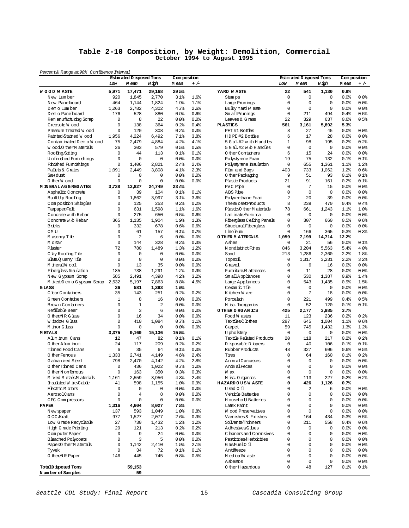#### **Table 2-10 Composition, by Weight: Demolition, Commercial October 1994 to August 1995**

| Percent& Range at 90% Confidence Interval           |              |                                    |                |                       |                  |                                       |                                  |                                    |                         |                       |                |
|-----------------------------------------------------|--------------|------------------------------------|----------------|-----------------------|------------------|---------------------------------------|----------------------------------|------------------------------------|-------------------------|-----------------------|----------------|
|                                                     | Low          | Estin ated D isposed Tons<br>M ean | H igh          | Com position<br>M ean | $+/-$            |                                       | Low                              | Estin ated D isposed Tons<br>M ean | H igh                   | Com position<br>M ean | $+/-$          |
| <b>WOOD WASTE</b>                                   | 5,971        | 17,471                             | 29,168         | 29.5%                 |                  | YARD WASTE                            | 22                               | 541                                | 1,130                   | 0.9%                  |                |
| New Lumber                                          | 920          | 1.845                              | 2,770          | 3.1%                  | 1.6%             | Stum ps                               | $\mathbf 0$                      | $\mathbf 0$                        | $\mathbf 0$             | 0.0%                  | 80.08          |
| New Panelboard                                      | 464          | 1,144                              | 1,824          | 1.9%                  | 1.1%             | Large Prunings                        | $\mathbf 0$                      | $\Omega$                           | $\mathbf 0$             | 0.0                   | 0.0%           |
| D em o Lum ber                                      | 1,263        | 2,782                              | 4,302          | 4.7%                  | 2.6%             | Bulky Yard W aste                     | $\mathbf 0$                      | 0                                  | $\mathbf 0$             | 0.0%                  | 80.08          |
| D em o Pane board                                   | 176          | 528                                | 880            | 0.9%                  | 0.6%             | Sm all Prunings                       | $\mathbf 0$                      | 211                                | 494                     | 0.4%                  | 0.5%           |
| Rem anufacturing Scrap                              | 0            | 8                                  | 22             | 0.0                   | 0.0              | Leaves & G rass                       | 22                               | 329                                | 637                     | 0.6%                  | 0.5%           |
| Creosote Wood                                       | 0            | 138                                | 364            | 0.2%                  | 0.4%             | <b>PLASTICS</b>                       | 561                              | 3,161                              | 5892                    | 5.3%                  |                |
| Pressure Treated W ood                              | 0            | 120                                | 308            | 0.2%                  | 0.3%             | PET #1 Bottles                        | 8                                | 27                                 | 45                      | 0.0                   | 0.0%           |
| Painted Stained Wood                                | 1,956        | 4,224                              | 6,492          | 7.1%                  | 3.8 <sup>°</sup> | HDPE #2 Bottles                       | 6                                | 17                                 | 28                      | 0.0%                  | 80.08          |
| Contam inated D em o W ood                          | 75           | 2,479                              | 4,884          | 4.2%                  | 4.1%             | 5 G al. #2 w ith H and les            | $\mathbf{1}$                     | 98                                 | 195                     | 0.2%                  | 0.2%           |
| Wood O ther Materials                               | 26           | 303                                | 579            | 0.5%                  | 0.5%             | 5 Gal.#2 w /o H and les               | 0                                | 0                                  | $\mathbf 0$             | 0.0%                  | 0.0%           |
| Roofing/Siding                                      | $\mathbf 0$  | 44                                 | 113            | 0.1%                  | 0.1%             | 0 ther Containers                     | 6                                | 15                                 | 24                      | 0.0%                  | 0.0%           |
| Unfinished Fumishings                               | 0            | 0                                  | $\mathbf 0$    | 0.0                   | 0.0%             | Polystyrene Foam                      | 19                               | 75                                 | 132                     | 0.1%                  | 0.1%           |
| Finished Fumishings                                 | 0            | 1,406                              | 2,821          | 2.4%                  | 2.4%             | Polystyrene Insulation                | 0                                | 655                                | 1,361                   | 1.1%                  | 1.2%           |
| Pallets & Crates                                    | 1,091        | 2,449                              | 3,808          | 4.1%                  | 2.3%             | Film and Bags                         | 403                              | 733                                | 1,062                   | 1.2%                  | 0.6%           |
| Saw dust                                            | 0            | 0                                  | $\mathbf 0$    | 0.0                   | 0.0%             | 0 ther Packaging                      | 9                                | 51                                 | 93                      | 0.1%                  | 0.1%           |
| O therW ood                                         | 0            | $\mathbf 0$                        | $\mathbf 0$    | 0.0%                  | 0.0%             | Plastic Products                      | 21                               | 91                                 | 161                     | 0.2%                  | 0.1%           |
| <b>M IN ERAL AG GREGATES</b>                        | 3,738        | 13,827                             | 24,749         | 23.4%                 |                  | PVC Pipe                              | 0                                | 7                                  | 15                      | 0.0                   | 0.0%           |
| Asphaltic Concrete                                  | 0            | 39                                 | 104            | 0.1%                  | 0.1%             | ABS Pipe                              | $\mathbf 0$                      | 0                                  | $\mathbf 0$             | 0.0%                  | 0.0%           |
| Built-Up Roofing                                    | 0            | 1,862                              | 3,997          | 3.1%                  | 3.6%             | Polyurethane Foam                     | $\overline{a}$                   | 20                                 | 39                      | 0.0                   | 80.08          |
| Composition Shingles                                | 0            | 125                                | 253            | 0.2%                  | 0.2%             | Them osetProducts                     | 8                                | 239                                | 470                     | 0.4%                  | 0.4%           |
| Tampaper/Felt                                       | 0            | 631                                | 1,598          | $1.1$ %               | 1.6%             | Plastic O ther M aterials             | 78                               | 661                                | 1.243                   | 1.1%                  | 1.0%           |
| Concrete w ith Rebar                                | 0<br>365     | 275                                | 650            | 0.5%                  | 0.6%             | Lam inate/Form ica                    | 0<br>$\mathbf 0$                 | $\Omega$<br>307                    | $\mathbf 0$             | 0.0                   | 0.0%           |
| Concrete w /o Rebar<br><b>Bricks</b>                | 0            | 1.135                              | 1,904<br>678   | 19%<br>0.6%           | 1.3%<br>0.6%     | Fiberglass Ceiling Panels             | $\mathbf 0$                      | 0                                  | 660<br>$\mathbf 0$      | 0.5%                  | 0.6%<br>80.08  |
| CM <sub>U</sub>                                     | 0            | 332<br>61                          | 157            | 0.1%                  | 0.2%             | StructuralFiberglass<br>Linoleum      | $\mathbf 0$                      | 166                                | 365                     | 0.0<br>0.3%           | 0.3%           |
|                                                     | 0            | $\overline{a}$                     | 6              | 0.0                   | 0.0%             | O THER MATERIALS                      | 1,059                            | 7,199                              | 14,714                  | 12.2%                 |                |
| M asonry Tile<br>M ortar                            | 0            | 144                                | 328            | 0.2%                  | 0.3%             | Ashes                                 | 0                                | 21                                 | 56                      | 0.0                   | 0.1%           |
| Plaster                                             | 72           | 780                                | 1,489          | 1.3%                  | 1.2%             | N ondistinct Fines                    | 846                              | 3,204                              | 5,563                   | 5.4%                  | 4.0%           |
| C lay Roofing Tile                                  | $\mathbf 0$  | 0                                  | $\mathbf 0$    | 80.0                  | 0.0%             | Sand                                  | 213                              | 1,286                              | 2,360                   | 2.2%                  | 1.8%           |
| Slate Q uarry Tile                                  | 0            | 0                                  | $\mathbf 0$    | 0.0                   | 0.0%             | Topsoil                               | 0                                | 1,317                              | 3,231                   | 2.2%                  | 3.2%           |
| M ineralW ool                                       | $\mathbf 0$  | 13                                 | 35             | 0.0                   | 0.0%             | G ravel                               | $\mathbf 0$                      | 6                                  | 16                      | 0.0%                  | 0.0%           |
| Fiberglass Insulation                               | 185          | 738                                | 1,291          | 1.2%                  | 0.9%             | Fumiture M attresses                  | $\overline{0}$                   | 11                                 | 28                      | 0.0                   | 0.0%           |
| New Gypsum Scrap                                    | 585          | 2.491                              | 4,398          | 4.2%                  | 3.2%             | Sm all Appliances                     | $\overline{0}$                   | 530                                | 1,387                   | 0.9%                  | 1.4%           |
| M ixed/D em o G ypsum Scrap                         | 2,532        | 5,197                              | 7,863          | 8.8%                  | 4.5%             | Large Appliances                      | $\overline{0}$                   | 543                                | 1,435                   | 0.9%                  | 1.5%           |
| GLASS                                               | 36           | 581                                | 1,393          | 1.0%                  |                  | Ceram ic Tile                         | $\overline{0}$                   | 0                                  | $\mathbf 0$             | 0.0%                  | 0.0%           |
| ClearContainers                                     | 35           | 143                                | 251            | 0.2%                  | 0.2%             | Kitchen W are                         | $\overline{0}$                   | 7                                  | 18                      | 0.0                   | 0.0%           |
| G reen Containers                                   | $\mathbf{1}$ | 8                                  | 16             | 0.0                   | 0.0%             | Porcelain                             | $\mathbf 0$                      | 221                                | 499                     | 0.4%                  | 0.5%           |
| Brown Containers                                    | 0            | $\mathbf{1}$                       | $\overline{2}$ | 0.0%                  | 0.0              | M isc. Inorganics                     | $\mathbf 0$                      | 52                                 | 120                     | 0.1%                  | 0.1%           |
| Refillable Beer                                     | $\Omega$     | 3                                  | 6              | 0.0%                  | 0.0%             | O THER ORGANICS                       | 425                              | 2,177                              | 3,985                   | 3.7%                  |                |
| O therNRG lass                                      | 0            | 16                                 | 34             | 0.0%                  | 0.0              | Food W astes                          | 11                               | 123                                | 236                     | 0.2%                  | 0.2%           |
| W indow G lass                                      | 0            | 410                                | 1,084          | 0.7%                  | 1.1%             | Textiles,C lothes                     | 287                              | 645                                | 1,004                   | 1.1%                  | 0.6%           |
| M inorG lass                                        | 0            | $\mathbf 0$                        | $\mathbf 0$    | 0.0%                  | 0.0%             | Carpet                                | 59                               | 745                                | 1,432                   | 1.3%                  | 1.2%           |
| <b>METALS</b>                                       | 3,375        | 9,169                              | 15,136         | 15.5%                 |                  | U pholstery                           | $\mathbf 0$                      | $\mathbf 0$                        | $\mathbf 0$             | 0.0                   | 0.0%           |
| A lum inum Cans                                     | 12           | 47                                 | 82             | 0.1%                  | 0.1%             | Textile Related Products              | 20                               | 118                                | 217                     | 0.2%                  | 0.2%           |
| O ther A lum inum                                   | 24           | 117                                | 209            | 0.2%                  | 0.2%             | D isposable D iapers                  | $\mathbf 0$                      | 40                                 | 106                     | 0.1%                  | 0.1%           |
| Tinned Food Cans                                    | 6            | 35                                 | 64             | 0.1%                  | 0.0              | Rubber Products                       | 48                               | 327                                | 606                     | 0.6%                  | 0.5%           |
| O ther Femous                                       | 1,333        | 2,741                              | 4,149          | 4.6%                  | 2.4%             | Tires                                 | $\Omega$                         | 64                                 | 160                     | 0.1%                  | 0.2%           |
| G alvanized Steel                                   | 798          | 2,470                              | 4,142          | 4.2%                  | 2.8 <sup>°</sup> | Anim alCarcasses                      | $\Omega$                         | $\Omega$                           | $\Omega$                | 0.0                   | 0.0%           |
| 0 ther Tinned Cans                                  | 0            | 436                                | 1,022          | 0.7%                  | 1.0%             | AnimalFeces                           | $\Omega$                         | $\Omega$                           | $\Omega$                | 0.0%                  | 0.0%           |
| 0 therN onferrous                                   | 0            | 163                                | 350            | 0.3%                  | 0.3%             | W ax                                  | 0                                | $\mathsf 0$                        | $\mathsf 0$             | 0.0                   | 80.0           |
| M ixed M etals M aterials                           | 1,161        | 2,559                              | 3,956          | 4.3%                  | 2.4%             | M isc. O rganics                      | 0                                | 113                                | 227                     | 0.2%                  | 0.2%           |
| Insulated W ire Cable                               | 41           | 598                                | 1,155          | 1.0%                  | 0.9%             | <b>HAZARDOUSWASTE</b>                 | $\mathbf 0$                      | 426                                | 1,126                   | 0.7%                  |                |
| Electric M otors                                    | 0            | 0                                  | 0              | 80.08                 | 0.0              | Used 0 il                             | $\Omega$                         | 2                                  | 6                       | 80.08                 | 80.08          |
| AerosolCans                                         | 0            | 4                                  | 8              | 80.0                  | 0.0              | Vehicle Batteries                     | $\Omega$                         | $\Omega$                           | $\Omega$                | 0.0                   | 80.08          |
| CFC Compressors                                     | 0            | 0                                  | $\mathbf 0$    | 80.0                  | 0.0              | <b>Household Batteries</b>            | $\overline{0}$                   | $\Omega$                           | $\mathbf 0$             | 0.0                   | 80.08          |
| PAPER                                               | 1,316        | 4,604                              | 8,027          | 7.8%                  |                  | Latex Paint                           | $\overline{0}$                   | 0                                  | $\Omega$                | 0.0                   | 80.0           |
| N ew spaper                                         | 137          | 593                                | 1,049          | 1.0%                  | 0.8 <sub>8</sub> | <b>Wood Preservatives</b>             | $\overline{0}$                   | 0                                  | $\mathbf 0$             | 0.0                   | 0.0            |
| 0 CC Kraft                                          | 977          | 1,527                              | 2,077          | 2.6%                  | 0.9%             | Vamishes & Finishes                   | $\overline{0}$                   | 164                                | 434                     | 0.3%                  | 0.5%           |
| Low Grade Recyclable                                | 27           | 730                                | 1,432          | 1.2%                  | 1.2%             | So vents/Th inners                    | $\Omega$                         | 211                                | 558                     | 0.4%                  | 0.6%           |
| H igh G rade Printing                               | 29<br>0      | 121                                | 213<br>24      | 0.2%                  | 0.2%             | Adhesives/G lues                      | $\overline{0}$<br>$\overline{0}$ | 0<br>$\Omega$                      | $\mathbf 0$<br>$\Omega$ | 0.0                   | 80.08          |
| ComputerPaper                                       | 0            | 9                                  |                | 80.0                  | 0.0              | C leaners and Comosives               | $\overline{0}$                   | $\Omega$                           |                         | 0.0                   | 80.0           |
| <b>Bleached Polycoats</b><br>Paper/O therM aterials | 0            | 3<br>1,142                         | 5              | 0.0<br>19%            | 0.0<br>2.1%      | Pesticides/Herbicides<br>Gas/Fuel0 il | $\Omega$                         | $\Omega$                           | $\mathbf 0$<br>$\Omega$ | 0.0<br>80.08          | 80.08<br>80.08 |
|                                                     | 0            | 34                                 | 2,410<br>72    |                       | 0.1%             | Antifreeze                            | $\Omega$                         | $\Omega$                           | $\Omega$                | 0.0                   | 80.08          |
| Tyvek<br>0 then NR Paper                            | 146          | 445                                | 745            | $0.1$ %<br>0.8%       | 0.5%             | M edicalW aste                        | $\overline{0}$                   | 0                                  | $\mathbf 0$             | 0.0                   | 80.08          |
|                                                     |              |                                    |                |                       |                  | A sbestos                             | 0                                | 0                                  | $\mathbf 0$             | 0.0                   | 80.0           |
| TotalD isposed Tons                                 |              | 59,153                             |                |                       |                  | 0 ther H azardous                     | $\overline{0}$                   | 48                                 | 127                     | 0.1%                  | $0.1$ $8$      |
| Number of Samples                                   |              | 59                                 |                |                       |                  |                                       |                                  |                                    |                         |                       |                |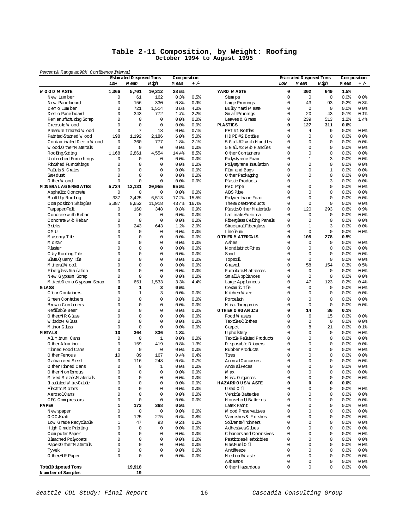#### **Table 2-11 Composition, by Weight: Roofing October 1994 to August 1995**

Percent& Range at90% Confidence Interval

| Percent& Range at 90% Confrience Interval |              | Estin ated D isposed Tons |              | Com position |         |                                   |          | Estin ated D isposed Tons |              | Composition |         |
|-------------------------------------------|--------------|---------------------------|--------------|--------------|---------|-----------------------------------|----------|---------------------------|--------------|-------------|---------|
|                                           | Low          | M ean                     | H igh        | M ean        | $+/-$   |                                   | Low      | M ean                     | H igh        | M ean       | $+/-$   |
| <b>WOOD WASTE</b>                         | 1,366        | 5,701                     | 10,312       | 28.6%        |         | YARD WASTE                        | 0        | 302                       | 649          | 1.5%        |         |
| New Lumber                                | 0            | 61                        | 162          | 0.3%         | 0.5%    | Stum ps                           | 0        | $\mathbf 0$               | $\mathbf 0$  | 0.0         | 0.0     |
| New Panelboard                            | 0            | 156                       | 330          | 0.8%         | 0.9%    | Large Prunings                    | 0        | 43                        | 93           | 0.2%        | 0.3%    |
| D em o Lum ber                            | 0            | 721                       | 1,514        | 3.6%         | 4.0%    | Bulky Yard W aste                 | $\circ$  | $\circ$                   | $\mathbf 0$  | 0.0         | 0.0     |
| D em o Panelboard                         | 0            | 343                       | 772          | 1.7%         | 2.2%    | Sm all Prunings                   | 0        | 20                        | 43           | 0.1%        | 0.1%    |
| Rem anufacturing Scrap                    | 0            | 0                         | 0            | 0.0          | 0.0%    | Leaves & G rass                   | 0        | 239                       | 513          | 1.2%        | 1.4%    |
| Creosote Wood                             | 0            | $\mathbf 0$               | 0            | 0.0          | $0.0$ % | <b>PLASTICS</b>                   | 0        | 127                       | 311          | 0.6%        |         |
| Pressure Treated W ood                    | 0            | 7                         | 18           | 0.0          | 0.1%    | PET #1 Bottles                    | $\Omega$ | $\overline{4}$            | 9            | 0.0         | 80.0    |
| Painted/Stained Wood                      | 198          | 1,192                     | 2,186        | 6.0%         | 5.0%    | HDPE #2 Bottles                   | 0        | $\mathbf 0$               | $\mathbf 0$  | 0.0         | 80.0    |
| Contam inated D em o W ood                | 0            | 360                       | 777          | 1.8%         | 2.1%    | 5 G al. #2 w ith H and les        | 0        | $\circ$                   | $\Omega$     | 0.0         | 80.0    |
| Wood O ther Materials                     | 0            | 0                         | $\mathbf 0$  | 0.0          | 0.0%    | 5 Gal. #2 w 6 H and les           | 0        | $\mathbf 0$               | 0            | 0.0%        | 0.0%    |
| Roofing/Siding                            | 1,168        | 2,861                     | 4,554        | 14.4%        | 8.5%    | 0 ther Containers                 | 0        | $\mathbf 0$               | 0            | 0.0         | 80.0    |
| Unfinished Fumishings                     | 0            | 0                         | 0            | 0.0          | $0.0$ % | Polystyrene Foam                  | $\Omega$ | $\mathbf{1}$              | 3            | 0.0         | 80.0    |
| Finished Fumishings                       | 0            | 0                         | 0            | 0.0          | $0.0$ % | Polystyrene Insulation            | 0        | $\mathbf 0$               | $\mathbf 0$  | 0.0%        | 0.0     |
| Pallets & Crates                          | 0            | 0                         | 0            | 0.0          | $0.0$ % | Film and Bags                     | $\Omega$ | $\circ$                   | $\mathbf{1}$ | 0.0         | 80.0    |
| Saw dust                                  | $\Omega$     | $\mathbf 0$               | 0            | 0.0          | $0.0$ % | 0 ther Packaging                  | 0        | $\mathbf 0$               | $\mathbf 0$  | 0.0%        | 0.0%    |
| O therW ood                               | 0            | 0                         | 0            | 0.0          | $0.0$ % | Plastic Products                  | 0        | $\mathbf 1$               | 3            | 0.0         | 0.0     |
| <b>M IN ERAL AG GREGATES</b>              | 5,724        | 13,131                    | 20,955       | 65.9%        |         | PVC Pipe                          | 0        | $\mathbf 0$               | 0            | 0.0         | 0.0     |
| Asphaltic Concrete                        | 0            | 0                         | $\mathbf 0$  | 0.0          | $0.0$ % | ABS Pipe                          | 0        | $\mathbf 0$               | $\mathbf 0$  | 0.0%        | 0.0     |
| Built-Up Roofing                          | 337          | 3,425                     | 6,513        | 17.2%        | 15.5%   | Polyurethane Foam                 | 0        | $\mathbf 0$               | $\Omega$     | 0.0         | 80.0    |
| Composition Shingles                      | 5,387        | 8,652                     | 11,918       | 43.4%        | 16.4%   | Them osetProducts                 | 0        | $\mathbf 0$               | $\mathbf 0$  | 0.0%        | 0.0%    |
| Tampaper/Felt                             | 0            | 160                       | 348          | 0.8%         | 0.9%    | Plastic O ther M aterials         | 0        | 120                       | 293          | 0.6%        | 0.9%    |
| Concrete with Rebar                       | 0            | 0                         | 0            | 0.0          | $0.0$ % | Lam inate/Form ica                | 0        | $\mathbf 0$               | $\mathbf 0$  | 0.0         | 80.0    |
| Concrete w /o Rebar                       | 0            | 0                         | 0            | 0.0          | $0.0$ % | Fiberglass Ceiling Panels         | 0        | $\mathbf 0$               | $\mathbf 0$  | 0.0%        | 80.0    |
| <b>Bricks</b>                             | 0            | 243                       | 643          | 1.2%         | 2.0%    | StructuralFiberglass              | 0        | $\mathbf{1}$              | 3            | 0.0         | 80.0    |
| CM <sub>U</sub>                           | 0            | 0                         | 0            | 0.0          | 0.0%    | Lino leum                         | $\circ$  | $\mathbf 0$               | $\mathbf 0$  | 0.0         | 0.0%    |
| M asonry Tile                             | 0            | $\mathbf 0$               | 0            | 0.0          | $0.0$ % | O THER MATERIALS                  | 0        | 105                       | 278          | 0.5%        |         |
| M ortar                                   | 0            | 0                         | 0            | 0.0          | 0.0%    | Ashes                             | $\Omega$ | $\circ$                   | $\mathbf 0$  | 0.0         | 80.0    |
| Plaster                                   | 0            | $\mathbf 0$               | 0            | 0.0          | $0.0$ % | N ondistinct Fines                | 0        | $\mathbf 0$               | $\mathbf 0$  | 0.0%        | 80.0    |
| C lay Roofing Tile                        | 0            | 0                         | $\Omega$     | 0.0          | $0.0$ % | Sand                              | $\Omega$ | $\circ$                   | $\Omega$     | 0.0         | 80.0    |
| Slate Q uarry Tile                        | 0            | 0                         | 0            | 0.0          | $0.0$ % | Topsoil                           | 0        | $\mathbf 0$               | $\mathbf 0$  | 0.0%        | 0.0%    |
| M ineralW ool                             | 0            | $\mathbf 0$               | 0            | 0.0          | $0.0$ % | G ravel                           | 0        | 58                        | 154          | 0.3%        | 0.5%    |
| Fiberglass Insulation                     | 0            | 0                         | 0            | 0.0          | $0.0$ % | Fumiture M attresses              | 0        | $\circ$                   | $\mathbf 0$  | 0.0         | 80.0    |
|                                           | 0            | 0                         | 0            | 0.0          | $0.0$ % | Sm all Appliances                 | 0        | $\mathbf 0$               | $\mathbf 0$  | 0.0         | 80.0    |
| New Gypsum Scrap                          | 0            | 651                       | 1,533        | 3.3%         | 4.4%    |                                   | 0        | 47                        | 123          | 0.2%        | 0.4%    |
| M ixed/D em o G ypsum Scrap<br>GLASS      | 0            | $\mathbf{1}$              | 3            | 0.0%         |         | Large Appliances<br>Ceram ic Tile | 0        | $\circ$                   | $\mathbf 0$  | 0.0%        | 0.0%    |
| ClearContainers                           | 0            | $\mathbf{1}$              | 3            | 0.0          | $0.0$ % | Kitchen W are                     | 0        | $\circ$                   | 0            | 0.0         | 80.0    |
|                                           |              |                           |              |              |         |                                   |          |                           |              |             |         |
| G reen Containers                         | 0            | $\mathbf 0$               | 0            | 0.0          | 0.0     | Porcelain                         | 0        | $\mathbf 0$               | 0            | 0.0         | 0.0     |
| Brown Containers                          | 0            | 0                         | 0            | 0.0          | 0.0     | M isc. horganics                  | 0        | $\mathbf 0$               | $\mathbf 0$  | 0.0         | 0.0     |
| Refillable Beer                           | 0            | 0                         | 0            | 0.0          | 0.0%    | O THER ORGANICS                   | 0        | 14                        | 36           | 0.1%        |         |
| 0 then NR G lass                          | 0            | 0                         | 0            | 0.0          | 0.0     | Food W astes                      | 0        | 6                         | 15           | 0.0%        | 80.0    |
| W indow G lass                            | 0            | 0                         | 0            | 0.0          | 0.0     | Textiles/C lothes                 | 0        | $\mathbf 0$               | $\mathbf 0$  | 0.0         | 0.0%    |
| M inorG lass                              | 0            | $\mathbf 0$               | 0            | 0.0          | 0.0     | Carpet                            | 0        | 8                         | 21           | 0.0         | 0.1%    |
| <b>METALS</b>                             | 10           | 364                       | 836          | 1.8%         |         | U pholstery                       | 0        | $\circ$                   | $\mathbf 0$  | 0.0         | 80.0    |
| A lum inum Cans                           | 0            | 0                         | $\mathbf{1}$ | 0.0          | 0.0%    | Textile Related Products          | 0        | $\mathbf 0$               | $\mathbf 0$  | 0.0         | 0.0%    |
| O ther A lum inum                         | 0            | 159                       | 419          | 0.8%         | 1.3%    | D isposable D iapers              | 0        | $\circ$                   | $\mathbf 0$  | 0.0         | 80.0    |
| Tinned Food Cans                          | 0            | 0                         | $\mathbf 0$  | 0.0          | 0.0     | Rubber Products                   | 0        | $\circ$                   | 0            | 0.0         | 0.0     |
| O ther Ferrous                            | 10           | 89                        | 167          | 0.4%         | 0.4%    | Tires                             | 0        | $\mathbf 0$               | 0            | 0.0%        | 0.0     |
| G alvanized Steel                         | 0            | 116                       | 248          | 0.6%         | 0.7%    | Anim alCarcasses                  | 0        | $\mathbf 0$               | 0            | 0.0         | 80.0    |
| O therTinned Cans                         | 0            | 0                         | $\mathbf{1}$ | 0.0          | 0.0%    | Anim alFeces                      | 0        | $\mathbf 0$               | 0            | 0.0         | 0.0%    |
| 0 therN ontenrous                         | 0            |                           | U            | 80.08        | 0.0     | W ax                              | U        | 0                         | U            | 0.0         | 0.0     |
| M ixed M etals M aterials                 | 0            | 0                         | 0            | 80.0         | 0.0     | M isc. Organics                   | 0        | $\mathbf 0$               | 0            | 0.0         | \$0.0\$ |
| Insulated W ire/Cable                     | 0            | 0                         | 0            | 80.08        | 80.08   | <b>HAZARDOUSWASTE</b>             | 0        | $\mathsf{o}\xspace$       | 0            | 80.08       |         |
| Electric M otors                          | 0            | 0                         | 0            | 80.08        | 80.08   | Used 0 il                         | 0        | $\mathbf 0$               | 0            | 0.0         | 80.08   |
| AerosolCans                               | 0            | 0                         | 0            | 0.0          | 0.0     | Vehicle Batteries                 | 0        | $\mathbf 0$               | 0            | 0.0         | 80.08   |
| CFC Compressors                           | 0            | 0                         | 0            | 0.0%         | 80.08   | <b>Household Batteries</b>        | 0        | $\mathbf 0$               | 0            | 0.0         | 80.08   |
| <b>PAPER</b>                              | 1            | 173                       | 368          | 0.9%         |         | Latex Paint                       | 0        | $\circ$                   | 0            | 0.0         | 80.08   |
| N ew spaper                               | 0            | 0                         | $\mathsf 0$  | 0.0          | 0.0     | Wood Preservatives                | 0        | $\mathbf 0$               | 0            | 0.0         | 0.0     |
| 0 CC Kraft                                | 0            | 125                       | 275          | 0.6%         | 0.8%    | Vamishes & Finishes               | 0        | $\circ$                   | 0            | 0.0         | 80.08   |
| Low Grade Recyclable                      | $\mathbf{1}$ | 47                        | 93           | 0.2%         | 0.2%    | So lvents/Thinners                | 0        | $\mathbf 0$               | 0            | 0.0         | 80.08   |
| H igh G rade Printing                     | 0            | 0                         | $\mathbf 0$  | 0.0%         | 0.0     | Adhesives G lues                  | 0        | $\mathbf 0$               | 0            | 0.0         | 80.08   |
| ComputerPaper                             | 0            | 0                         | 0            | 0.0          | 0.0     | C leaners and Comosives           | 0        | $\circ$                   | 0            | 80.08       | 80.08   |
| <b>Bleached Polycoats</b>                 | 0            | 0                         | 0            | 80.0         | 0.0     | Pesticides/H erbicides            | 0        | $\mathbf 0$               | 0            | 0.0         | 0.0     |
| Paper/O therM aterials                    | 0            | 0                         | 0            | 0.0          | 0.0     | Gas/FuelO il                      | 0        | $\mathbf 0$               | 0            | 0.0         | 80.08   |
| Tyvek                                     | 0            | 0                         | 0            | 80.0         | 0.0     | Antifreeze                        | 0        | $\mathbf 0$               | 0            | 80.08       | 80.08   |
| 0 then NR Paper                           | 0            | 0                         | 0            | 0.0%         | 80.08   | M edicalW aste                    | 0        | $\circ$                   | $\mathbf 0$  | 0.0         | 80.08   |
|                                           |              |                           |              |              |         | Asbestos                          | 0        | $\mathbf 0$               | 0            | 80.08       | 80.08   |
| TotalD isposed Tons                       |              | 19,918                    |              |              |         | 0 ther H azardous                 | 0        | $\mathsf 0$               | 0            | 80.08       | 80.08   |
| Number of Samples                         |              | 19                        |              |              |         |                                   |          |                           |              |             |         |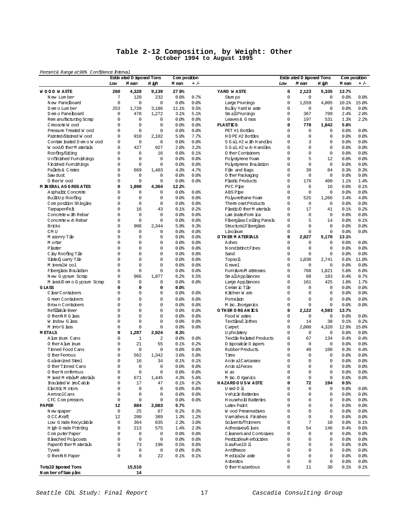#### **Table 2-12 Composition, by Weight: Other October 1994 to August 1995**

Percent& Range at90% Confidence Interval

| Percent& Range at 90% Confrience Interval |             | Estin ated D isposed Tons |                | Com position     |              |                                   |             | Estin ated D isposed Tons |             |           | Com position |
|-------------------------------------------|-------------|---------------------------|----------------|------------------|--------------|-----------------------------------|-------------|---------------------------|-------------|-----------|--------------|
|                                           | Low         | M ean                     | H igh          | M ean            | $+/-$        |                                   | Low         | M ean                     | H igh       | M ean     | $+/-$        |
| <b>WOOD WASTE</b>                         | 260         | 4,328                     | 9,139          | 27.9%            |              | YARD WASTE                        | $\mathbf 0$ | 2,123                     | 5,335       | 13.7%     |              |
| N ew Lum ber                              | 7           | 120                       | 232            | 0.8%             | 0.7%         | Stum ps                           | $\mathbf 0$ | $\mathbf 0$               | $\mathbf 0$ | 0.0%      | 0.0          |
| New Panelboard                            | $\mathbf 0$ | $\mathbf 0$               | $\Omega$       | 0.0%             | 0.0          | Large Prunings                    | $\mathbf 0$ | 1,559                     | 4,005       | 10.1%     | 15.8%        |
| D em o Lum ber                            | 253         | 1,720                     | 3,186          | 11.1             | 9.5%         | Bulky Yard W aste                 | 0           | $\mathbf 0$               | $\mathbf 0$ | 0.0       | 0.0          |
| D em o Pane board                         | $\mathbf 0$ | 478                       | 1,272          | 3.1%             | 5.1%         | Sm all Prunings                   | 0           | 367                       | 799         | 2.4%      | 2.8%         |
| Rem anufacturing Scrap                    | $\mathbf 0$ | $\mathbf 0$               | $\mathbf 0$    | 0.0%             | 0.0%         | Leaves & G rass                   | 0           | 197                       | 531         | 1.3%      | 2.2%         |
| Creosote Wood                             | 0           | $\mathbf 0$               | 0              | 0.0%             | $0.0$ %      | <b>PLASTICS</b>                   | $\mathbf 0$ | 778                       | 1,842       | 5.0%      |              |
| Pressure Treated Wood                     | 0           | $\mathbf 0$               | 0              | 0.0%             | 0.0%         | PET #1 Bottles                    | $\Omega$    | 0                         | $\mathbf 0$ | 0.0%      | 0.0%         |
| Painted/Stained Wood                      | 0           | 910                       | 2,102          | 5.9%             | 7.7%         | HDPE #2 Bottles                   | 0           | $\mathbf 0$               | $\mathbf 0$ | 0.0       | 80.0         |
| Contam inated D em o W ood                | 0           | $\mathbf 0$               | $\Omega$       | 0.0%             | 0.0%         | 5 G al. #2 w ith H and les        | $\Omega$    | 3                         | 8           | 0.0       | 0.0          |
| Wood O ther Materials                     | 0           | 427                       | 927            | 2.8 <sup>°</sup> | 3.2%         | 5 Gal. #2 w 6 H and les           | 0           | $\mathbf 0$               | $\Omega$    | 0.0%      | 0.0%         |
| Roofing/Siding                            | 0           | 6                         | 16             | 0.0%             | 0.1%         | 0 ther Containers                 | $\Omega$    | $\mathbf 0$               | $\mathbf 0$ | 0.0       | 80.0         |
| Unfinished Fumishings                     | 0           | $\mathbf 0$               | $\Omega$       | 0.0%             | 0.0%         | Polystyrene Foam                  | $\Omega$    | 5                         | 12.         | 0.0       | 0.0%         |
| Finished Fumishings                       | 0           | $\mathbf 0$               | 0              | 0.0%             | 0.0          | Polystyrene Insulation            | 0           | $\mathbf 0$               | $\mathbf 0$ | 0.0       | 80.0         |
| Pallets & Crates                          | 0           | 669                       | 1,403          | 4.3%             | 4.7%         | Film and Bags                     | $\Omega$    | 39                        | 84          | 0.3%      | 0.3%         |
| Saw dust                                  | 0           | $\mathbf 0$               | $\mathbf 0$    | 0.0%             | 0.0%         | 0 ther Packaging                  | 0           | $\mathbf 0$               | $\mathbf 0$ | 0.0%      | 0.0%         |
| 0 therW ood                               | 0           | $\mathbf 0$               | 0              | 0.0%             | $0.0$ %      | Plastic Products                  | 0           | 178                       | 400         | 1.1%      | 1.4%         |
| <b>M IN ERAL AG G REG A TES</b>           | 0           | 1,890                     | 4,364          | 12.2%            |              | PVC Pipe                          | 0           | 6                         | 16          | 0.0       | 0.1%         |
| Asphaltic Concrete                        | 0           | $\mathbf 0$               | 0              | 0.0%             | $0.0$ %      | ABS Pipe                          | 0           | $\mathbf 0$               | $\mathbf 0$ | 0.0%      | 0.0          |
| Built-Up Roofing                          | 0           | $\mathbf 0$               | $\Omega$       | 0.0%             | 0.0          | Polyurethane Foam                 | 0           | 525                       | 1,266       | 3.4%      | 4.8%         |
| Com position Shingles                     | 0           | $\mathbf 0$               | 0              | 0.0%             | 0.0          | Them osetProducts                 | 0           | $\mathbf 0$               | $\mathbf 0$ | 0.0%      | 0.0%         |
| Tamaper/Felt                              | 0           | 16                        | 43             | 0.1%             | 0.2%         | Plastic O ther M aterials         | 0           | 17                        | 41          | 0.1%      | 0.2%         |
| Concrete w ith Rebar                      | 0           | $\mathbf 0$               | 0              | 0.0%             | 0.0          | Lam inate/Form ica                | 0           | 0                         | $\Omega$    | 0.0       | 0.0%         |
| Concrete w /o Rebar                       | 0           | $\mathbf 0$               | 0              | 0.0%             | $0.0$ %      | Fiberglass Ceiling Panels         | 0           | 5                         | 14          | 0.0       | 0.1%         |
|                                           | 0           | 908                       |                | 5.9%             |              |                                   | 0           | 0                         | $\Omega$    | 0.0       |              |
| <b>Bricks</b>                             | 0           | $\mathbf 0$               | 2,344<br>0     | 0.0%             | 9.3%<br>0.0% | StructuralFiberglass<br>Lino leum | 0           | $\mathbf 0$               | $\mathbf 0$ | 0.0%      | 0.0<br>0.0%  |
| CM <sub>U</sub>                           |             |                           |                |                  |              |                                   |             |                           |             |           |              |
| M asonry Tile                             | 0           | $\mathbf 0$               | 0              | 0.0%             | $0.0$ %      | O THER MATERIALS                  | 0           | 2,027                     | 5,170       | 131%      |              |
| M ortar                                   | 0           | $\mathbf 0$               | 0              | 0.0              | 0.0%         | A shes                            | 0           | $\Omega$                  | 0           | 0.0%      | 0.0%         |
| Plaster                                   | 0           | $\mathbf 0$               | 0              | 0.0              | $0.0$ %      | N ondistinct Fines                | 0           | $\mathbf 0$               | $\mathbf 0$ | 0.0%      | 0.0          |
| C lay Roofing Tile                        | 0           | $\mathbf 0$               | $\Omega$       | 0.0              | $0.0$ %      | Sand                              | 0           | 0                         | $\mathbf 0$ | 0.0%      | 0.0          |
| Slate O uarry Tile                        | 0           | $\mathbf 0$               | 0              | 0.0%             | 0.0          | Topsoil                           | $\mathbf 0$ | 1,030                     | 2.741       | 6.6%      | 11.0%        |
| M memalW ool                              | 0           | $\mathbf 0$               | 0              | 0.0%             | $0.0$ %      | G ravel                           | 0           | $\mathbf 0$               | $\mathbf 0$ | 0.0       | 0.0          |
| Fiberglass Insulation                     | 0           | $\mathbf 0$               | 0              | 0.0%             | 0.0          | Fumiture M attresses              | 0           | 768                       | 1,821       | 5.0%      | 6.8%         |
| New Gypsum Scrap                          | 0           | 966                       | 1,977          | 6.2%             | 6.5%         | Sm all Appliances                 | 0           | 68                        | 183         | 0.4%      | 0.7%         |
| M ixed/D em o G ypsum Scrap               | 0           | 0                         | 0              | 0.0              | 0.0          | Large Appliances                  | 0           | 161                       | 425         | 1.0%      | 1.7%         |
| GLASS                                     | 0           | 0                         | 0              | 0.0%             |              | Ceram ic Tile                     | 0           | $\mathbf 0$               | $\mathbf 0$ | 0.0%      | 0.0%         |
| ClearContainers                           | 0           | $\mathbf 0$               | 0              | 0.0              | $0.0$ %      | Kitchen W are                     | 0           | $\mathbf 0$               | $\mathbf 0$ | 0.0       | 0.0          |
| G reen Containers                         | 0           | $\mathbf 0$               | 0              | 0.0%             | 0.0%         | Porcelain                         | 0           | $\mathbf 0$               | $\mathbf 0$ | 0.0       | 0.0          |
| Brown Containers                          | 0           | $\mathsf 0$               | 0              | 0.0              | 0.0          | M isc. horganics                  | 0           | $\mathbf 0$               | $\mathbf 0$ | 0.0       | 0.0          |
| Refillable Beer                           | 0           | $\mathbf 0$               | 0              | 0.0%             | 0.0%         | O THER ORGANICS                   | 0           | 2,122                     | 4,593       | 13.7%     |              |
| 0 then NR G lass                          | 0           | $\mathbf 0$               | 0              | 0.0              | 0.0          | Food W astes                      | 0           | $\mathbf 0$               | $\mathbf 0$ | 0.0%      | 0.0          |
| W indow G lass                            | 0           | $\mathbf 0$               | 0              | 0.0%             | 0.0%         | Textiles <i>C</i> lothes          | 0           | 14                        | 38          | 0.1%      | 0.2%         |
| M inorG lass                              | 0           | $\mathbf 0$               | 0              | 0.0              | 0.0          | Carpet                            | 0           | 2,000                     | 4,320       | 12.9%     | 15.0%        |
| <b>METALS</b>                             | 0           | 1,287                     | 2,924          | 8.3%             |              | U pholstery                       | 0           | $\mathbf 0$               | 0           | 0.0       | 0.0          |
| A lum inum Cans                           | 0           | 1                         | $\overline{a}$ | 0.0%             | 0.0%         | Textile Related Products          | 0           | 67                        | 134         | 0.4%      | 0.4%         |
| O ther A lum inum                         | 0           | 21                        | 55             | 0.1%             | 0.2%         | D isposable D iapers              | 0           | $\mathbf 0$               | $\mathbf 0$ | 0.0       | 0.0          |
| Tinned Food Cans                          | 0           | $\mathbf 0$               | 0              | 0.0%             | 0.0          | Rubber Products                   | 0           | 40                        | 100         | 0.3%      | 0.4%         |
| O ther Ferrous                            | 0           | 562                       | 1,342          | 3.6%             | 5.0%         | Tires                             | 0           | $\mathbf 0$               | $\mathbf 0$ | 0.0%      | 80.0         |
| G alvanized Steel                         | 0           | 16                        | 34             | 0.1%             | $0.1$ %      | Anim alCarcasses                  | $\Omega$    | 0                         | $\mathbf 0$ | 0.0       | 80.0         |
| 0 ther Tinned Cans                        | 0           | 0                         | $\Omega$       | 0.0%             | 0.0%         | Anim alFeces                      | 0           | $\mathbf 0$               | $\Omega$    | 0.0       | 0.0%         |
| 0 therN onterrous                         | 0           | 0                         | U              | 0.0              | 80.08        | W ax                              | U           | 0                         | 0           | 0.0       | 0.0          |
| M ixed M etals M aterials                 | 0           | 671                       | 1,445          | 4.3%             | 5.0%         | M isc. Organics                   | 0           | 0                         | 0           | 0.0       | 0.0          |
| Insulated W ire/Cable                     | 0           | 17                        | 47             | $0.1$ $8$        | 0.2%         | <b>HAZARDOUSWASTE</b>             | 0           | 72                        | 194         | 0.5%      |              |
| Electric Motors                           | 0           | $\mathsf 0$               | $\mathsf 0$    | 0.0%             | 80.08        | Used 0 il                         | 0           | 0                         | 0           | 0.0       | 80.08        |
| AerosolCans                               | 0           | $\mathbf 0$               | 0              | 0.0              | 0.0          | Vehicle Batteries                 | 0           | $\mathbf 0$               | 0           | 0.0       | 80.08        |
| CFC Compressors                           | $\mathsf 0$ | $\mathsf 0$               | 0              | 0.0              | 80.08        | <b>H</b> ousehold Batteries       | 0           | 0                         | 0           | 0.0       | 80.08        |
| <b>PAPER</b>                              | 12          | 884                       | 2,083          | 5.7%             |              | Latex Paint                       | 0           | 0                         | 0           | 0.0       | 80.08        |
| N ew spaper                               | $\mathsf 0$ | 25                        | 67             | 0.2              | 0.3%         | Wood Preservatives                | 0           | $\mathsf 0$               | $\mathbf 0$ | 0.0       | 0.0          |
| OCC Kraft                                 | 12          | 200                       | 389            | 1.3%             | 1.2%         | Vamishes & Finishes               | 0           | $\mathbf 0$               | 0           | 0.0       | 80.08        |
| Low Grade Recyclable                      | $\mathbf 0$ | 364                       | 835            | 2.3%             | 3.0%         | Solvents/Thinners                 | 0           | 7                         | 18          | 0.0       | 0.1%         |
| H igh G rade Printing                     | $\mathsf 0$ | 213                       | 575            | 1.4%             | 2.3%         | AdhesivesG lues                   | 0           | 54                        | 146         | 0.4%      | 0.6%         |
| ComputerPaper                             | 0           | 0                         | 0              | 0.0              | 0.0          | C leaners and Comosives           | 0           | $\mathbf 0$               | 0           | 0.0       | 80.08        |
| <b>Bleached Polycoats</b>                 | 0           |                           |                |                  |              | Pesticides/Herbicides             | 0           | $\mathbf 0$               |             |           |              |
|                                           |             | $\mathsf 0$               | 0              | 0.0              | 0.0          |                                   |             |                           | 0           | 0.0       | 0.0          |
| Paper/O therM aterials                    | 0           | 73                        | 196            | 0.5%             | 0.8%         | Gas/FuelO il                      | 0           | 0                         | 0           | 0.0       | 80.08        |
| Tyvek                                     | 0           | $\mathsf 0$               | $\mathbb O$    | 0.0              | 0.0          | Antifreeze                        | 0           | $\mathbf 0$               | $\mathbf 0$ | 0.0       | 80.08        |
| 0 then NR Paper                           | 0           | 8                         | 22             | 0.1%             | $0.1$ %      | M edicalW aste                    | 0           | 0                         | 0           | 0.0       | 80.08        |
|                                           |             |                           |                |                  |              | A sbestos                         | 0           | 0                         | 0           | 0.0       | 80.08        |
| TotalD isposed Tons                       |             | 15,510                    |                |                  |              | 0 ther H azardous                 | 0           | 11                        | 30          | $0.1$ $8$ | 0.1%         |
| Number of Samples                         |             | 14                        |                |                  |              |                                   |             |                           |             |           |              |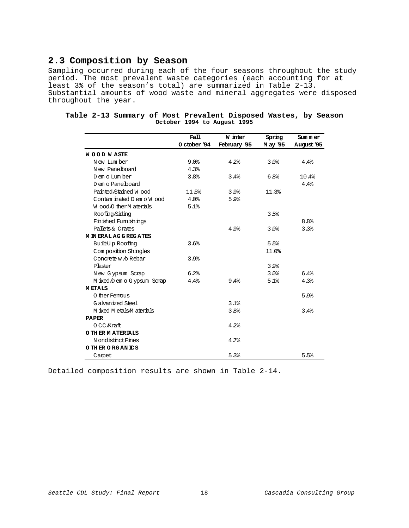### **2.3 Composition by Season**

Sampling occurred during each of the four seasons throughout the study period. The most prevalent waste categories (each accounting for at least 3% of the season's total) are summarized in Table 2-13. Substantial amounts of wood waste and mineral aggregates were disposed throughout the year.

|                             | Fall             | W inter      | Spring   | Sum mer          |
|-----------------------------|------------------|--------------|----------|------------------|
|                             | O ctober '94     | February '95 | M ay '95 | August '95       |
| <b>WOOD WASTE</b>           |                  |              |          |                  |
| New Lumber                  | 9.0 <sub>8</sub> | 4.2%         | 3.0%     | 4.4%             |
| New Panelboard              | 4.3%             |              |          |                  |
| D em o Lum ber              | 3.8%             | 3.4%         | 6.8%     | 10.4%            |
| D em o Pane board           |                  |              |          | 4.4%             |
| Painted Stained Wood        | 115%             | 3.9%         | 11.3%    |                  |
| Contam inated D em o W ood  | 4.0%             | 5.9%         |          |                  |
| Wood O ther M aterials      | 5.1%             |              |          |                  |
| Roofing/Siding              |                  |              | 3.5%     |                  |
| Finished Fumishings         |                  |              |          | 8.8 <sup>°</sup> |
| Pallets & Crates            |                  | 4.9%         | 3.0%     | 3.3%             |
| <b>M IN ERAL AGGREGATES</b> |                  |              |          |                  |
| Built-Up Roofing            | 3.6%             |              | 5.5%     |                  |
| Composition Shingles        |                  |              | 11.0%    |                  |
| Concrete w 6 Rebar          | 3.9%             |              |          |                  |
| Plaster                     |                  |              | 3.9%     |                  |
| New Gypsum Scrap            | 6.2%             |              | 3.0%     | 6.4%             |
| M ixed D em o G ypsum Scrap | 4.4%             | 9.4%         | 5.1%     | 4.3%             |
| <b>METALS</b>               |                  |              |          |                  |
| O ther Ferrous              |                  |              |          | 5.9%             |
| Galvanized Steel            |                  | 3.1%         |          |                  |
| M ixed M etals M aterials   |                  | 3.8%         |          | 3.4%             |
| <b>PAPER</b>                |                  |              |          |                  |
| 0 CC Kraft                  |                  | 4.2%         |          |                  |
| O THER MATERIALS            |                  |              |          |                  |
| N ondistinct Fines          |                  | 4.7%         |          |                  |
| O THER ORGANICS             |                  |              |          |                  |
| Carpet                      |                  | 5.3%         |          | 5.5%             |

|  |  | Table 2-13 Summary of Most Prevalent Disposed Wastes, by Season |  |  |
|--|--|-----------------------------------------------------------------|--|--|
|  |  | October 1994 to August 1995                                     |  |  |

Detailed composition results are shown in Table 2-14.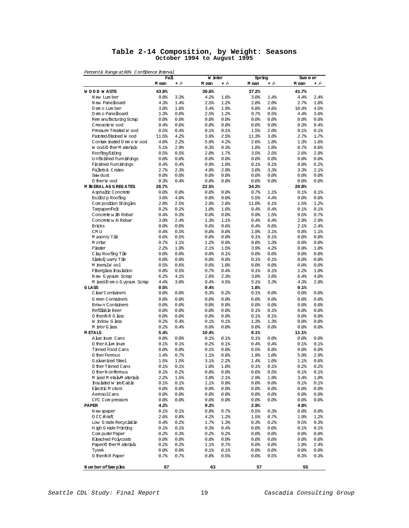#### **Table 2-14 Composition, by Weight: Seasons October 1994 to August 1995**

Percent& Range at90% Confidence Interval

|                                                     | Fall         |              | W inter      |              | Spring                             | Sum mer                      |  |  |
|-----------------------------------------------------|--------------|--------------|--------------|--------------|------------------------------------|------------------------------|--|--|
|                                                     | M ean        | $+/-$        | M ean        | $+/-$        | M ean<br>+ /-                      | M ean<br>$+/-$               |  |  |
| <b>WOOD WASTE</b>                                   | 43.9%        |              | 30.6%        |              | 37.2%                              | 41.7%                        |  |  |
| N ew Lum ber                                        | 9.0%         | 3.3%         | 4.2%         | 1.6%         | 3.0%<br>1.4%                       | 4.4%<br>2.4%                 |  |  |
| New Panelboard                                      | 4.3%         | 1.4%         | 2.5%         | 1.2%         | 2.8%<br>2.0%                       | 2.7%<br>1.8%                 |  |  |
| D em o Lum ber                                      | 3.8%         | 1.6%         | 3.4%         | 1.9%         | 6.8%<br>4.6%                       | 10.4%<br>4.5%                |  |  |
| D em o Panelboard                                   | 1.3%         | 0.8%         | 2.5%         | 1.2%         | 0.7%<br>0.5%                       | 4.4%<br>3.6%                 |  |  |
| Rem anufacturing Scrap                              | $0.0$ %      | 80.08        | $0.0$ %      | 0.0          | 80.08<br>80.08                     | $0.0$ %<br>0.0%              |  |  |
| Creosote Wood                                       | 0.4%         | 0.6%         | $0.0$ %      | 80.08        | 80.08<br>80.08                     | 0.3%<br>0.4%                 |  |  |
| Pressure Treated Wood                               | 0.5%         | 0.4%         | $0.1$ $8$    | 0.1%         | 2.0%<br>1.5%                       | 0.1%<br>$0.1$ $8$            |  |  |
| Painted Stained Wood                                | 11.5%        | 4.2%         | 3.9%         | 2.5%         | 3.8%<br>11.3%                      | 2.7%<br>1.7%                 |  |  |
| Contam inated D em o W ood<br>Wood/O therM aterials | 4.0%<br>5.1% | 2.2%<br>2.9% | 5.9%         | 4.2%<br>0.3% | 2.6%<br>1.8%<br>1.8%<br>1.8%       | 1.3%<br>1.6%<br>0.7%<br>0.6% |  |  |
| Roofing/Siding                                      | 0.5%         | 0.5%         | 0.3%<br>2.0% | 1.7%         | 3.5%<br>2.5%                       | 2.9%<br>2.6%                 |  |  |
| Unfinished Fumishings                               | $0.0$ %      | 0.0          | 0.0          | 0.0          | 80.08<br>80.08                     | $0.0$ %<br>80.08             |  |  |
| Finished Fumishings                                 | 0.4%         | 0.4%         | 0.9%         | 1.0%         | 0.1%<br>$0.1$ $8$                  | 8.8 <sup>8</sup><br>6.2%     |  |  |
| Pallets & Crates                                    | 2.7%         | 2.3%         | 4.9%         | 2.9%         | 3.0%<br>3.3%                       | 3.3%<br>2.1%                 |  |  |
| Saw dust                                            | $0.0$ %      | 80.08        | $0.0$ %      | 0.0          | 80.08<br>80.08                     | $0.0$ %<br>80.08             |  |  |
| 0 therW ood                                         | 0.3%         | 0.4%         | $0.0$ %      | 0.0          | 80.0<br>0.0                        | $0.0$ %<br>0.0%              |  |  |
| <b>M IN ERAL AGGREGATES</b>                         | 26.7%        |              | 22.5%        |              | 34.2%                              | 20.8%                        |  |  |
| Asphaltic Concrete                                  | 80.08        | 80.08        | $0.0$ %      | 80.08        | 0.7%<br>1.1%                       | 0.1%<br>0.1%                 |  |  |
| Built-Up Roofing                                    | 3.6%         | 4.0%         | $0.0$ %      | 80.08        | 5.5%<br>4.4%                       | $0.0$ %<br>0.0%              |  |  |
| Composition Shingles                                | 2.8%         | 2.5%         | 2.9%         | 2.8%         | 6.1%<br>11.0%                      | 1.5%<br>1.2%                 |  |  |
| Tampaper/Felt                                       | 0.2%         | 0.2%         | 1.0%         | 1.6%         | 0.4%<br>0.4%                       | 0.1%<br>$0.1$ $8$            |  |  |
| Concrete with Rebar                                 | 0.4%         | 0.3%         | 0.0          | 0.0          | 0.9%<br>1.5%                       | 0.5%<br>0.7%                 |  |  |
| Concrete w /o Rebar                                 | 3.9%         | 2.4%         | 1.3%         | 1.1%         | 0.4%<br>0.4%                       | 2.9%<br>2.9%                 |  |  |
| Bricks                                              | $0.0$ %      | 80.08        | 0.6%         | 0.6%         | 0.4%<br>0.6%                       | 2.1%<br>2.4%                 |  |  |
| CM <sub>U</sub>                                     | 0.4%         | 0.5%         | $0.0$ %      | 0.0          | 1.9%<br>3.1%                       | 0.8%<br>1.1%                 |  |  |
| M asonry Tile                                       | 0.6%         | 0.5%         | $0.0$ %      | 0.0          | 0.1%<br>01%                        | $0.0$ %<br>0.0               |  |  |
| M ortar                                             | 0.7%         | 1.1%         | 1.2%         | 0.9%         | 1.3%<br>0.8%                       | 80.08<br>80.08               |  |  |
| Plaster                                             | 2.2%         | 1.9%         | 2.1%         | 1.5%         | 3.9%<br>4.2%                       | 0.9%<br>1.0%                 |  |  |
| C by Roofing Tile                                   | $0.0$ %      | 80.08        | $0.0$ %      | 0.1%         | 80.08<br>80.08                     | $0.0$ %<br>80.08             |  |  |
| Slate O uarry Tile                                  | $0.0$ %      | 80.08        | $0.0$ %      | 0.0          | 0.1%<br>$0.1$ $8$                  | $0.0$ %<br>0.0               |  |  |
| M meralW ool                                        | 0.5%         | 0.6%<br>0.5% | 0.6%         | 1.0%         | 80.08<br>80.08                     | 0.0%<br>0.0%<br>1.0%         |  |  |
| Fiberglass Insulation<br>New Gypsum Scrap           | 0.8%<br>6.2% | 4.1%         | 0.7%<br>2.6% | 0.4%<br>2.3% | $0.1$ %<br>$0.1$ %<br>3.0%<br>3.6% | 1.2%<br>6.4%<br>4.0%         |  |  |
| M ixed/D em o G ypsum Scrap                         | 4.4%         | 3.0%         | 9.4%         | 4.5%         | 5.1%<br>3.3%                       | 4.3%<br>2.9%                 |  |  |
| GLASS                                               | 0.5%         |              | 0.4%         |              | 1.6%                               | 0.1%                         |  |  |
| C lear Containers                                   | 0.0%         | 0.0%         | 0.3%         | 0.2%         | 0.1%<br>0.0                        | 80.08<br>80.0                |  |  |
| G reen Containers                                   | $0.0$ %      | 80.08        | $0.0$ %      | 80.08        | 80.08<br>80.08                     | 80.08<br>80.08               |  |  |
| Brown Containers                                    | 0.0          | 0.0          | 0.0          | 0.0          | 80.08<br>0.0%                      | 80.08<br>80.08               |  |  |
| Refillable Beer                                     | 0.0          | 80.0         | 0.0          | 80.08        | $0.1$ $8$<br>$0.1$ %               | 80.08<br>80.08               |  |  |
| 0 then NR G lass                                    | $0.0$ %      | 80.08        | $0.0$ %      | 0.0          | 0.1%<br>$0.1$ $8$                  | $0.0$ %<br>80.08             |  |  |
| W indow G lass                                      | 0.2%         | 0.4%         | $0.1$ %      | 0.1%         | 1.3%<br>1.3%                       | 0.0<br>80.08                 |  |  |
| M inorG lass                                        | 0.2%         | 0.4%         | $0.0$ %      | 0.0          | 80.08<br>0.0                       | 80.08<br>80.08               |  |  |
| <b>METALS</b>                                       | 5.4%         |              | 10.4%        |              | 8.1%                               | 11.1%                        |  |  |
| A lum inum Cans                                     | $0.0$ %      | 80.0         | $0.1$ $8$    | $0.1$ %      | 80.08<br>$0.1$ $8$                 | 80.08<br>0.0                 |  |  |
| O ther A lum inum                                   | 0.1%         | 0.1%         | 0.2%         | 0.1%         | 0.4%<br>0.4%                       | 0.1%<br>0.1%                 |  |  |
| Tinned Food Cans                                    | 0.0          | 80.0         | $0.1$ %      | 0.0          | 0.5%<br>0.8%                       | 0.0<br>0.0                   |  |  |
| 0 ther Femous                                       | 1.4%         | 0.7%         | $1.1$ $8$    | 0.6%         | 19%<br>1.0%                        | 5.9%<br>2.9%                 |  |  |
| G alvanized Steel                                   | 1.5%         | 1.5%         | 3.1%         | 2.2%         | 1.4%<br>1.0%                       | 0.6%<br>$1.1$ $8$            |  |  |
| 0 ther Tinned Cans                                  | 0.1%         | 0.1%         | 1.0%         | 1.0%         | $0.1$ $8$<br>$0.1$ %               | 0.2%<br>0.2%                 |  |  |
| 0 therN onferrous                                   | 01%          | 0.2          | 0.0          | 0.0          | $0.6\%$<br>0.5%                    | 0 1%<br>0.1%                 |  |  |
| M ixed M etals M aterials                           | 2.2%         | 1.5%         | 3.8%         | 2.1%         | 2.9%<br>19%                        | 3.4%<br>1.8%                 |  |  |
| Insulated W ire/Cable<br>Electric M otors           | 0.1%         | 0.1%         | $1.1$ %      | 0.9%         | 80.0<br>80.0                       | 0.1%<br>0.1%                 |  |  |
| AerosolCans                                         | 80.0<br>80.0 | 0.0          | 0.0<br>0.0%  | 0.0          | 80.0<br>$0.0\%$<br>80.0            | 80.0<br>$0.0\%$<br>80.08     |  |  |
| CFC Compressors                                     | 80.0         | 0.0<br>0.0   | 80.08        | 0.0<br>80.0  | $0.0\%$<br>80.0<br>80.0            | 80.0<br>80.0<br>80.0         |  |  |
| <b>PAPER</b>                                        | 4.2%         |              | 9.2%         |              | 29%                                | 4.8%                         |  |  |
| N ew spaper                                         | $0.1$ %      | $0.1$ %      | 0.8%         | 0.7%         | 0.5%<br>0.3%                       | 80.0<br>80.0                 |  |  |
| 0 CC Kraft                                          | 2.6%         | 0.8%         | 4.2%         | 1.2%         | 1.5%<br>0.7%                       | 19%<br>1.2%                  |  |  |
| Low Grade Recyclable                                | 0.4%         | 0.2%         | 1.7%         | 1.3%         | 0.3%<br>0.2%                       | 0.5%<br>0.3%                 |  |  |
| H igh G rade Printing                               | $0.1$ %      | 0.1%         | 0.3%         | 0.4%         | 80.0<br>\$0.0\$                    | 0.1%<br>0.1%                 |  |  |
| ComputerPaper                                       | 0.2          | 0.3%         | 0.2%         | 0.2          | 80.0<br>$0.0\%$                    | 80.08<br>0.0                 |  |  |
| <b>Bleached Polycoats</b>                           | 80.08        | 0.0          | 80.08        | 0.0          | 80.0<br>\$0.0\$                    | 80.0<br>80.0                 |  |  |
| Paper/O therM aterials                              | 0.2          | 0.2%         | 1.1%         | 0.7%         | 80.0<br>0.0                        | 19%<br>$2.4\%$               |  |  |
| Tyvek                                               | 80.08        | 0.0          | $01$ %       | 01%          | 80.0<br>$0.0\%$                    | \$0.0\$<br>\$0.0\$           |  |  |
| 0 then NR Paper                                     | 0.7%         | 0.7%         | 0.8%         | 0.5%         | 0.6%<br>0.5%                       | 03%<br>0.3%                  |  |  |
| Number of Samples                                   | 67           |              | 63           |              | 57                                 | 55                           |  |  |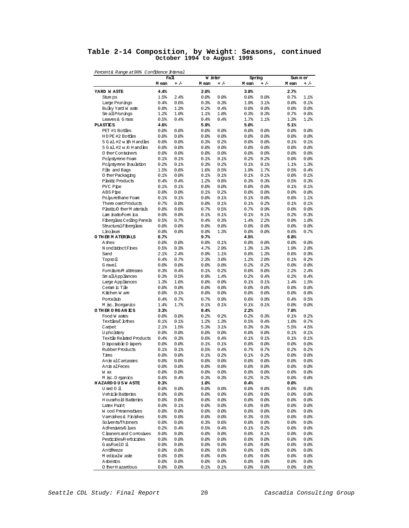### **Table 2-14 Composition, by Weight: Seasons, continued October 1994 to August 1995**

| rercent&<br>Range at 90%        | c'onfidence interval |                   |                  |               |                   |               |                  |               |
|---------------------------------|----------------------|-------------------|------------------|---------------|-------------------|---------------|------------------|---------------|
|                                 | M ean                | Fall<br>+ /-      | W inter<br>M ean | $+/-$         | Spring<br>M ean   | + /-          | Sum mer<br>M ean | $+/-$         |
| YARD WASTE                      | 4.4%                 |                   | 2.0%             |               | 3.9%              |               | 2.7%             |               |
| Stum ps                         | 1.5%                 | 2.4%              | 0.0%             | 80.08         | 80.08             | 0.0           | 0.7%             | 1.1%          |
| Large Prunings                  | 0.4%                 | 0.6%              | 0.3%             | 0.3%          | 1.9%              | 3.1%          | 80.08            | 0.1%          |
| Bulky Yard W aste               | 0.8%                 | 1.3%              | 0.2%             | 0.4%          | \$0.0\$           | 80.08         | 80.08            | 0.0%          |
| Sm all Prunings                 | 1.2%                 | 1.9%              | 1.1%             | 1.0%          | 0.3%              | 0.3%          | 0.7%             | 0.6%          |
| Leaves & G rass                 | 0.5%                 | 0.4%              | 0.4%             | 0.4%          | 1.7%              | 1.1%          | 1.3%             | 1.2%          |
| <b>PLASTICS</b>                 | 4.6%                 |                   | 5.9%             |               | 5.0%              |               | 5.1%             |               |
| PET #1 Bottles                  | 80.08                | 0.0               | 0.0%             | 80.08         | 80.08             | 0.0           | 80.08            | 0.0%          |
| HDPE #2 Bottles                 | 0.0                  | 0.0               | 0.0%             | 80.08         | 80.08             | 0.0           | 80.08            | 80.08         |
| 5 G al. #2 w ith H and les      | 0.0                  | 0.0               | 0.3%             | 0.2%          | 80.08             | 0.0           | 0.1%             | 0.1%          |
| 5 G al. #2 w /o H and les       | 0.0                  | 0.0               | 80.08            | 80.08         | 80.08             | 0.0           | 80.08            | 80.08         |
| 0 ther Containers               | 0.0                  | 0.0               | 0.0%             | 80.08         | 80.08             | 0.0           | 80.08            | 80.08         |
| Polystyrene Foam                | $0.1$ %              | $0.1$ %           | $0.1$ %          | $0.1$ %       | 0.2%              | 0.2%          | 80.08            | 0.0           |
| Polystyrene Insulation          | 0.2%                 | $0.1$ %           | 0.3%             | 0.2%          | $0.1$ %           | 0.1%          | $1.1$ $8$        | 1.3%          |
| Film and Bags                   | 1.5%                 | 0.8%              | 1.6%             | 0.5%          | 1.9%              | 1.7%          | 0.5%             | 0.4%          |
| 0 ther Packaging                | 0.1%                 | 0.0               | 0.1%             | 0.1%          | $0.1$ %           | 0.1%          | 80.08            | 0.1%          |
| Plastic Products                | 0.4%                 | 0.4%              | 1.2%             | 0.8%          | 0.3%              | 0.3%          | 0.5%             | 0.3%          |
| PVC Pipe                        | $0.1$ %              | $0.1$ %           | 0.0%             | 80.08         | 80.08             | 80.08         | $0.1$ %          | 0.1%          |
| ABS Pipe                        | 0.0                  | 0.0               | $0.1$ %          | 0.2%          | 80.08             | 80.08         | 80.08            | 80.08         |
| Polyurethane Foam               | 0.1%                 | 0.1%              | 0.0%             | 0.1%          | $0.1$ %           | 80.08         | 0.8%             | 1.1%          |
| Them osetProducts               | 0.7%                 | 0.8%              | 80.08            | $0.1$ %       | $0.1$ %           | 0.2%          | $0.1$ %          | 0.1%          |
| Plastic/O therM aterials        | 0.8%                 | 0.6%              | 0.7%             | 0.5%          | 0.7%              | 0.9%          | 80.08            | 80.08         |
| Lam inate/Form ica              | 0.0%                 | $0.0$ %           | $0.1$ %          | 0.1%          | $0.1$ %           | 0.1%          | 0.2%             | 0.3%          |
| Fiberglass Ceiling Panels       | 0.5%                 | 0.7%              | 0.4%             | 0.3%          | 1.4%              | 2.2           | 0.9%             | 1.0%          |
| StructuralFiberglass            | 0.0                  | $0.0$ %           | 0.0%             | 80.08         | 80.0              | 80.08         | 80.08            | 80.08         |
| Linoleum                        | 0.0                  | $0.0$ %           | 0.9%             | 1.3%          | 80.0              | 80.08         | 0.6%             | 0.7%          |
| O THER MATERIALS                | 6.7%                 |                   | 9.7%             |               | 4.5%              |               | 6.8%             |               |
| Ashes                           | 0.0                  | $0.0$ %           | 0.0%             | $0.1$ %       | 80.0              | 80.08         | 80.08            | 0.0           |
| N ondistinct Fines              | 0.5%                 | 0.3%              | 4.7%             | 2.9%          | 1.3%              | 1.3%          | 19%              | 2.8%          |
| Sand                            | 2.1%                 | 2.4%              | 0.9%             | 1.1%          | 0.8%              | 1.3%          | 0.6%             | 0.9%          |
| Topsoil                         | 0.4%                 | 0.7%              | 2.3%             | 3.0%          | 1.2%              | 2.0%          | 0.1%             | 0.2%          |
| G ravel<br>Fumiture M attresses | 80.08<br>0.3%        | $0.0$ %<br>0.4%   | 0.0<br>$0.1$ %   | 80.08<br>0.2% | 0.2<br>80.0       | 0.2%<br>80.08 | 80.08<br>2.2     | 80.08<br>2.4% |
| Sm all Appliances               | 0.3%                 | 0.5%              | 0.9%             | 1.4%          | 0.2               | 0.4%          | 0.2%             | 0.4%          |
| Large Appliances                | 1.3%                 | 1.6%              | 0.0              | 80.08         | $0.1$ %           | 0.1%          | 1.4%             | 1.5%          |
| Ceram ic Tile                   | 80.0                 | $0.0$ %           | 80.08            | 80.08         | 0.0               | 0.0           | 80.08            | 80.08         |
| Kitchen W are                   | 80.08                | 0.1%              | 0.0              | 80.08         | 80.08             | 0.0           | 80.08            | 80.08         |
| Porcelain                       | 0.4%                 | 0.7%              | 0.7%             | 0.9%          | 0.6%              | 0.9%          | 0.4%             | 0.5%          |
| M isc. Inorganics               | 1.4%                 | 1.7%              | 0.1%             | 0.1%          | $0.1$ %           | 0.1%          | 80.08            | 80.08         |
| O THER ORGANICS                 | 3.3%                 |                   | 8.4%             |               | 2.2%              |               | 7.0%             |               |
| Food W astes                    | 80.08                | $0.0$ %           | 0.2%             | 0.2%          | 0.2%              | 0.3%          | $0.1$ %          | 0.2%          |
| Textiles,C lothes               | 0.1%                 | 0.1%              | 1.2%             | 1.3%          | 0.5%              | 0.4%          | 1.0%             | 0.7%          |
| Carpet                          | 2.1%                 | 1.5%              | 5.3%             | 3.1%          | 0.3%              | 0.3%          | 5.5%             | 4.5%          |
| <b>U</b> pholstery              | 80.08                | $0.0$ %           | 0.0              | 80.08         | 80.08             | 80.08         | 01%              | $0.1$ %       |
| Textile Related Products        | 0.4%                 | 0.3%              | 0.6%             | 0.4%          | 0.1%              | $0.1$ %       | $0.1$ %          | 0.1%          |
| D isposable D iapers            | 80.08                | $0.0$ %           | $0.1$ %          | $0.1$ %       | 80.08             | 80.08         | 80.08            | 80.08         |
| Rubber Products                 | 0.1%                 | 0.1%              | 0.5%             | 0.4%          | 0.7%              | 0.7%          | 0.2%             | 0.2%          |
| Tires                           | 80.08                | $0.0$ %           | $0.1$ %          | 0.2%          | 0.1%              | 0.2%          | 80.08            | 80.08         |
| Anim alCarcasses                | 0.0                  | $0.0$ %           | 80.08            | 80.08         | 0.0               | 0.0           | 0.0              | 80.08         |
| Anim alFeces                    | 80.08                | 80.08             | 80.08            | 0.0           | 80.08             | 80.08         | 80.08            | 0.0           |
| w ax                            | 80.O                 | $0.0\,\mathrm{s}$ | 0.0              | 80.0          | 80.O              | 80.08         | 0.0              | 0.0           |
| M isc. Organics                 | 0.6%                 | 0.4%              | 0.3%             | 0.3%          | 0.2               | 0.2%          | 0.0              | 0.0           |
| <b>HAZARDOUSWASTE</b>           | 0.3%                 |                   | 1.0%             |               | 0.4%              |               | 80.0             |               |
| Used 0 il                       | 80.08                | 0.0%              | 80.08            | \$0.0\$       | 80.0              | 0.0%          | 80.08            | 80.0          |
| Vehicle Batteries               | 80.08                | 0.0%              | 80.08            | \$0.0\$       | 80.08             | 0.0%          | 80.08            | 80.0          |
| <b>H</b> ousehold Batteries     | 80.08                | 0.0%              | 80.08            | \$0.0\$       | 80.08             | 0.0           | 80.08            | \$0.0\$       |
| Latex Paint                     | 80.08                | 0.1%              | 0.0              | 0.0           | 0.0%              | 0.0           | 80.0             | 0.0           |
| Wood Preservatives              | 80.08                | 0.0%              | 80.08            | \$0.0\$       | 80.08             | 0.0           | 80.08            | \$0.0\$       |
| Vamishes & Finishes             | 0.0                  | 0.0               | 0.0              | 80.08         | 0.3%              | 0.5%          | 80.08            | 0.0           |
| Solvents/Thinners               | 80.0                 | 80.08             | 0.3%             | 0.6%          | 80.08             | 0.0%          | 80.08            | 80.0          |
| Adhesives/G lues                | 0.2%                 | 0.4%              | 0.5%             | 0.4%          | 0.1%              | 0.2           | 80.08            | 80.0          |
| C leaners and Comosives         | 0.0                  | 0.0               | 0.0              | 0.0           | 0.0%              | $0.1$ %       | 80.0             | 0.0           |
| Pesticides/H erbicides          | 80.08                | 0.0%              | 80.08            | \$0.0\$       | 80.08             | 0.0           | 80.08            | \$0.0\$       |
| Gas/Fuel0 il                    | 0.0                  | 0.0               | 80.08            | 0.0           | 0.0               | 0.0           | 80.08            | 0.0           |
| Antifreeze                      | 80.08                | 80.08             | 80.0             | \$0.0\$       | 80.08             | 0.0%          | 80.08            | 0.0           |
| M edicalW aste                  | 80.08                | 0.0%              | 80.08            | \$0.0\$       | 80.0              | 0.0           | 80.08            | 80.0          |
| Asbestos                        | 0.0                  | 80.0              | 0.0              | 0.0           | $0.0\,\mathrm{s}$ | 0.0           | 80.0             | 0.0           |
| 0 ther H azardous               | 80.08                | \$0.0\$           | 0.1%             | $0.1$ %       | 80.0              | 80.0          | 80.0             | 0.0%          |

Percent& Range at90% Confidence Interval

Seattle CDL Study: Final Report 20 20 Cascadia Consulting Group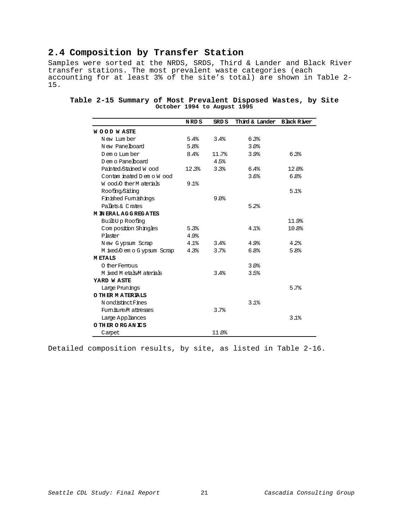### **2.4 Composition by Transfer Station**

Samples were sorted at the NRDS, SRDS, Third & Lander and Black River transfer stations. The most prevalent waste categories (each accounting for at least 3% of the site's total) are shown in Table 2- 15.

|  |  |                             |  | Table 2-15 Summary of Most Prevalent Disposed Wastes, by Site |  |  |
|--|--|-----------------------------|--|---------------------------------------------------------------|--|--|
|  |  | October 1994 to August 1995 |  |                                                               |  |  |

|                             | NRD S | SRD S | Third & Lander | <b>Black River</b> |
|-----------------------------|-------|-------|----------------|--------------------|
| <b>WOOD WASTE</b>           |       |       |                |                    |
| New Lumber                  | 5.4%  | 3.4%  | 6.3%           |                    |
| New Panelboard              | 5.8%  |       | 3.0%           |                    |
| Dem o Lum ber               | 8.4%  | 11.7% | 3.9%           | 6.3%               |
| D em o Pane board           |       | 4.5%  |                |                    |
| Painted/Stained Wood        | 12.3% | 3.3%  | 6.4%           | $12.0$ $%$         |
| Contam inated D em o W ood  |       |       | 3.6%           | 6.8%               |
| Wood O ther M aterials      | 9.1   |       |                |                    |
| Roofing/Siding              |       |       |                | 5.1%               |
| Finished Fumishings         |       | 9.0   |                |                    |
| Pallets & Crates            |       |       | 5.2%           |                    |
| <b>M IN ERAL AGGREGATES</b> |       |       |                |                    |
| Built-Up Roofing            |       |       |                | 11.9%              |
| Composition Shingles        | 5.3%  |       | 4.1%           | 10.8%              |
| Plaster                     | 4.9%  |       |                |                    |
| New Gypsum Scrap            | 4.1%  | 3.4%  | 4.9%           | 4.2%               |
| M ixed D em o G ypsum Scrap | 4.3%  | 3.7%  | 6.8%           | 5.8%               |
| <b>METALS</b>               |       |       |                |                    |
| O ther Fermus               |       |       | 3.0%           |                    |
| M ixed M etals M aterials   |       | 3.4%  | 3.5%           |                    |
| YARD WASTE                  |       |       |                |                    |
| Large Prunings              |       |       |                | 5.7%               |
| O THER MATERIALS            |       |       |                |                    |
| N ondistinct Fines          |       |       | 3.1%           |                    |
| Fumiture M attresses        |       | 3.7%  |                |                    |
| Large Appliances            |       |       |                | 3.1%               |
| O THER ORGANICS             |       |       |                |                    |
| Carpet                      |       | 11.0% |                |                    |

Detailed composition results, by site, as listed in Table 2-16.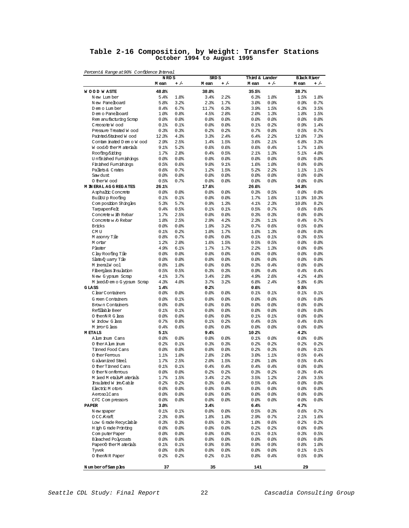### **Table 2-16 Composition, by Weight: Transfer Stations October 1994 to August 1995**

|                                                 | NRD S         |               | SRD S               |              | Third & Lander |                | <b>Black River</b> |               |
|-------------------------------------------------|---------------|---------------|---------------------|--------------|----------------|----------------|--------------------|---------------|
|                                                 | M ean         | $+/-$         | M ean               | $+/-$        | M ean          |                | M ean              | $+/-$         |
| <b>WOOD WASTE</b>                               | 48.8%         |               | 38.0%               |              | 35.5%          |                | 38.7%              |               |
| New Lumber                                      | 5.4%          | 1.8%          | 3.4%                | 2.2%         | 6.3%           | 1.8%           | 1.5%               | 1.8%          |
| New Panelboard                                  | 5.8%          | 3.2%          | 2.3%                | 1.7%         | 3.0%           | 0.9%           | 0.9%               | 0.7%          |
| D em o Lum ber                                  | 8.4%          | 6.7%          | 11.7%               | 6.3%         | 3.9%           | 1.5%           | 6.3%               | 3.5%          |
| D em o Panelboard                               | 1.0%          | 0.8%          | 4.5%                | 2.8%         | 2.0%           | 1.3%           | 1.8%               | 1.5%          |
| Rem anufacturing Scrap                          | $0.0$ %       | 80.08         | 0.0%                | 0.0%         | $0.0$ %        | 0.0%           | 80.08              | 80.08         |
| Creosote Wood                                   | $0.1$ $8$     | $0.1$ %       | $0.0$ %             | 0.0%         | 0.1%           | 0.2%           | 0.9%               | 1.4%          |
| Pressure Treated W ood                          | 0.3%          | 0.3%          | 0.2%                | 0.2%         | 0.7%           | 0.8%           | 0.5%               | 0.7%          |
| Painted/Stained Wood                            | 12.3%         | 4.3%          | 3.3%                | 2.4%         | 6.4%           | 2.2%           | 12.0%              | 7.3%          |
| Contam inated D em o W ood                      | 2.9%          | 2.5%          | 1.4%                | 1.5%         | 3.6%           | 2.1%           | 6.8%               | 3.3%          |
| Wood O ther M aterials                          | 9.1%          | 5.2%          | 0.6%                | 0.6%         | 0.6%           | 0.4%           | 1.7%               | 1.6%          |
| Roofing/Siding<br>Unfinished Fumishings         | 1.7%          | 2.8%          | 0.4%                | 0.5%         | 2.1%           | 1.3%           | 5.1%               | 4.0%          |
| Finished Furnishings                            | 0.0%<br>0.5%  | 80.08<br>0.6% | $0.0$ %<br>9.0%     | 0.0%<br>9.1% | 80.08<br>1.6%  | 0.0%<br>1.0%   | 80.08<br>80.08     | 0.0%<br>80.08 |
| Pallets & Crates                                | 0.6%          | 0.7%          | 1.2%                | 1.5%         | 5.2%           | 2.2%           | $1.1$ $8$          | 1.1%          |
| Saw dust                                        | $0.0$ %       | 80.08         | $0.0$ <sup>\$</sup> | 0.0%         | $0.0$ %        | 0.0%           | 80.08              | 80.08         |
| O therW ood                                     | 0.5%          | 0.7%          | $0.0$ %             | 0.0%         | $0.0$ %        | 0.0            | 80.08              | 0.0%          |
| <b>M IN ERAL AGGREGATES</b>                     | 26.1%         |               | 17.6%               |              | 26.6%          |                | 34.8%              |               |
| Asphaltic Concrete                              | 80.08         | 80.0          | 80.08               | 0.0%         | 0.3%           | 0.5%           | 0.0                | 0.0           |
| Built-Up Roofing                                | $0.1$ $8$     | $0.1$ %       | 0.0                 | 0.0%         | 1.7%           | 1.6%           | 11.9%              | 10.3%         |
| Com position Shingles                           | 5.3%          | 5.7%          | 0.9%                | 1.3%         | 4.1%           | 2.3%           | 10.8%              | 8.2%          |
| Tampaper/Felt                                   | 0.4%          | 0.5%          | $0.1$ $8$           | 0.1%         | 0.5%           | 0.7%           | 0.6%               | 0.6%          |
| Concrete with Rebar                             | 1.7%          | 2.5%          | 0.0%                | 0.0%         | 0.3%           | 0.3%           | 80.08              | 80.08         |
| Concrete w /o Rebar                             | 1.8%          | 2.5%          | 2.9%                | 4.2%         | 2.3%           | 1.1%           | 0.4%               | 0.7%          |
| <b>Bricks</b>                                   | 0.0           | 80.0          | 1.9%                | 3.2%         | 0.7%           | 0.6%           | 0.5%               | 0.8%          |
| CM <sub>U</sub>                                 | 0.1%          | 0.2%          | 1.0%                | 1.7%         | 1.0%           | 1.3%           | 80.08              | 0.0           |
| M asonry Tile                                   | 0.8%          | 0.7%          | $0.0$ %             | 0.0          | 0.1%           | 0.1%           | 0.3%               | 0.5%          |
| M ortar                                         | 1.2%          | 2.0%          | 1.6%                | 1.5%         | 0.5%           | 0.5%           | 80.08              | 80.08         |
| Plaster                                         | 4.9%          | 6.1%          | 1.7%                | 1.7%         | 2.2            | 1.3%           | 80.08              | 80.08         |
| C by Roofing Tile                               | $0.0$ %       | 80.0          | $0.0$ %             | 0.0%         | 0.0%           | 0.0%           | 80.08              | 80.08         |
| Slate Q uarry Tile                              | 0.0%          | 80.0          | 0.0%                | 0.0%         | 0.0%           | 0.0%           | 80.08              | 0.0           |
| M meralW ool                                    | 0.8%          | 1.0%          | $0.0$ %             | 0.0%         | 0.3%           | 0.4%           | 80.08              | 80.08         |
| Fiberglass Insulation                           | 0.5%          | 0.5%          | 0.3%                | 0.3%         | 0.9%           | 0.4%           | 0.4%               | 0.4%<br>4.8%  |
| New Gypsum Scrap<br>M ixed/D em o G ypsum Scrap | 4.1%<br>4.3%  | 3.7%<br>4.0%  | 3.4%<br>3.7%        | 2.8%<br>3.2% | 4.9%<br>6.8%   | 2.6%<br>2.4%   | 4.2%<br>5.8%       | 6.9%          |
| GLASS                                           | 1.4%          |               | 0.2%                |              | 0.6%           |                | 0.5%               |               |
| C lear Containers                               | 0.0           | 80.0          | $0.0$ %             | 0.0          | $0.1$ %        | 0.1%           | 01%                | 0.1%          |
| G reen Containers                               | $0.0$ %       | 0.1%          | $0.0$ %             | 0.0%         | $0.0$ %        | 80.08          | 80.08              | 0.0           |
| Brown Containers                                | 0.0%          | 0.0           | 0.0%                | 0.0%         | 0.0%           | 0.0%           | 80.08              | 80.08         |
| Refillable Beer                                 | $0.1$ %       | $0.1$ %       | 0.0%                | 0.0%         | 0.0%           | 0.0%           | 80.08              | 80.08         |
| 0 then NRG lass                                 | 0.0           | 80.0          | 0.0                 | 0.0          | $0.1$ $8$      | 0.1%           | 0.0                | 0.0           |
| W indow G lass                                  | 0.7%          | 0.8%          | $0.1$ %             | 0.2%         | 0.4%           | 0.5%           | 0.4%               | 0.6%          |
| M inorG lass                                    | 0.4%          | 0.6%          | $0.0$ %             | 0.0          | $0.0$ %        | 0.0            | 80.08              | 0.0           |
| <b>METALS</b>                                   | 5.1%          |               | 9.4%                |              | 10.2%          |                | 4.2%               |               |
| A lum inum Cans                                 | $0.0$ %       | 80.0          | 0.0%                | 0.0%         | 0.1%           | 0.0%           | 80.08              | 80.08         |
| O ther A lum inum                               | 0.2%          | $0.1$ %       | 0.3%                | 0.3%         | 0.2%           | 0.2%           | 0.2                | 0.2%          |
| Tinned Food Cans                                | 0.0           | 0.0           | 0.0%                | 0.0          | 0.2%           | 0.3%           | 80.0               | 0.1%          |
| 0 ther Femous                                   | $1.1$ $8$     | 1.0%          | 2.8 <sup>°</sup>    | 2.0%         | 3.0%           | 1.1%           | 0.5%               | 0.4%          |
| G alvanized Steel                               | 1.7%          | 2.5%          | 2.0%                | 1.5%         | 2.0%           | 1.0%           | 0.5%               | 0.4%          |
| 0 ther Tinned Cans                              | 0.1%          | $0.1$ %       | 0.4%                | 0.4%         | 0.4%           | 0.4%           | 80.08              | 80.08         |
| 0 therN onferrous                               | $0.0$ %       | 0.0           | $0.2$ $^{\circ}$    | 0.2%         | 0.3%           | 0.2%           | 0.3%               | 0.4%          |
| M ixed M etals/M aterials                       | 1.7%          | 1.5%          | 3.4%                | 2.2%         | 3.5%           | 1.2%           | 2.6%               | 3.5%          |
| Insulated W ire/Cable                           | 0.2%          | 0.2%          | 0.3%                | 0.4%         | 0.5%           | 0.4%           | 80.0               | 0.0           |
| Electric Motors<br>AerosolCans                  | 80.0          | 0.0           | 80.0                | 0.0          | 80.08          | 0.0            | 80.08              | $0.0\%$       |
| CFC Compressors                                 | 80.08<br>80.0 | 0.0<br>0.0    | 80.0<br>80.0        | 0.0<br>0.0%  | 80.08<br>80.0  | 80.08<br>80.08 | 80.08<br>80.0      | 80.0<br>0.0   |
| <b>PAPER</b>                                    | 3.0%          |               | 3.4%                |              | 6.4%           |                | 4.7%               |               |
| N ew spaper                                     | 01%           | 0.1%          | 80.0                | 0.0          | 0.5%           | 0.3%           | 0.6%               | 0.7%          |
| 0 CC Kraft                                      | 2.3%          | 0.9%          | 1.8%                | 1.0%         | 2.9%           | 0.7%           | $21$ %             | 1.6%          |
| Low Grade Recyclable                            | 0.3%          | 0.3%          | 0.6%                | 0.3%         | 1.0%           | 0.6%           | 0.2%               | 0.2           |
| H igh G rade Printing                           | 80.0          | 0.0           | 80.0                | 0.0          | 0.2%           | 0.2            | 80.0               | 0.0           |
| ComputerPaper                                   | 80.0          | 0.0           | 80.08               | 0.0          | 0.1%           | 0.1%           | 0.3%               | 0.5%          |
| <b>Bleached Polycoats</b>                       | 80.0          | 0.0           | 80.0                | 0.0          | 80.08          | 80.0           | 80.08              | 80.0          |
| Paper/O therM aterials                          | 0.1%          | 0.1%          | 0.9%                | 0.9%         | 0.9%           | 0.9%           | 0.8%               | 1.0%          |
| Tyvek                                           | 80.08         | 0.0           | 80.0                | 0.0          | 80.08          | 80.0           | $0.1$ %            | 0.1%          |
| 0 then NR Paper                                 | 0.2           | 0.2%          | 0.2%                | 0.1%         | 880            | 0.4%           | 0.5%               | 0.9%          |
| Number of Samples                               | 37            |               | 35                  |              | 141            |                | 29                 |               |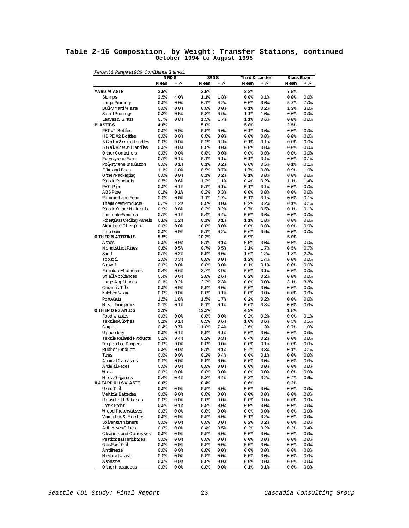### **Table 2-16 Composition, by Weight: Transfer Stations, continued October 1994 to August 1995**

| Percent& Range at 90% Confidence Interval        |                 |                  |                  |                 |                         |                  |                             |               |
|--------------------------------------------------|-----------------|------------------|------------------|-----------------|-------------------------|------------------|-----------------------------|---------------|
|                                                  | N RD S<br>M ean | $+/-$            | SRD S<br>M ean   | $+/-$           | Third & Lander<br>M ean | $+/-$            | <b>Black River</b><br>M ean | $+/-$         |
| YARD WASTE                                       | 3.5%            |                  | 3.5%             |                 | 2.3%                    |                  | 7.5%                        |               |
| Stum ps                                          | 2.5%            | 4.0%             | 1.1%             | 1.8%            | 0.0%                    | 0.1%             | 80.08                       | 0.0%          |
| Large Prunings                                   | 0.0             | 80.08            | 0.1%             | 0.2%            | 0.0                     | 0.0              | 5.7%                        | 7.0%          |
| Bulky Yard W aste                                | 0.0             | 80.08            | 0.0%             | 0.0             | 0.1%                    | 0.2%             | 1.9%                        | 3.0%          |
| Sm all Prunings                                  | 0.3%            | 0.5%             | 0.8%             | 0.9%            | 1.1%                    | 1.0%             | $0.0$ %                     | 80.08         |
| Leaves & G rass                                  | 0.7%            | 0.8%             | 1.5%             | 1.7%            | 1.1%                    | 0.6%             | 0.0%                        | 80.08         |
| <b>PLASTICS</b>                                  | 4.6%            |                  | 5.0%             |                 | 5.8%                    |                  | 2.5%                        |               |
| PET #1 Bottles                                   | 0.0             | 80.08            | 0.0              | $0.0$ %         | 0.1%                    | 0.0              | $0.0$ %                     | 0.0           |
| HDPE #2 Bottles                                  | 0.0             | 80.08            | $0.0$ %          | 0.0             | 0.0                     | 0.0              | $0.0$ %                     | 0.0%          |
| 5 G al. #2 w ith H and les                       | 0.0             | 80.08            | 0.2%             | 0.3%            | $0.1$ %                 | 0.1%             | $0.0$ %                     | 0.0           |
| 5 G al. #2 w /o H and les                        | 80.08           | 80.08            | 0.0%             | $0.0$ %         | 0.0                     | 0.0              | 0.0%                        | 80.08         |
| 0 ther Containers                                | 0.0<br>0.1%     | 80.08<br>$0.1$ % | $0.0$ %<br>0.1%  | $0.0$ %<br>0.1% | 0.0<br>$0.1$ %          | 0.0<br>0.1%      | $0.0$ %<br>$0.0$ %          | 0.0%<br>0.1%  |
| Polystyrene Foam<br>Polystyrene Insulation       | 0.0             | $0.1$ %          | 0.1%             | 0.2%            | 0.6%                    | 0.5%             | 0.1%                        | 0.1%          |
| Film and Bags                                    | 1.1%            | 1.0%             | 0.9%             | 0.7%            | 1.7%                    | 0.8%             | 0.9%                        | 1.0%          |
| 0 ther Packaging                                 | 80.08           | 0.0              | 0.1%             | 0.2%            | 0.1%                    | $0.0$ %          | 0.0%                        | 80.08         |
| Plastic Products                                 | 0.5%            | 0.6%             | 1.3%             | 1.1%            | 0.4%                    | 0.2%             | 1.1%                        | 1.4%          |
| PVC Pipe                                         | 0.0             | $0.1$ %          | 0.1%             | 0.1%            | $0.1$ %                 | 0.1%             | $0.0$ %                     | 80.08         |
| ABS Pipe                                         | 0.1%            | 0.1%             | 0.2%             | 0.3%            | 0.0                     | $0.0$ %          | $0.0$ %                     | 0.0%          |
| Polyurethane Foam                                | 0.0             | 80.08            | 1.1%             | 1.7%            | $0.1$ %                 | 0.1%             | $0.0$ %                     | 0.1%          |
| Them osetProducts                                | 0.7%            | 1.2%             | 0.0%             | 0.0%            | 0.2%                    | 0.2%             | 0.1%                        | 0.1%          |
| Plastic/O therM aterials                         | 0.9%            | 0.8%             | 0.2%             | 0.2%            | 0.7%                    | 0.5%             | 0.1%                        | 0.1%          |
| Lam inate Form ica                               | 0.1%            | 0.1%             | 0.4%             | 0.4%            | 0.0                     | $0.0$ %          | $0.0$ %                     | 80.08         |
| Fiberglass Ceiling Panels                        | 0.8%            | 1.2%             | 0.1%             | 0.1%            | 1.1%                    | 1.0 <sub>8</sub> | $0.0$ %                     | 0.0%          |
| StructuralFiberglass                             | 0.0             | 80.08            | 0.0%             | $0.0$ %         | 0.0                     | $0.0$ %          | $0.0$ %                     | 80.08         |
| Linoleum                                         | 0.0             | 80.08            | 0.1%             | 0.2%            | 0.6%                    | 0.6%             | 0.0%                        | 0.0           |
| O THER MATERIALS                                 | 5.5%            |                  | 10.2%            |                 | 6.9%                    |                  | 5.0%                        |               |
| Ashes                                            | 0.0             | 80.08            | 0.1%             | 0.1%            | 0.0                     | $0.0$ %          | $0.0$ %                     | 0.0           |
| N ondistinct Fines                               | 0.8%            | 0.5%             | 0.7%             | 0.5%            | 3.1%                    | 1.7%             | 0.5%                        | 0.7%          |
| Sand                                             | 0.1%            | 0.2%             | $0.0$ %          | $0.0$ %         | 1.6%                    | 1.2%             | 1.3%                        | 2.2%          |
| Topsoil                                          | 2.0%            | 3.3%             | 0.0%             | $0.0$ %         | 1.2%                    | 1.4%             | 0.0%                        | 80.08         |
| G ravel                                          | 80.08           | 80.08            | $0.0$ %          | $0.0$ %         | 0.1%                    | 0.1%             | $0.0$ %                     | 0.0%          |
| Fumiture M attresses                             | 0.4%            | 0.6%<br>0.6%     | 3.7%             | 3.9%<br>2.6%    | 80.08<br>0.2%           | 0.1%<br>0.2%     | $0.0$ %                     | 80.08<br>0.0% |
| Sm all Appliances                                | 0.4%<br>$0.1$ % | 0.2%             | 2.0%<br>2.2%     | 2.3%            | 0.0                     | $0.0$ %          | $0.0$ %<br>3.1%             | 3.8%          |
| Large Appliances<br>Ceram ic Tile                | 80.08           | 80.08            | 0.0              | 0.0             | $0.0$ %                 | $0.0$ %          | 0.0%                        | 80.08         |
| Kitchen W are                                    | 80.08           | $0.0$ %          | 0.0              | 0.1%            | $0.0$ %                 | $0.0$ %          | 0.0%                        | 80.08         |
| Porcelain                                        | 1.5%            | 1.8%             | 1.5%             | 1.7%            | 0.2%                    | 0.2%             | $0.0$ %                     | 80.0          |
| M isc. horganics                                 | $0.1$ %         | 0.1%             | 0.1%             | 0.1%            | 0.6%                    | 0.8%             | 0.0%                        | 80.08         |
| O THER ORGANICS                                  | 2.1%            |                  | 12.3%            |                 | 4.9%                    |                  | 1.8%                        |               |
| Food W astes                                     | 0.0             | 80.08            | 80.08            | 80.08           | 0.2%                    | 0.2%             | $0.0$ %                     | $0.1$ %       |
| Textiles,C lothes                                | 0.1%            | $0.1$ %          | 0.5%             | 0.6%            | 1.0%                    | 0.6%             | 0.5%                        | 0.5%          |
| Carpet                                           | 0.4%            | 0.7%             | 11.0%            | 7.4%            | 2.6%                    | 1.3%             | 0.7%                        | 1.0%          |
| <b>U</b> pholstery                               | 80.08           | 0.1%             | 80.08            | 0.1%            | $0.0$ %                 | $0.0$ %          | $0.0$ %                     | 0.0           |
| Textile Related Products                         | 0.2%            | 0.4%             | 0.2%             | 0.3%            | 0.4%                    | 0.2%             | $0.0$ %                     | $0.0$ $%$     |
| D isposable D iapers                             | 0.0             | 80.08            | $0.0$ %          | 0.0             | $0.0$ %                 | 0.1%             | $0.0$ %                     | 0.0           |
| Rubber Products                                  | 0.8%            | 0.9%             | 0.1%             | 0.1%            | 0.4%                    | 0.3%             | 0.1%                        | $0.1$ %       |
| Tires                                            | 0.0             | 80.08            | 0.2%             | 0.4%            | $0.0$ %                 | 0.1%             | 80.08                       | 80.08         |
| Anim alCarcasses                                 | 0.0             | 80.08            | $0.0$ %          | 80.08           | $0.0$ %                 | $0.0$ %          | 0.0                         | 0.0           |
| Anim alFeces                                     | 80.08           | 80.08            | 80.08            | 0.0             | $0.0$ %                 | 80.08            | 0.0                         | 0.0           |
| W ax                                             | 0.0             | 80.08            | 80.08            | 0.0             | 0.0                     | 0.0              | 0.0                         | \$0.0\$       |
| M isc. Organics                                  | 0.4%            | 0.4%             | 0.3%             | 0.4%            | 0.3%                    | 0.2%             | 0.4%                        | 0.6%          |
| <b>HAZARDOUSWASTE</b>                            | 80.08           |                  | 0.4%             |                 | 0.6%                    |                  | 0.2%                        |               |
| Used 0 il                                        | 80.08           | 80.0             | \$0.0\$          | 80.08           | 0.0%                    | $0.0$ %          | 80.0                        | 80.08         |
| Vehicle Batteries<br><b>H</b> ousehold Batteries | 80.08           | 80.08            | 80.08            | 80.08           | 0.0                     | 0.0%             | 80.08                       | 80.0          |
| Latex Paint                                      | 80.08<br>80.08  | 0.0              | 80.08            | 80.08           | 0.0%                    | 80.08            | 80.08<br>80.08              | 80.0          |
| Wood Preservatives                               | 80.08           | 0.1%<br>80.08    | \$0.0\$<br>80.08 | 80.0<br>0.0     | 0.0<br>0.0%             | 0.0<br>80.08     | 80.08                       | 80.0<br>80.0  |
| Vamishes & Finishes                              | 80.08           | 80.0             | \$0.0\$          | 80.08           | 0.1%                    | 0.2%             | 80.08                       | 80.0          |
| Solvents/Thinners                                | 80.08           | 80.08            | 80.08            | 80.08           | 0.2%                    | 0.2%             | 80.08                       | 80.0          |
| Adhesives/G lues                                 | 80.08           | 0.0              | 0.4%             | 0.5%            | 0.2%                    | 0.2%             | 0.2%                        | 0.4%          |
| C leaners and Comosives                          | 0.0             | 80.08            | \$0.0\$          | 0.0             | 0.0                     | $0.0$ %          | 80.08                       | 80.0          |
| Pesticides/Herbicides                            | 0.0             | 80.08            | 0.0              | 0.0             | 0.0%                    | 0.0              | 80.08                       | 80.0          |
| Gas/FuelO il                                     | 80.08           | 80.0             | \$0.0\$          | 80.08           | 0.0%                    | $0.0$ %          | 80.08                       | 80.0          |
| Antifreeze                                       | 80.08           | 80.08            | 80.0             | 80.08           | 0.0                     | 0.0%             | 80.08                       | 80.0          |
| M edicalW aste                                   | 80.08           | 0.0              | 80.0             | 80.08           | 0.0%                    | 80.08            | 80.08                       | 80.0          |
| Asbestos                                         | 80.08           | 80.08            | \$0.0\$          | 80.0            | 0.0                     | 0.0              | 80.08                       | 80.0          |
| 0 ther H azardous                                | 80.08           | 80.0             | 0.0              | \$0.0\$         | 0.1%                    | $0.1$ %          | 80.08                       | \$0.0\$       |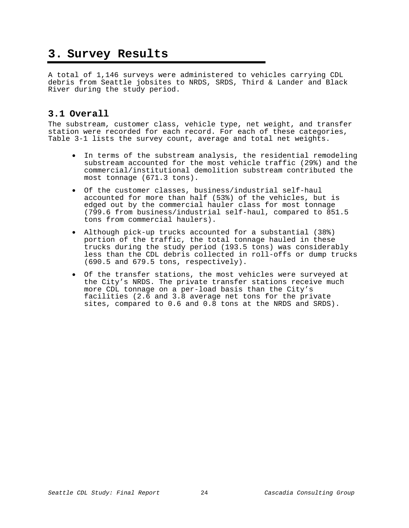### **3. Survey Results**

A total of 1,146 surveys were administered to vehicles carrying CDL debris from Seattle jobsites to NRDS, SRDS, Third & Lander and Black River during the study period.

### **3.1 Overall**

The substream, customer class, vehicle type, net weight, and transfer station were recorded for each record. For each of these categories, Table 3-1 lists the survey count, average and total net weights.

- In terms of the substream analysis, the residential remodeling substream accounted for the most vehicle traffic (29%) and the commercial/institutional demolition substream contributed the most tonnage (671.3 tons).
- Of the customer classes, business/industrial self-haul accounted for more than half (53%) of the vehicles, but is edged out by the commercial hauler class for most tonnage (799.6 from business/industrial self-haul, compared to 851.5 tons from commercial haulers).
- Although pick-up trucks accounted for a substantial (38%) portion of the traffic, the total tonnage hauled in these trucks during the study period (193.5 tons) was considerably less than the CDL debris collected in roll-offs or dump trucks (690.5 and 679.5 tons, respectively).
- Of the transfer stations, the most vehicles were surveyed at the City's NRDS. The private transfer stations receive much more CDL tonnage on a per-load basis than the City's facilities (2.6 and 3.8 average net tons for the private sites, compared to 0.6 and 0.8 tons at the NRDS and SRDS).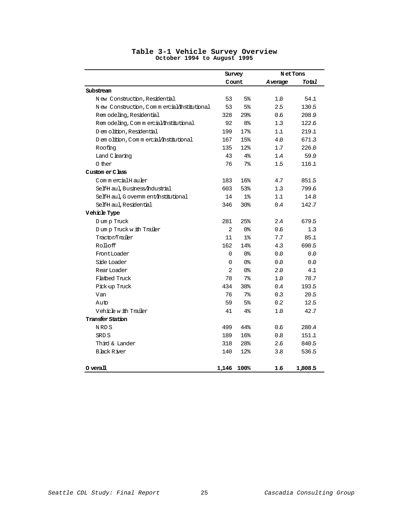|                                            |          | Survey         |         | <b>NetTons</b> |
|--------------------------------------------|----------|----------------|---------|----------------|
|                                            |          | Count          | Average | Total          |
| Substream                                  |          |                |         |                |
| New Construction, Residential              | 53       | 5 <sup>°</sup> | 1.0     | 54.1           |
| New Construction, Commercial/Institutional | 53       | 5%             | 2.5     | 130.5          |
| Rem odeling, Residential                   | 328      | 29%            | 0.6     | 208.9          |
| Rem odeling, Commercial/Institutional      | 92       | 8 <sup>°</sup> | 1.3     | 122.6          |
| D em olition, Residential                  | 199      | 17%            | 11      | 219.1          |
| D em olition, C om m ercial/institutional  | 167      | 15%            | 4.0     | 671.3          |
| Roofing                                    | 135      | 12%            | 1.7     | 226.0          |
| Land C learing                             | 43       | $4\%$          | 1.4     | 59.9           |
| 0 ther                                     | 76       | 7 <sup>°</sup> | 1.5     | 116.1          |
| Custom er Class                            |          |                |         |                |
| CommercialHauler                           | 183      | 16%            | 4.7     | 851.5          |
| SelfH aul, Business/Industrial             | 603      | 53%            | 1.3     | 799.6          |
| SelfH aul, G overnm ent/Institutional      | 14       | 1%             | 1.1     | 14.8           |
| SelfH aul, Residential                     | 346      | 30%            | 0.4     | 142.7          |
| Vehicle Type                               |          |                |         |                |
| Dump Truck                                 | 281      | 25%            | 2.4     | 679.5          |
| Dump Truck with Trailer                    | 2        | 0%             | 0.6     | 1.3            |
| Tractor/Trailer                            | 11       | $1\mathrm{k}$  | 7.7     | 85.1           |
| Rolloff                                    | 162      | 14%            | 4.3     | 690.5          |
| FrontLoader                                | $\Omega$ | 0%             | 0.0     | 0.0            |
| Side Loader                                | 0        | 0%             | 0.0     | 0.0            |
| RearLoader                                 | 2        | 0%             | 2.0     | 4.1            |
| Flatbed Truck                              | 78       | 7 <sup>°</sup> | 1.0     | 78.7           |
| Pick-up Truck                              | 434      | 38%            | 0.4     | 193.5          |
| Van                                        | 76       | 7 <sup>°</sup> | 0.3     | 20.5           |
| Auto                                       | 59       | 5%             | 0.2     | 12.5           |
| Vehicle with Trailer                       | 41       | $4\%$          | 1.0     | 42.7           |
| Transfer Station                           |          |                |         |                |
| NRDS                                       | 499      | 44%            | 0.6     | 280.4          |
| SRD S                                      | 189      | 16%            | 8.0     | 151.1          |
| Third & Lander                             | 318      | 28%            | 2.6     | 840.5          |
| <b>Black River</b>                         | 140      | 12%            | 3.8     | 536.5          |
| $0$ verall                                 | 1,146    | 100%           | 16      | 1,808.5        |

### **Table 3-1 Vehicle Survey Overview October 1994 to August 1995**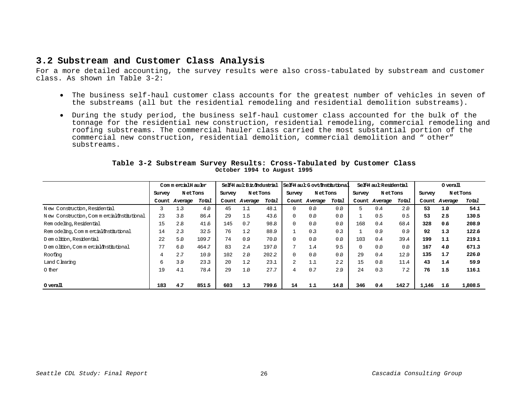### **3.2 Substream and Customer Class Analysis**

For a more detailed accounting, the survey results were also cross-tabulated by substream and customer class. As shown in Table 3-2:

- The business self-haul customer class accounts for the greatest number of vehicles in seven of the substreams (all but the residential remodeling and residential demolition substreams).
- During the study period, the business self-haul customer class accounted for the bulk of the tonnage for the residential new construction, residential remodeling, commercial remodeling and roofing substreams. The commercial hauler class carried the most substantial portion of the commercial new construction, residential demolition, commercial demolition and " other" substreams.

|                                            | CommercialHauler |                | Self-Haul: Biz/Industrial |              | SelfH aul: G ovt/Institutional |       |             | Self-Haul: Residential |       |          | $0 \text{ }}$ verall |       |        |                |         |
|--------------------------------------------|------------------|----------------|---------------------------|--------------|--------------------------------|-------|-------------|------------------------|-------|----------|----------------------|-------|--------|----------------|---------|
|                                            | Survey           | <b>NetTons</b> |                           | Survey       | <b>NetTons</b>                 |       | Survey      | N et Tons              |       | Survey   | <b>NetTons</b>       |       | Survey | <b>NetTons</b> |         |
|                                            |                  | Count Average  | Total                     |              | Count Average                  | Total |             | Count Average          | Total |          | Count Average        | Total |        | Count Average  | Total   |
| New Construction, Residential              |                  | 13             | 4.0                       | 45           | 11                             | 48.1  | $\Omega$    | 0.0                    | 0.0   | 5.       | 0.4                  | 2.0   | 53     | 1.0            | 54.1    |
| New Construction, Commercial/Institutional | 23               | 3.8            | 86.4                      | 29           | 1.5                            | 43.6  | 0           | 0.0                    | 0.0   |          | 0.5                  | 0.5   | 53     | 2.5            | 130.5   |
| Rem odeling, Residential                   | 15               | 2.8            | 41.6                      | 145          | 0.7                            | 98.8  | $\mathbf 0$ | 0.0                    | 0.0   | 168      | 0.4                  | 68.4  | 328    | 0.6            | 208.9   |
| Rem odeling, Commercial/Institutional      | 14               | 23             | 32.5                      | 76           | 12                             | 88.9  |             | 0 <sub>3</sub>         | 0.3   |          | 0.9                  | 0.9   | 92     | 1.3            | 122.6   |
| D em olition, Residential                  | 22               | 5.0            | 109.7                     | 74           | 0.9                            | 70.0  | 0           | 0.0                    | 0.0   | 103      | 0.4                  | 39.4  | 199    | 1.1            | 219.1   |
| D em olition, C om m ercial/Institutional  | 77               | 6.0            | 464.7                     | 83           | 2.4                            | 197.0 | 7           | 1.4                    | 9.5   | $\Omega$ | 0.0                  | 0.0   | 167    | 4.0            | 671.3   |
| Roofing                                    | 4                | 2.7            | 109                       | 102          | 2.0                            | 202.2 | $\Omega$    | 0.0                    | 0.0   | 29       | 0.4                  | 129   | 135    | 1.7            | 226.0   |
| Land C learing                             | б.               | 39             | 23.3                      | $20^{\circ}$ | 12                             | 231   | 2           | 11                     | 2.2   | 15       | $\Omega$ . $\Omega$  | 11.4  | 43     | 1.4            | 59.9    |
| 0 ther                                     | 19               | 4.1            | 78.4                      | 29           | 1.0                            | 27.7  | 4           | 0.7                    | 29    | 24       | 0 <sub>3</sub>       | 7.2   | 76     | 1.5            | 116.1   |
|                                            |                  |                |                           |              |                                |       |             |                        |       |          |                      |       |        |                |         |
| 0 verall                                   | 183              | 4.7            | 851.5                     | 603          | 1.3                            | 799.6 | 14          | 1.1                    | 14.8  | 346      | 0.4                  | 142.7 | 1,146  | 1.6            | 1,808.5 |

#### **Table 3-2 Substream Survey Results: Cross-Tabulated by Customer Class October 1994 to August 1995**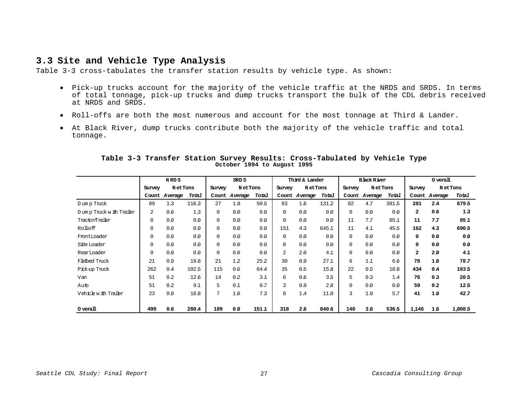### **3.3 Site and Vehicle Type Analysis**

Table 3-3 cross-tabulates the transfer station results by vehicle type. As shown:

- Pick-up trucks account for the majority of the vehicle traffic at the NRDS and SRDS. In terms of total tonnage, pick-up trucks and dump trucks transport the bulk of the CDL debris received at NRDS and SRDS.
- Roll-offs are both the most numerous and account for the most tonnage at Third & Lander.
- At Black River, dump trucks contribute both the majority of the vehicle traffic and total tonnage.

|                         | N RD S              |         | SRD S               |             | Third & Lander |                   | <b>Black River</b> |         |                          | $0 \,\mathrm{veral}$ |                |                     |              |                |         |
|-------------------------|---------------------|---------|---------------------|-------------|----------------|-------------------|--------------------|---------|--------------------------|----------------------|----------------|---------------------|--------------|----------------|---------|
|                         | N et Tons<br>Survey |         | N et Tons<br>Survey |             |                | NetTons<br>Survey |                    |         | <b>NetTons</b><br>Survey |                      |                | N et Tons<br>Survey |              |                |         |
|                         | Count               | Average | Total               | Count       | Average        | Total             | Count              | Average | Total                    | Count                | Average        | Total               |              | Count Average  | Total   |
| Dump Truck              | 89                  | 1.3     | 1163                | 27          | 19             | 50 <sub>5</sub>   | 83                 | 1.6     | 131.2                    | 82                   | 4.7            | 381.5               | 281          | 2A             | 679.5   |
| Dump Truck with Trailer | $\overline{a}$      | 0.6     | 13                  | $\mathbf 0$ | 0.0            | 0.0               | $\Omega$           | 0.0     | 0.0                      | $\Omega$             | 0.0            | 0.0                 | $\mathbf{2}$ | 0.6            | 1.3     |
| Tractor/Trailer         | $\mathbf 0$         | 0.0     | 0.0                 | $\mathbf 0$ | 0.0            | 0.0               | $\Omega$           | 0.0     | 0.0                      | 11                   | 7.7            | 85.1                | 11           | 7.7            | 85.1    |
| Rolloff                 | 0                   | 0.0     | 0.0                 | $\mathbf 0$ | 0.0            | 0.0               | 151                | 4.3     | 645.1                    | 11                   | 41             | 45.5                | 162          | 4.3            | 690.5   |
| FrontLoader             | $\Omega$            | 0.0     | 0.0                 | 0           | 0.0            | 0.0               | 0                  | 0.0     | 0.0                      | $\Omega$             | 0.0            | 0.0                 | 0            | 0.0            | 0.0     |
| Side Loader             | 0                   | 0.0     | 0.0                 | 0           | 0.0            | 0.0               | $\Omega$           | 0.0     | 0.0                      | $\Omega$             | 0.0            | 0.0                 | 0            | 0.0            | 0.0     |
| RearLoader              | $\Omega$            | 0.0     | 0.0                 | $\mathbf 0$ | 0.0            | 0.0               | $\overline{a}$     | 2.0     | 41                       | $\Omega$             | 0.0            | 0.0                 | $\mathbf{2}$ | 20             | 4.1     |
| Flatbed Truck           | 21                  | 0.9     | 19.8                | 21          | 1.2            | 25.2              | 30                 | 0.9     | 27 <sub>1</sub>          | 6                    | 11             | 6.6                 | 78           | 10             | 78.7    |
| Pick-up Truck           | 262                 | 0.4     | 102.5               | 115         | 0.6            | 64.4              | 35                 | 0.5     | 15.8                     | 22                   | 0.5            | 10.8                | 434          | 0.4            | 1935    |
| Van                     | 51                  | 0.2     | 12.6                | 14          | 0.2            | 31                | 6                  | 0.6     | 3.5                      | 5                    | 0 <sub>3</sub> | 1.4                 | 76           | 0 <sub>3</sub> | 20.5    |
| Auto                    | 51                  | 0.2     | 91                  | 5           | 0.1            | 0.7               | 3                  | 0.9     | 2.8                      | $\Omega$             | 0.0            | 0.0                 | 59           | 0.2            | 12.5    |
| Vehicle with Trailer    | 23                  | 0.8     | 18.8                | 7           | 1.0            | 7.3               | 8                  | 1.4     | 11.0                     | ζ                    | 19             | 5.7                 | 41           | 1.0            | 42.7    |
|                         |                     |         |                     |             |                |                   |                    |         |                          |                      |                |                     |              |                |         |
| $O$ verall              | 499                 | 0.6     | 280A                | 189         | 0.8            | 151,1             | 318                | 2.6     | 840.6                    | 140                  | 3B             | 536.5               | 1,146        | 1.6            | 1,808.5 |

### **Table 3-3 Transfer Station Survey Results: Cross-Tabulated by Vehicle Type October 1994 to August 1995**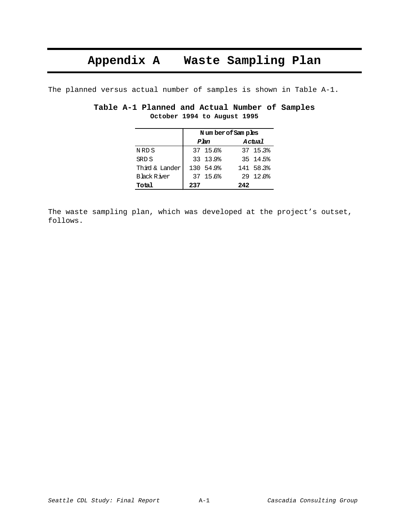### **Appendix A Waste Sampling Plan**

The planned versus actual number of samples is shown in Table A-1.

|  | Table A-1 Planned and Actual Number of Samples |                             |  |  |
|--|------------------------------------------------|-----------------------------|--|--|
|  |                                                | October 1994 to August 1995 |  |  |

|                    | Number of Samples |           |     |              |  |  |  |  |  |
|--------------------|-------------------|-----------|-----|--------------|--|--|--|--|--|
|                    |                   | Plan      |     | Actual       |  |  |  |  |  |
| NRD S              |                   | 37 15.6%  |     | 37 15.3%     |  |  |  |  |  |
| SRD S              |                   | 33 13.9%  |     | 35 14.5%     |  |  |  |  |  |
| Third & Lander     |                   | 130 54.9% |     | 141 58.3%    |  |  |  |  |  |
| <b>Black River</b> |                   | 37 15.6%  |     | $29, 12.0$ % |  |  |  |  |  |
| Total              | 237               |           | 242 |              |  |  |  |  |  |

The waste sampling plan, which was developed at the project's outset, follows.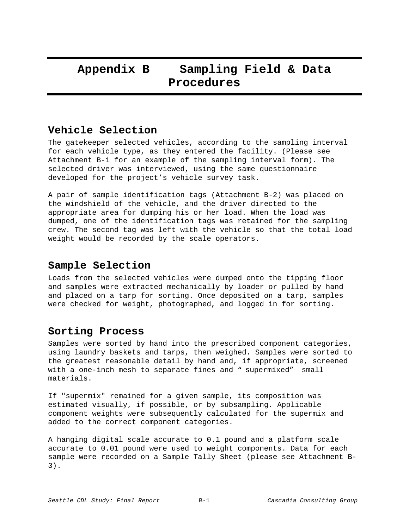### **Appendix B Sampling Field & Data Procedures**

### **Vehicle Selection**

The gatekeeper selected vehicles, according to the sampling interval for each vehicle type, as they entered the facility. (Please see Attachment B-1 for an example of the sampling interval form). The selected driver was interviewed, using the same questionnaire developed for the project's vehicle survey task.

A pair of sample identification tags (Attachment B-2) was placed on the windshield of the vehicle, and the driver directed to the appropriate area for dumping his or her load. When the load was dumped, one of the identification tags was retained for the sampling crew. The second tag was left with the vehicle so that the total load weight would be recorded by the scale operators.

### **Sample Selection**

Loads from the selected vehicles were dumped onto the tipping floor and samples were extracted mechanically by loader or pulled by hand and placed on a tarp for sorting. Once deposited on a tarp, samples were checked for weight, photographed, and logged in for sorting.

### **Sorting Process**

Samples were sorted by hand into the prescribed component categories, using laundry baskets and tarps, then weighed. Samples were sorted to the greatest reasonable detail by hand and, if appropriate, screened with a one-inch mesh to separate fines and " supermixed" small materials.

If "supermix" remained for a given sample, its composition was estimated visually, if possible, or by subsampling. Applicable component weights were subsequently calculated for the supermix and added to the correct component categories.

A hanging digital scale accurate to 0.1 pound and a platform scale accurate to 0.01 pound were used to weight components. Data for each sample were recorded on a Sample Tally Sheet (please see Attachment B-3).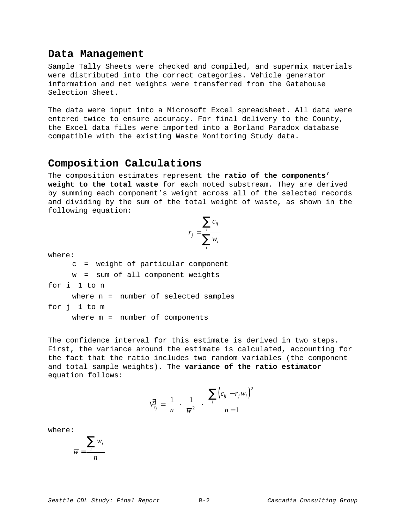### **Data Management**

Sample Tally Sheets were checked and compiled, and supermix materials were distributed into the correct categories. Vehicle generator information and net weights were transferred from the Gatehouse Selection Sheet.

The data were input into a Microsoft Excel spreadsheet. All data were entered twice to ensure accuracy. For final delivery to the County, the Excel data files were imported into a Borland Paradox database compatible with the existing Waste Monitoring Study data.

### **Composition Calculations**

The composition estimates represent the **ratio of the components' weight to the total waste** for each noted substream. They are derived by summing each component's weight across all of the selected records and dividing by the sum of the total weight of waste, as shown in the following equation:

$$
r_j = \frac{\sum_i c_{ij}}{\sum_i w_i}
$$

where:

c = weight of particular component w = sum of all component weights for i 1 to n where n = number of selected samples for j 1 to m

where m = number of components

The confidence interval for this estimate is derived in two steps. First, the variance around the estimate is calculated, accounting for the fact that the ratio includes two random variables (the component and total sample weights). The **variance of the ratio estimator** equation follows:

$$
\overrightarrow{V}_{r_j} = \left(\frac{1}{n}\right) \cdot \left(\frac{1}{\overline{w}^2}\right) \cdot \left(\frac{\sum_i \left(c_{ij} - r_j w_i\right)^2}{n - 1}\right)
$$

where:

$$
\overline{w} = \frac{\sum_{i} w_i}{n}
$$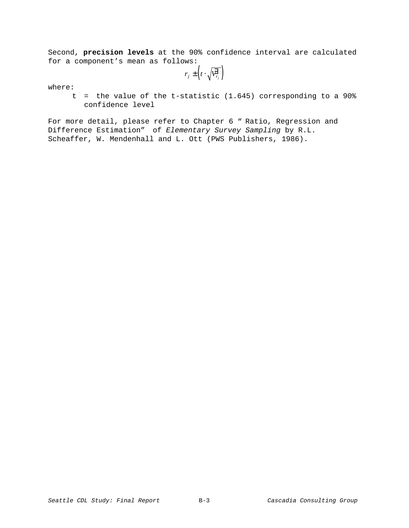Second, **precision levels** at the 90% confidence interval are calculated for a component's mean as follows:

 $r_j \pm \left(t \cdot \sqrt{\overline{V_{r_j}^j}}\right)$ 

where:

t = the value of the t-statistic (1.645) corresponding to a 90% confidence level

For more detail, please refer to Chapter 6 " Ratio, Regression and Difference Estimation" of Elementary Survey Sampling by R.L. Scheaffer, W. Mendenhall and L. Ott (PWS Publishers, 1986).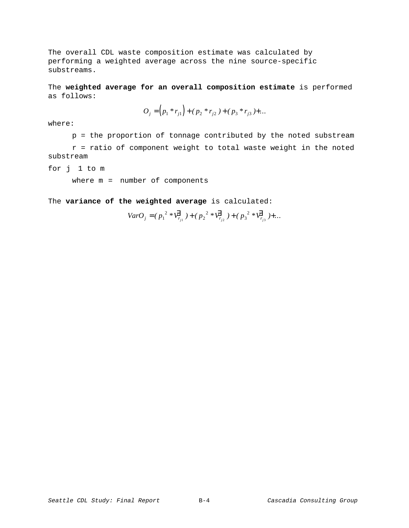The overall CDL waste composition estimate was calculated by performing a weighted average across the nine source-specific substreams.

The **weighted average for an overall composition estimate** is performed as follows:

$$
O_j = (p_1 * r_{j1}) + (p_2 * r_{j2}) + (p_3 * r_{j3}) + \dots
$$

where:

p = the proportion of tonnage contributed by the noted substream

r = ratio of component weight to total waste weight in the noted substream

for j 1 to m

where m = number of components

The **variance of the weighted average** is calculated:

$$
VarO_j = (p_1^{2} * \overline{V}_{r_{j1}}^{2}) + (p_2^{2} * \overline{V}_{r_{j2}}^{2}) + (p_3^{2} * \overline{V}_{r_{j3}}^{2}) + \dots
$$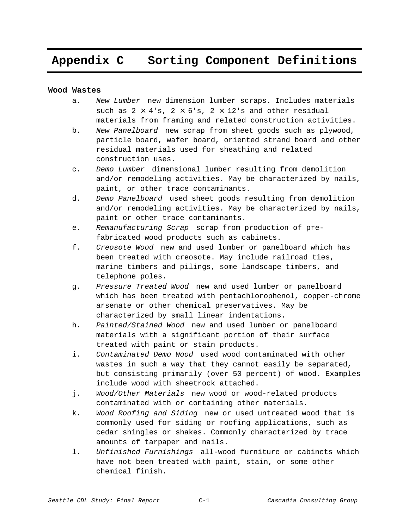### **Appendix C Sorting Component Definitions**

### **Wood Wastes**

- a. New Lumber-new dimension lumber scraps. Includes materials such as  $2 \times 4$ 's,  $2 \times 6$ 's,  $2 \times 12$ 's and other residual materials from framing and related construction activities.
- b. New Panelboard—new scrap from sheet goods such as plywood, particle board, wafer board, oriented strand board and other residual materials used for sheathing and related construction uses.
- c. Demo Lumber-dimensional lumber resulting from demolition and/or remodeling activities. May be characterized by nails, paint, or other trace contaminants.
- d. Demo Panelboard—used sheet goods resulting from demolition and/or remodeling activities. May be characterized by nails, paint or other trace contaminants.
- e. Remanufacturing Scrap-scrap from production of prefabricated wood products such as cabinets.
- f. Creosote Wood-new and used lumber or panelboard which has been treated with creosote. May include railroad ties, marine timbers and pilings, some landscape timbers, and telephone poles.
- g. Pressure Treated Wood-new and used lumber or panelboard which has been treated with pentachlorophenol, copper-chrome arsenate or other chemical preservatives. May be characterized by small linear indentations.
- h. Painted/Stained Wood—new and used lumber or panelboard materials with a significant portion of their surface treated with paint or stain products.
- i. Contaminated Demo Wood—used wood contaminated with other wastes in such a way that they cannot easily be separated, but consisting primarily (over 50 percent) of wood. Examples include wood with sheetrock attached.
- j. Wood/Other Materials-new wood or wood-related products contaminated with or containing other materials.
- k. Wood Roofing and Siding-new or used untreated wood that is commonly used for siding or roofing applications, such as cedar shingles or shakes. Commonly characterized by trace amounts of tarpaper and nails.
- 1. Unfinished Furnishings-all-wood furniture or cabinets which have not been treated with paint, stain, or some other chemical finish.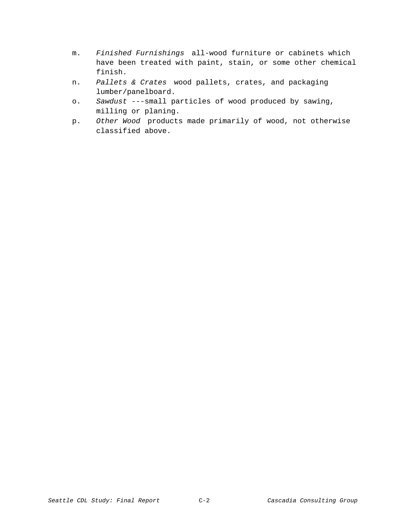- m. Finished Furnishings-all-wood furniture or cabinets which have been treated with paint, stain, or some other chemical finish.
- n. Pallets & Crates-wood pallets, crates, and packaging lumber/panelboard.
- o. Sawdust ---small particles of wood produced by sawing, milling or planing.
- p. Other Wood-products made primarily of wood, not otherwise classified above.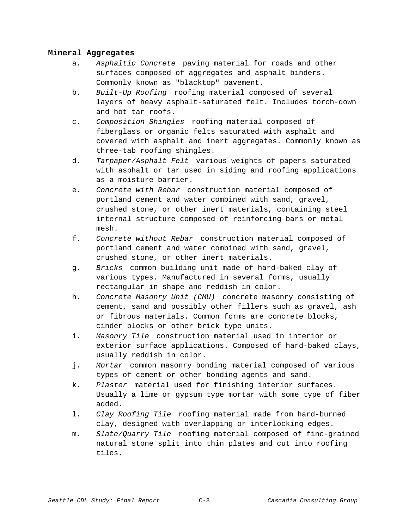### **Mineral Aggregates**

- a. Asphaltic Concrete-paving material for roads and other surfaces composed of aggregates and asphalt binders. Commonly known as "blacktop" pavement.
- b. Built-Up Roofing-roofing material composed of several layers of heavy asphalt-saturated felt. Includes torch-down and hot tar roofs.
- c. Composition Shingles-roofing material composed of fiberglass or organic felts saturated with asphalt and covered with asphalt and inert aggregates. Commonly known as three-tab roofing shingles.
- d. Tarpaper/Asphalt Felt-various weights of papers saturated with asphalt or tar used in siding and roofing applications as a moisture barrier.
- e. Concrete with Rebar-construction material composed of portland cement and water combined with sand, gravel, crushed stone, or other inert materials, containing steel internal structure composed of reinforcing bars or metal mesh.
- f. Concrete without Rebar-construction material composed of portland cement and water combined with sand, gravel, crushed stone, or other inert materials.
- g. Bricks-common building unit made of hard-baked clay of various types. Manufactured in several forms, usually rectangular in shape and reddish in color.
- h. Concrete Masonry Unit (CMU)-concrete masonry consisting of cement, sand and possibly other fillers such as gravel, ash or fibrous materials. Common forms are concrete blocks, cinder blocks or other brick type units.
- i. Masonry Tile-construction material used in interior or exterior surface applications. Composed of hard-baked clays, usually reddish in color.
- j. Mortar-common masonry bonding material composed of various types of cement or other bonding agents and sand.
- k. Plaster-material used for finishing interior surfaces. Usually a lime or gypsum type mortar with some type of fiber added.
- 1. Clay Roofing Tile-roofing material made from hard-burned clay, designed with overlapping or interlocking edges.
- m. Slate/Quarry Tile-roofing material composed of fine-grained natural stone split into thin plates and cut into roofing tiles.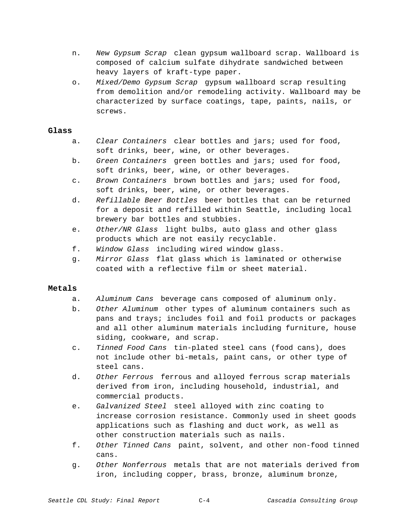- n. New Gypsum Scrap-clean gypsum wallboard scrap. Wallboard is composed of calcium sulfate dihydrate sandwiched between heavy layers of kraft-type paper.
- o. Mixed/Demo Gypsum Scrap-qypsum wallboard scrap resulting from demolition and/or remodeling activity. Wallboard may be characterized by surface coatings, tape, paints, nails, or screws.

### **Glass**

- a. Clear Containers-clear bottles and jars; used for food, soft drinks, beer, wine, or other beverages.
- b. Green Containers-green bottles and jars; used for food, soft drinks, beer, wine, or other beverages.
- c. Brown Containers-brown bottles and jars; used for food, soft drinks, beer, wine, or other beverages.
- d. Refillable Beer Bottles-beer bottles that can be returned for a deposit and refilled within Seattle, including local brewery bar bottles and stubbies.
- e. Other/NR Glass-light bulbs, auto glass and other glass products which are not easily recyclable.
- f. Window Glass-including wired window glass.
- q. Mirror Glass-flat glass which is laminated or otherwise coated with a reflective film or sheet material.

### **Metals**

- a. Aluminum Cans—beverage cans composed of aluminum only.
- b. Other Aluminum-other types of aluminum containers such as pans and trays; includes foil and foil products or packages and all other aluminum materials including furniture, house siding, cookware, and scrap.
- c. Tinned Food Cans-tin-plated steel cans (food cans), does not include other bi-metals, paint cans, or other type of steel cans.
- d. Other Ferrous-ferrous and alloyed ferrous scrap materials derived from iron, including household, industrial, and commercial products.
- e. Galvanized Steel-steel alloyed with zinc coating to increase corrosion resistance. Commonly used in sheet goods applications such as flashing and duct work, as well as other construction materials such as nails.
- f. Other Tinned Cans-paint, solvent, and other non-food tinned cans.
- g. Other Nonferrous—metals that are not materials derived from iron, including copper, brass, bronze, aluminum bronze,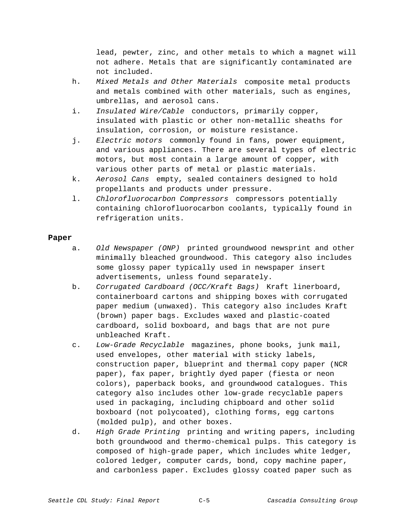lead, pewter, zinc, and other metals to which a magnet will not adhere. Metals that are significantly contaminated are not included.

- h. Mixed Metals and Other Materials-composite metal products and metals combined with other materials, such as engines, umbrellas, and aerosol cans.
- i. Insulated Wire/Cable-conductors, primarily copper, insulated with plastic or other non-metallic sheaths for insulation, corrosion, or moisture resistance.
- i. Electric motors-commonly found in fans, power equipment, and various appliances. There are several types of electric motors, but most contain a large amount of copper, with various other parts of metal or plastic materials.
- k. Aerosol Cans—empty, sealed containers designed to hold propellants and products under pressure.
- 1. Chlorofluorocarbon Compressors-compressors potentially containing chlorofluorocarbon coolants, typically found in refrigeration units.

### **Paper**

- a. Old Newspaper (ONP)-printed groundwood newsprint and other minimally bleached groundwood. This category also includes some glossy paper typically used in newspaper insert advertisements, unless found separately.
- b. Corrugated Cardboard (OCC/Kraft Bags)—Kraft linerboard, containerboard cartons and shipping boxes with corrugated paper medium (unwaxed). This category also includes Kraft (brown) paper bags. Excludes waxed and plastic-coated cardboard, solid boxboard, and bags that are not pure unbleached Kraft.
- c. Low-Grade Recyclablemagazines, phone books, junk mail, used envelopes, other material with sticky labels, construction paper, blueprint and thermal copy paper (NCR paper), fax paper, brightly dyed paper (fiesta or neon colors), paperback books, and groundwood catalogues. This category also includes other low-grade recyclable papers used in packaging, including chipboard and other solid boxboard (not polycoated), clothing forms, egg cartons (molded pulp), and other boxes.
- d. High Grade Printing-printing and writing papers, including both groundwood and thermo-chemical pulps. This category is composed of high-grade paper, which includes white ledger, colored ledger, computer cards, bond, copy machine paper, and carbonless paper. Excludes glossy coated paper such as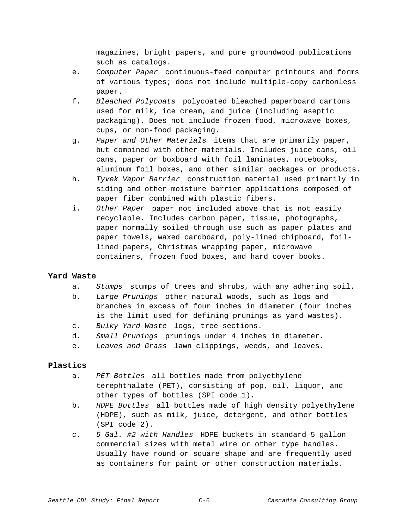magazines, bright papers, and pure groundwood publications such as catalogs.

- e. Computer Paper-continuous-feed computer printouts and forms of various types; does not include multiple-copy carbonless paper.
- f. Bleached Polycoats-polycoated bleached paperboard cartons used for milk, ice cream, and juice (including aseptic packaging). Does not include frozen food, microwave boxes, cups, or non-food packaging.
- g. Paper and Other Materials—items that are primarily paper, but combined with other materials. Includes juice cans, oil cans, paper or boxboard with foil laminates, notebooks, aluminum foil boxes, and other similar packages or products.
- h. Tyvek Vapor Barrier-construction material used primarily in siding and other moisture barrier applications composed of paper fiber combined with plastic fibers.
- i. Other Paper-paper not included above that is not easily recyclable. Includes carbon paper, tissue, photographs, paper normally soiled through use such as paper plates and paper towels, waxed cardboard, poly-lined chipboard, foillined papers, Christmas wrapping paper, microwave containers, frozen food boxes, and hard cover books.

### **Yard Waste**

- a. Stumps-stumps of trees and shrubs, with any adhering soil.
- b. Large Prunings-other natural woods, such as logs and branches in excess of four inches in diameter (four inches is the limit used for defining prunings as yard wastes).
- c. Bulky Yard Waste-logs, tree sections.
- d. Small Prunings-prunings under 4 inches in diameter.
- e. Leaves and Grass—lawn clippings, weeds, and leaves.

### **Plastics**

- a. PET Bottles-all bottles made from polyethylene terephthalate (PET), consisting of pop, oil, liquor, and other types of bottles (SPI code 1).
- b. HDPE Bottles-all bottles made of high density polyethylene (HDPE), such as milk, juice, detergent, and other bottles (SPI code 2).
- c. 5 Gal. #2 with Handles—HDPE buckets in standard 5 gallon commercial sizes with metal wire or other type handles. Usually have round or square shape and are frequently used as containers for paint or other construction materials.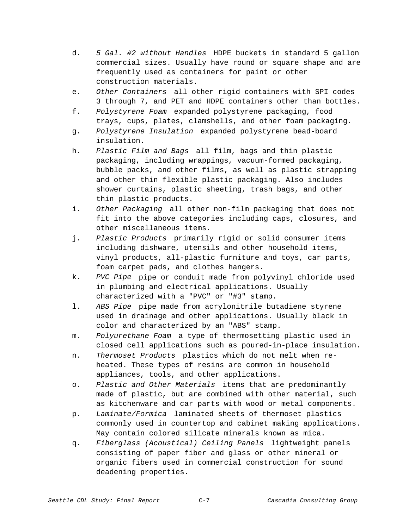- d. 5 Gal. #2 without Handles-HDPE buckets in standard 5 gallon commercial sizes. Usually have round or square shape and are frequently used as containers for paint or other construction materials.
- e. Other Containers—all other rigid containers with SPI codes 3 through 7, and PET and HDPE containers other than bottles.
- f. Polystyrene Foamexpanded polystyrene packaging, food trays, cups, plates, clamshells, and other foam packaging.
- g. Polystyrene Insulation-expanded polystyrene bead-board insulation.
- h. Plastic Film and Bags-all film, bags and thin plastic packaging, including wrappings, vacuum-formed packaging, bubble packs, and other films, as well as plastic strapping and other thin flexible plastic packaging. Also includes shower curtains, plastic sheeting, trash bags, and other thin plastic products.
- i. Other Packaging-all other non-film packaging that does not fit into the above categories including caps, closures, and other miscellaneous items.
- j. Plastic Products-primarily rigid or solid consumer items including dishware, utensils and other household items, vinyl products, all-plastic furniture and toys, car parts, foam carpet pads, and clothes hangers.
- k. PVC Pipe-pipe or conduit made from polyvinyl chloride used in plumbing and electrical applications. Usually characterized with a "PVC" or "#3" stamp.
- 1. ABS Pipe-pipe made from acrylonitrile butadiene styrene used in drainage and other applications. Usually black in color and characterized by an "ABS" stamp.
- m. Polyurethane Foam a type of thermosetting plastic used in closed cell applications such as poured-in-place insulation.
- n. Thermoset Products-plastics which do not melt when reheated. These types of resins are common in household appliances, tools, and other applications.
- o. Plastic and Other Materials-items that are predominantly made of plastic, but are combined with other material, such as kitchenware and car parts with wood or metal components.
- p. Laminate/Formica-laminated sheets of thermoset plastics commonly used in countertop and cabinet making applications. May contain colored silicate minerals known as mica.
- q. Fiberglass (Acoustical) Ceiling Panels-lightweight panels consisting of paper fiber and glass or other mineral or organic fibers used in commercial construction for sound deadening properties.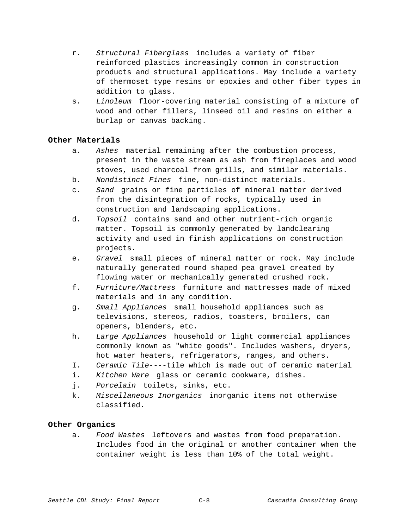- r. Structural Fiberglass-includes a variety of fiber reinforced plastics increasingly common in construction products and structural applications. May include a variety of thermoset type resins or epoxies and other fiber types in addition to glass.
- s. Linoleum—floor-covering material consisting of a mixture of wood and other fillers, linseed oil and resins on either a burlap or canvas backing.

### **Other Materials**

- a. Ashes-material remaining after the combustion process, present in the waste stream as ash from fireplaces and wood stoves, used charcoal from grills, and similar materials.
- b. Nondistinct Fines-fine, non-distinct materials.
- c. Sand-grains or fine particles of mineral matter derived from the disintegration of rocks, typically used in construction and landscaping applications.
- d. Topsoil-contains sand and other nutrient-rich organic matter. Topsoil is commonly generated by landclearing activity and used in finish applications on construction projects.
- e. Gravel-small pieces of mineral matter or rock. May include naturally generated round shaped pea gravel created by flowing water or mechanically generated crushed rock.
- f. Furniture/Mattress-furniture and mattresses made of mixed materials and in any condition.
- g. Small Appliances-small household appliances such as televisions, stereos, radios, toasters, broilers, can openers, blenders, etc.
- h. Large Appliances—household or light commercial appliances commonly known as "white goods". Includes washers, dryers, hot water heaters, refrigerators, ranges, and others.
- I. Ceramic Tile----tile which is made out of ceramic material
- i. Kitchen Ware-glass or ceramic cookware, dishes.
- j. Porcelain-toilets, sinks, etc.
- k. Miscellaneous Inorganics-inorganic items not otherwise classified.

### **Other Organics**

a. Food Wastes-leftovers and wastes from food preparation. Includes food in the original or another container when the container weight is less than 10% of the total weight.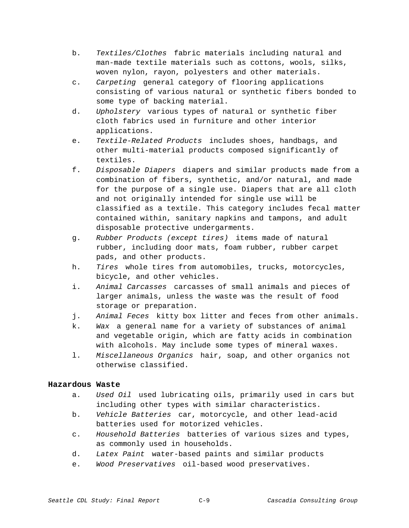- b. Textiles/Clothes-fabric materials including natural and man-made textile materials such as cottons, wools, silks, woven nylon, rayon, polyesters and other materials.
- c. Carpeting-qeneral category of flooring applications consisting of various natural or synthetic fibers bonded to some type of backing material.
- d. Upholstery-various types of natural or synthetic fiber cloth fabrics used in furniture and other interior applications.
- e. Textile-Related Products-includes shoes, handbags, and other multi-material products composed significantly of textiles.
- f. Disposable Diapers—diapers and similar products made from a combination of fibers, synthetic, and/or natural, and made for the purpose of a single use. Diapers that are all cloth and not originally intended for single use will be classified as a textile. This category includes fecal matter contained within, sanitary napkins and tampons, and adult disposable protective undergarments.
- g. Rubber Products (except tires)-items made of natural rubber, including door mats, foam rubber, rubber carpet pads, and other products.
- h. Tires-whole tires from automobiles, trucks, motorcycles, bicycle, and other vehicles.
- i. Animal Carcasses-carcasses of small animals and pieces of larger animals, unless the waste was the result of food storage or preparation.
- j. Animal Feces-kitty box litter and feces from other animals.
- k. Wax-a general name for a variety of substances of animal and vegetable origin, which are fatty acids in combination with alcohols. May include some types of mineral waxes.
- 1. Miscellaneous Organics-hair, soap, and other organics not otherwise classified.

### **Hazardous Waste**

- a. Used Oil—used lubricating oils, primarily used in cars but including other types with similar characteristics.
- b. Vehicle Batteries-car, motorcycle, and other lead-acid batteries used for motorized vehicles.
- c. Household Batteries-batteries of various sizes and types, as commonly used in households.
- d. Latex Paint-water-based paints and similar products
- e. Wood Preservatives-oil-based wood preservatives.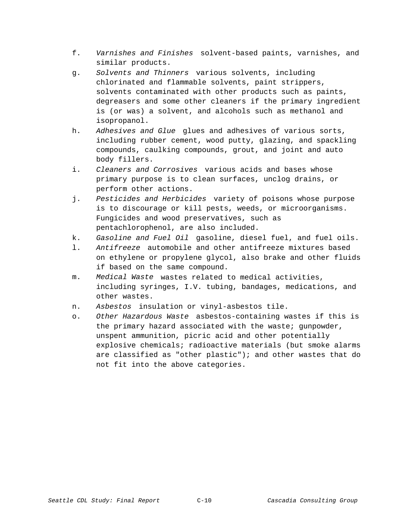- f. Varnishes and Finishes—solvent-based paints, varnishes, and similar products.
- g. Solvents and Thinners-various solvents, including chlorinated and flammable solvents, paint strippers, solvents contaminated with other products such as paints, degreasers and some other cleaners if the primary ingredient is (or was) a solvent, and alcohols such as methanol and isopropanol.
- h. Adhesives and Glue-glues and adhesives of various sorts, including rubber cement, wood putty, glazing, and spackling compounds, caulking compounds, grout, and joint and auto body fillers.
- i. Cleaners and Corrosives—various acids and bases whose primary purpose is to clean surfaces, unclog drains, or perform other actions.
- j. Pesticides and Herbicides—variety of poisons whose purpose is to discourage or kill pests, weeds, or microorganisms. Fungicides and wood preservatives, such as pentachlorophenol, are also included.
- k. Gasoline and Fuel Oil-gasoline, diesel fuel, and fuel oils.
- 1. Antifreeze—automobile and other antifreeze mixtures based on ethylene or propylene glycol, also brake and other fluids if based on the same compound.
- m. Medical Waste-wastes related to medical activities, including syringes, I.V. tubing, bandages, medications, and other wastes.
- n. Asbestos-insulation or vinyl-asbestos tile.
- o. Other Hazardous Waste-asbestos-containing wastes if this is the primary hazard associated with the waste; gunpowder, unspent ammunition, picric acid and other potentially explosive chemicals; radioactive materials (but smoke alarms are classified as "other plastic"); and other wastes that do not fit into the above categories.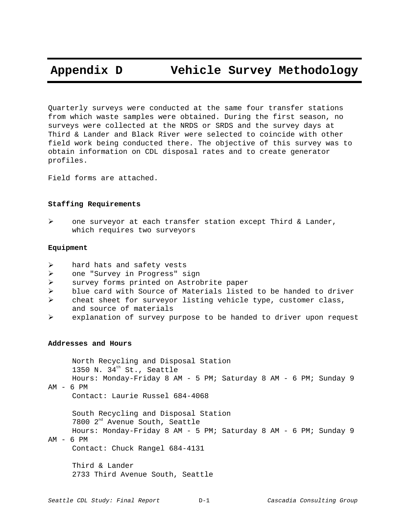### **Appendix D Vehicle Survey Methodology**

Quarterly surveys were conducted at the same four transfer stations from which waste samples were obtained. During the first season, no surveys were collected at the NRDS or SRDS and the survey days at Third & Lander and Black River were selected to coincide with other field work being conducted there. The objective of this survey was to obtain information on CDL disposal rates and to create generator profiles.

Field forms are attached.

### **Staffing Requirements**

 $\triangleright$  one surveyor at each transfer station except Third & Lander, which requires two surveyors

### **Equipment**

- $\triangleright$  hard hats and safety vests
- > one "Survey in Progress" sign
- > survey forms printed on Astrobrite paper
- $\triangleright$  blue card with Source of Materials listed to be handed to driver
- ! cheat sheet for surveyor listing vehicle type, customer class, and source of materials
- $\triangleright$  explanation of survey purpose to be handed to driver upon request

### **Addresses and Hours**

North Recycling and Disposal Station 1350 N.  $34<sup>th</sup>$  St., Seattle Hours: Monday-Friday 8 AM - 5 PM; Saturday 8 AM - 6 PM; Sunday 9  $AM - 6 PM$ 

Contact: Laurie Russel 684-4068

South Recycling and Disposal Station 7800 2<sup>nd</sup> Avenue South, Seattle Hours: Monday-Friday 8 AM - 5 PM; Saturday 8 AM - 6 PM; Sunday 9

AM - 6 PM

Contact: Chuck Rangel 684-4131

Third & Lander 2733 Third Avenue South, Seattle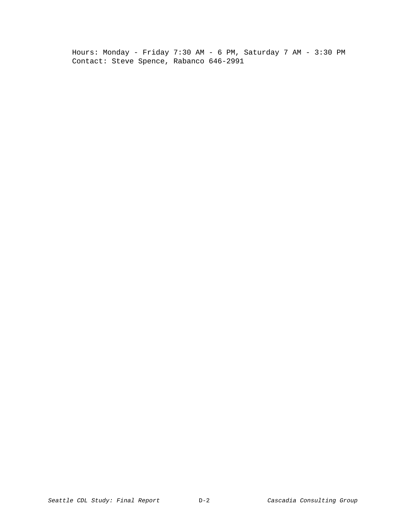Hours: Monday - Friday 7:30 AM - 6 PM, Saturday 7 AM - 3:30 PM Contact: Steve Spence, Rabanco 646-2991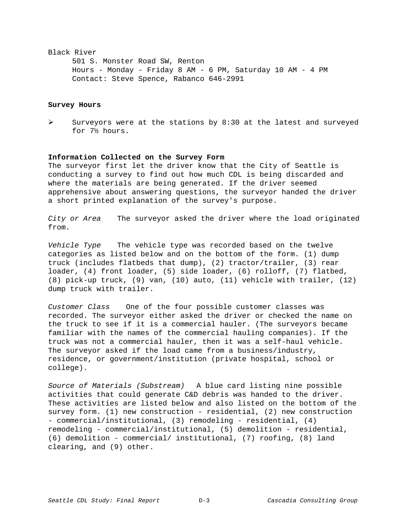### Black River

501 S. Monster Road SW, Renton Hours - Monday - Friday 8 AM - 6 PM, Saturday 10 AM - 4 PM Contact: Steve Spence, Rabanco 646-2991

### **Survey Hours**

 $\triangleright$  Surveyors were at the stations by 8:30 at the latest and surveyed for 7½ hours.

### **Information Collected on the Survey Form**

The surveyor first let the driver know that the City of Seattle is conducting a survey to find out how much CDL is being discarded and where the materials are being generated. If the driver seemed apprehensive about answering questions, the surveyor handed the driver a short printed explanation of the survey's purpose.

City or Area  $-$  The surveyor asked the driver where the load originated from.

Vehicle Type  $-$  The vehicle type was recorded based on the twelve categories as listed below and on the bottom of the form. (1) dump truck (includes flatbeds that dump), (2) tractor/trailer, (3) rear loader, (4) front loader, (5) side loader, (6) rolloff, (7) flatbed, (8) pick-up truck, (9) van, (10) auto, (11) vehicle with trailer, (12) dump truck with trailer.

Customer Class  $-$  One of the four possible customer classes was recorded. The surveyor either asked the driver or checked the name on the truck to see if it is a commercial hauler. (The surveyors became familiar with the names of the commercial hauling companies). If the truck was not a commercial hauler, then it was a self-haul vehicle. The surveyor asked if the load came from a business/industry, residence, or government/institution (private hospital, school or college).

Source of Materials (Substream)  $-$  A blue card listing nine possible activities that could generate C&D debris was handed to the driver. These activities are listed below and also listed on the bottom of the survey form. (1) new construction - residential, (2) new construction - commercial/institutional, (3) remodeling - residential, (4) remodeling - commercial/institutional, (5) demolition - residential, (6) demolition - commercial/ institutional, (7) roofing, (8) land clearing, and (9) other.